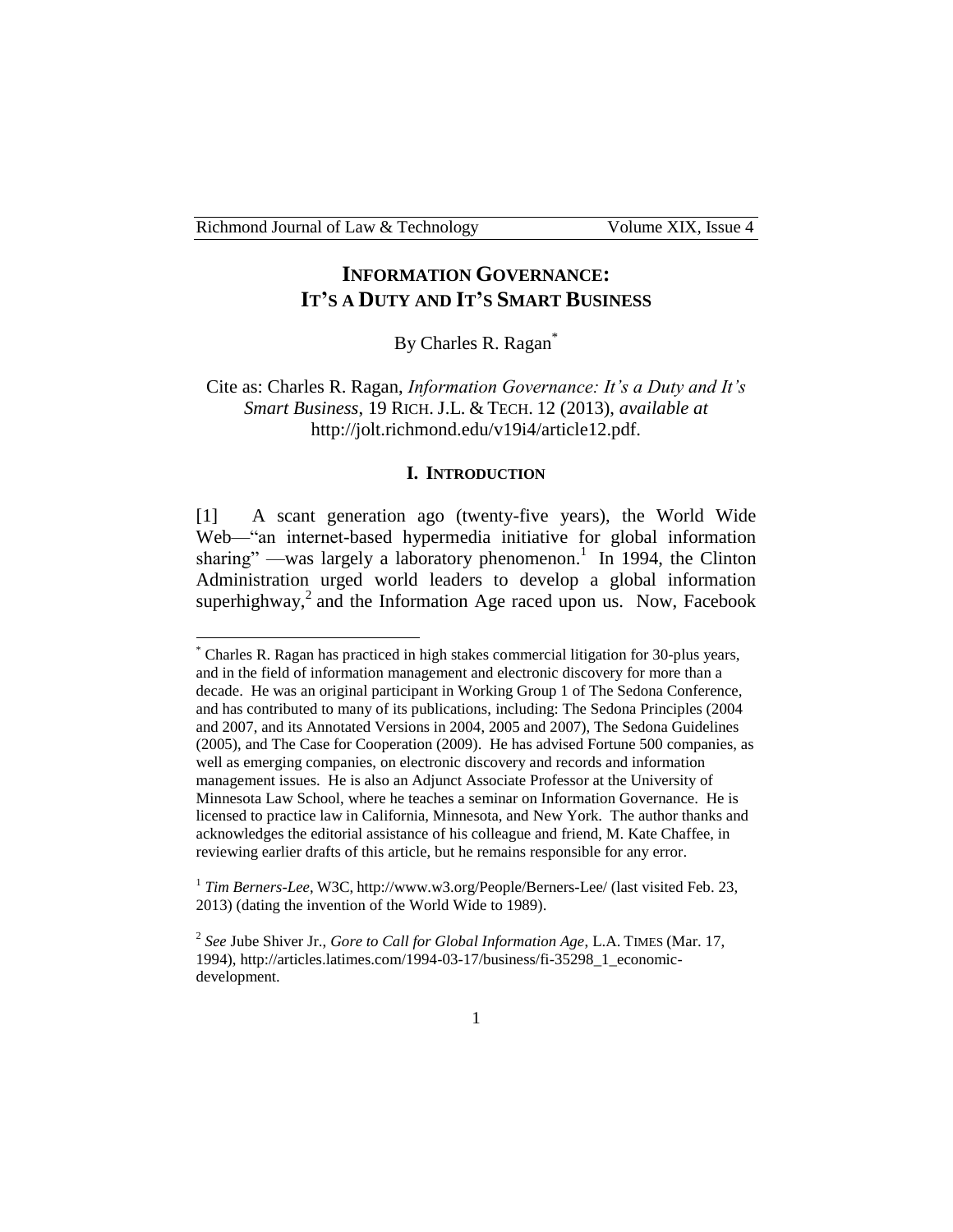# **INFORMATION GOVERNANCE: IT'S A DUTY AND IT'S SMART BUSINESS**

By Charles R. Ragan<sup>\*</sup>

Cite as: Charles R. Ragan, *Information Governance: It's a Duty and It's Smart Business*, 19 RICH. J.L. & TECH. 12 (2013), *available at* http://jolt.richmond.edu/v19i4/article12.pdf.

#### **I. INTRODUCTION**

[1] A scant generation ago (twenty-five years), the World Wide Web—"an internet-based hypermedia initiative for global information sharing" —was largely a laboratory phenomenon.<sup>1</sup> In 1994, the Clinton Administration urged world leaders to develop a global information superhighway,<sup>2</sup> and the Information Age raced upon us. Now, Facebook

<sup>\*</sup> Charles R. Ragan has practiced in high stakes commercial litigation for 30-plus years, and in the field of information management and electronic discovery for more than a decade. He was an original participant in Working Group 1 of The Sedona Conference, and has contributed to many of its publications, including: The Sedona Principles (2004 and 2007, and its Annotated Versions in 2004, 2005 and 2007), The Sedona Guidelines (2005), and The Case for Cooperation (2009). He has advised Fortune 500 companies, as well as emerging companies, on electronic discovery and records and information management issues. He is also an Adjunct Associate Professor at the University of Minnesota Law School, where he teaches a seminar on Information Governance. He is licensed to practice law in California, Minnesota, and New York. The author thanks and acknowledges the editorial assistance of his colleague and friend, M. Kate Chaffee, in reviewing earlier drafts of this article, but he remains responsible for any error.

<sup>&</sup>lt;sup>1</sup> Tim Berners-Lee, W3C, http://www.w3.org/People/Berners-Lee/ (last visited Feb. 23, 2013) (dating the invention of the World Wide to 1989).

<sup>2</sup> *See* Jube Shiver Jr., *Gore to Call for Global Information Age*, L.A. TIMES (Mar. 17, 1994), http://articles.latimes.com/1994-03-17/business/fi-35298\_1\_economicdevelopment.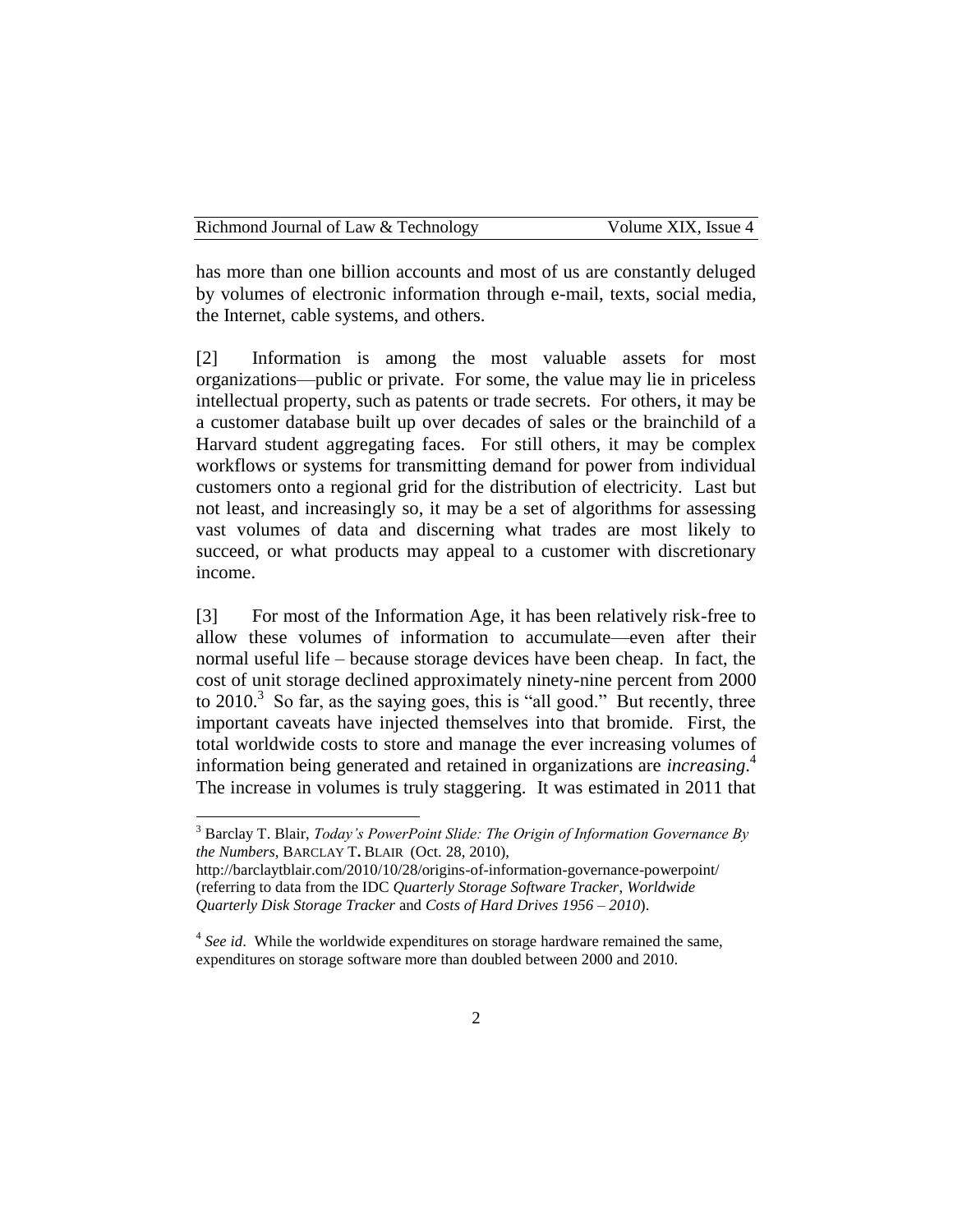has more than one billion accounts and most of us are constantly deluged by volumes of electronic information through e-mail, texts, social media, the Internet, cable systems, and others.

[2] Information is among the most valuable assets for most organizations—public or private. For some, the value may lie in priceless intellectual property, such as patents or trade secrets. For others, it may be a customer database built up over decades of sales or the brainchild of a Harvard student aggregating faces. For still others, it may be complex workflows or systems for transmitting demand for power from individual customers onto a regional grid for the distribution of electricity. Last but not least, and increasingly so, it may be a set of algorithms for assessing vast volumes of data and discerning what trades are most likely to succeed, or what products may appeal to a customer with discretionary income.

[3] For most of the Information Age, it has been relatively risk-free to allow these volumes of information to accumulate—even after their normal useful life – because storage devices have been cheap. In fact, the cost of unit storage declined approximately ninety-nine percent from 2000 to  $2010$ .<sup>3</sup> So far, as the saying goes, this is "all good." But recently, three important caveats have injected themselves into that bromide. First, the total worldwide costs to store and manage the ever increasing volumes of information being generated and retained in organizations are *increasing*. 4 The increase in volumes is truly staggering. It was estimated in 2011 that

<sup>3</sup> Barclay T. Blair, *Today's PowerPoint Slide: The Origin of Information Governance By the Numbers*, BARCLAY T**.** BLAIR (Oct. 28, 2010),

http://barclaytblair.com/2010/10/28/origins-of-information-governance-powerpoint/ (referring to data from the IDC *Quarterly Storage Software Tracker*, *Worldwide Quarterly Disk Storage Tracker* and *Costs of Hard Drives 1956 – 2010*).

<sup>&</sup>lt;sup>4</sup> See id. While the worldwide expenditures on storage hardware remained the same, expenditures on storage software more than doubled between 2000 and 2010.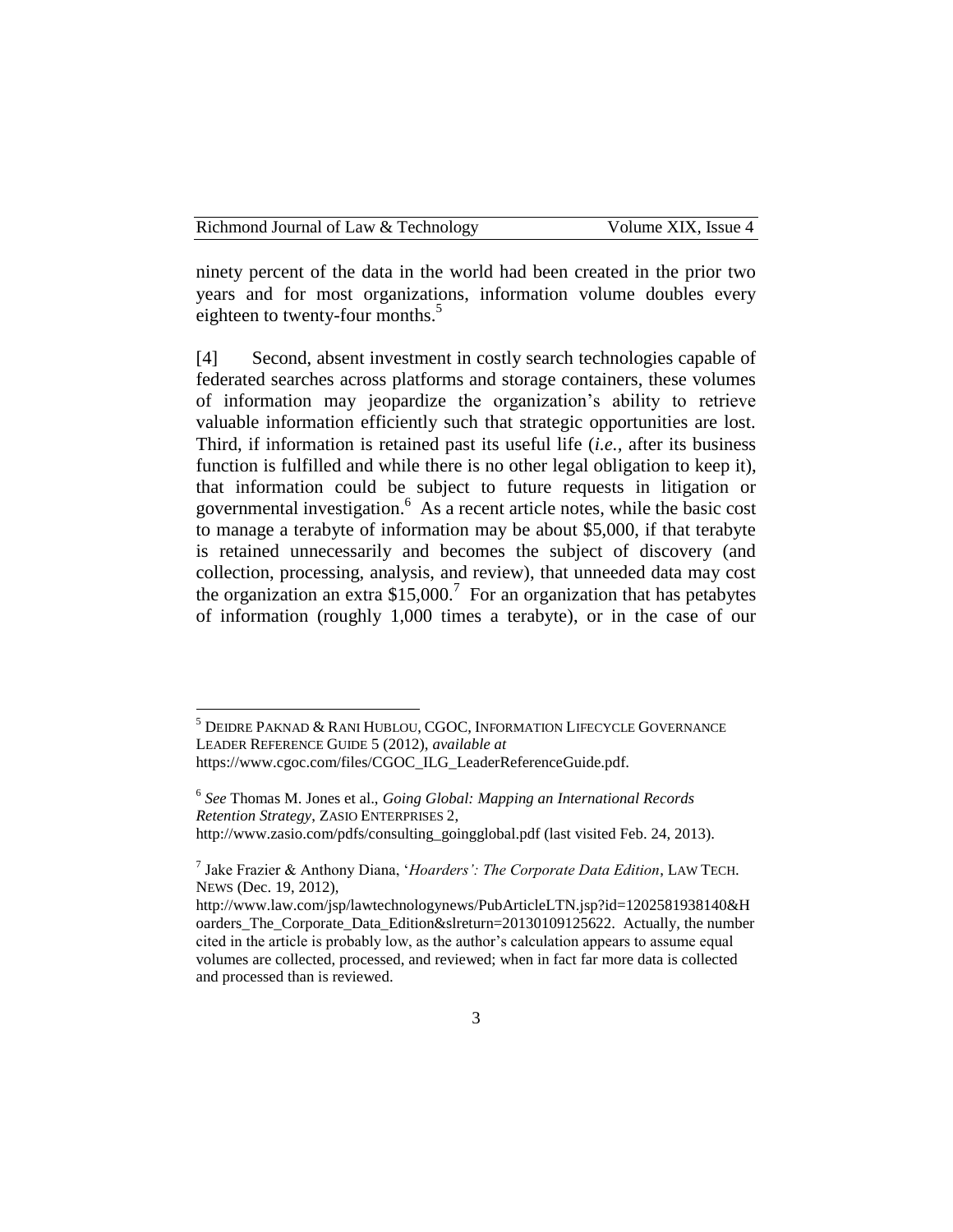ninety percent of the data in the world had been created in the prior two years and for most organizations, information volume doubles every eighteen to twenty-four months. $5$ 

[4] Second, absent investment in costly search technologies capable of federated searches across platforms and storage containers, these volumes of information may jeopardize the organization's ability to retrieve valuable information efficiently such that strategic opportunities are lost. Third, if information is retained past its useful life (*i.e.,* after its business function is fulfilled and while there is no other legal obligation to keep it), that information could be subject to future requests in litigation or governmental investigation.<sup>6</sup> As a recent article notes, while the basic cost to manage a terabyte of information may be about \$5,000, if that terabyte is retained unnecessarily and becomes the subject of discovery (and collection, processing, analysis, and review), that unneeded data may cost the organization an extra  $$15,000$ .<sup>7</sup> For an organization that has petabytes of information (roughly 1,000 times a terabyte), or in the case of our

<sup>5</sup> DEIDRE PAKNAD & RANI HUBLOU, CGOC, INFORMATION LIFECYCLE GOVERNANCE LEADER REFERENCE GUIDE 5 (2012), *available at* https://www.cgoc.com/files/CGOC\_ILG\_LeaderReferenceGuide.pdf.

<sup>6</sup> *See* Thomas M. Jones et al., *Going Global: Mapping an International Records Retention Strategy*, ZASIO ENTERPRISES 2, http://www.zasio.com/pdfs/consulting\_goingglobal.pdf (last visited Feb. 24, 2013).

<sup>7</sup> Jake Frazier & Anthony Diana, '*Hoarders': The Corporate Data Edition*, LAW TECH. NEWS (Dec. 19, 2012),

http://www.law.com/jsp/lawtechnologynews/PubArticleLTN.jsp?id=1202581938140&H oarders The Corporate Data Edition&slreturn=20130109125622. Actually, the number cited in the article is probably low, as the author's calculation appears to assume equal volumes are collected, processed, and reviewed; when in fact far more data is collected and processed than is reviewed.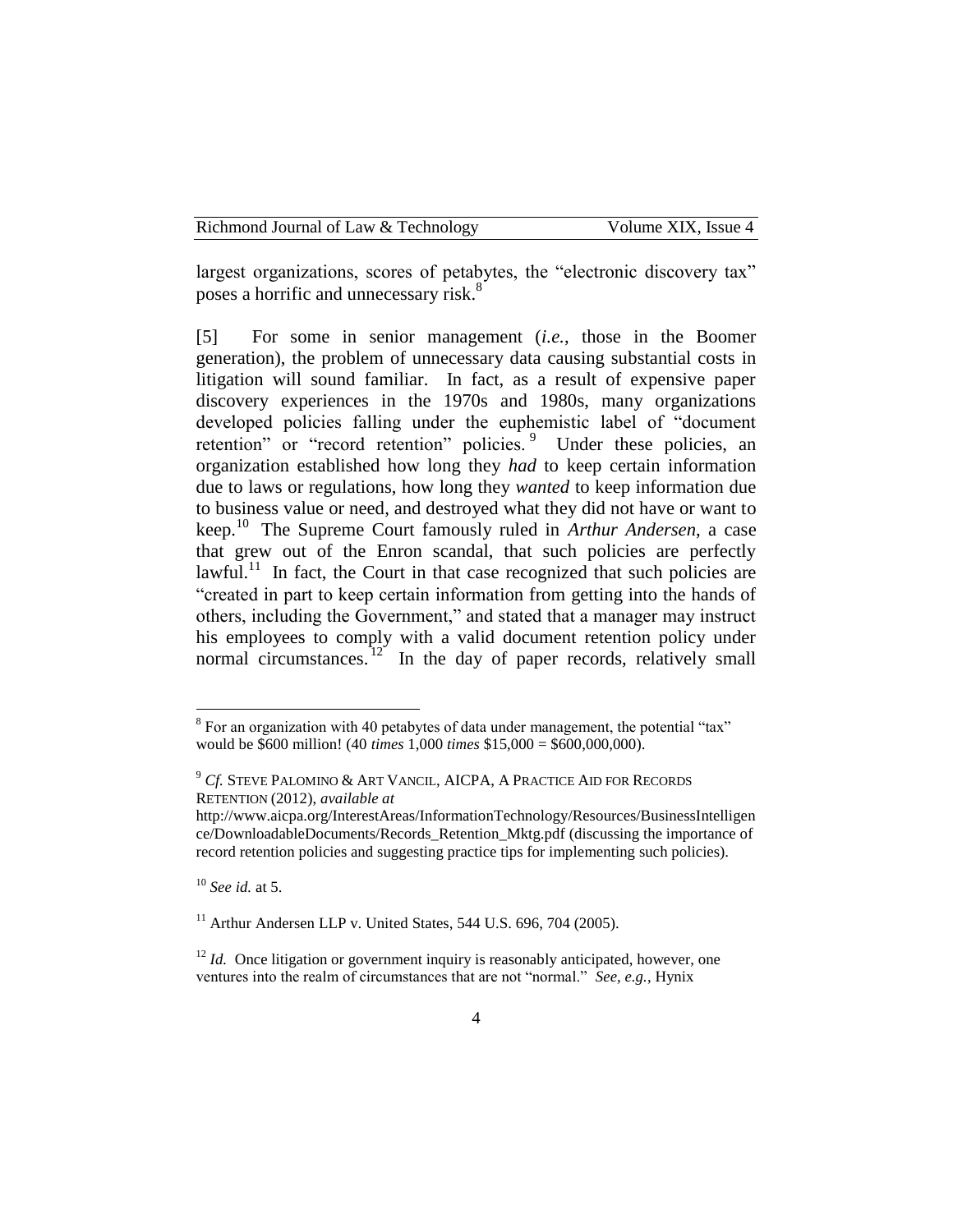largest organizations, scores of petabytes, the "electronic discovery tax" poses a horrific and unnecessary risk.<sup>8</sup>

[5] For some in senior management (*i.e.*, those in the Boomer generation), the problem of unnecessary data causing substantial costs in litigation will sound familiar. In fact, as a result of expensive paper discovery experiences in the 1970s and 1980s, many organizations developed policies falling under the euphemistic label of "document retention" or "record retention" policies. <sup>9</sup> Under these policies, an organization established how long they *had* to keep certain information due to laws or regulations, how long they *wanted* to keep information due to business value or need, and destroyed what they did not have or want to keep.<sup>10</sup> The Supreme Court famously ruled in *Arthur Andersen*, a case that grew out of the Enron scandal, that such policies are perfectly lawful.<sup>11</sup> In fact, the Court in that case recognized that such policies are "created in part to keep certain information from getting into the hands of others, including the Government," and stated that a manager may instruct his employees to comply with a valid document retention policy under normal circumstances.<sup>12</sup> In the day of paper records, relatively small

<sup>10</sup> *See id.* at 5.

 $11$  Arthur Andersen LLP v. United States, 544 U.S. 696, 704 (2005).

<sup>&</sup>lt;sup>8</sup> For an organization with 40 petabytes of data under management, the potential "tax" would be \$600 million! (40 *times* 1,000 *times* \$15,000 = \$600,000,000).

<sup>9</sup> *Cf.* STEVE PALOMINO & ART VANCIL, AICPA, A PRACTICE AID FOR RECORDS RETENTION (2012), *available at*

http://www.aicpa.org/InterestAreas/InformationTechnology/Resources/BusinessIntelligen ce/DownloadableDocuments/Records\_Retention\_Mktg.pdf (discussing the importance of record retention policies and suggesting practice tips for implementing such policies).

<sup>&</sup>lt;sup>12</sup> *Id.* Once litigation or government inquiry is reasonably anticipated, however, one ventures into the realm of circumstances that are not "normal." *See, e.g.*, Hynix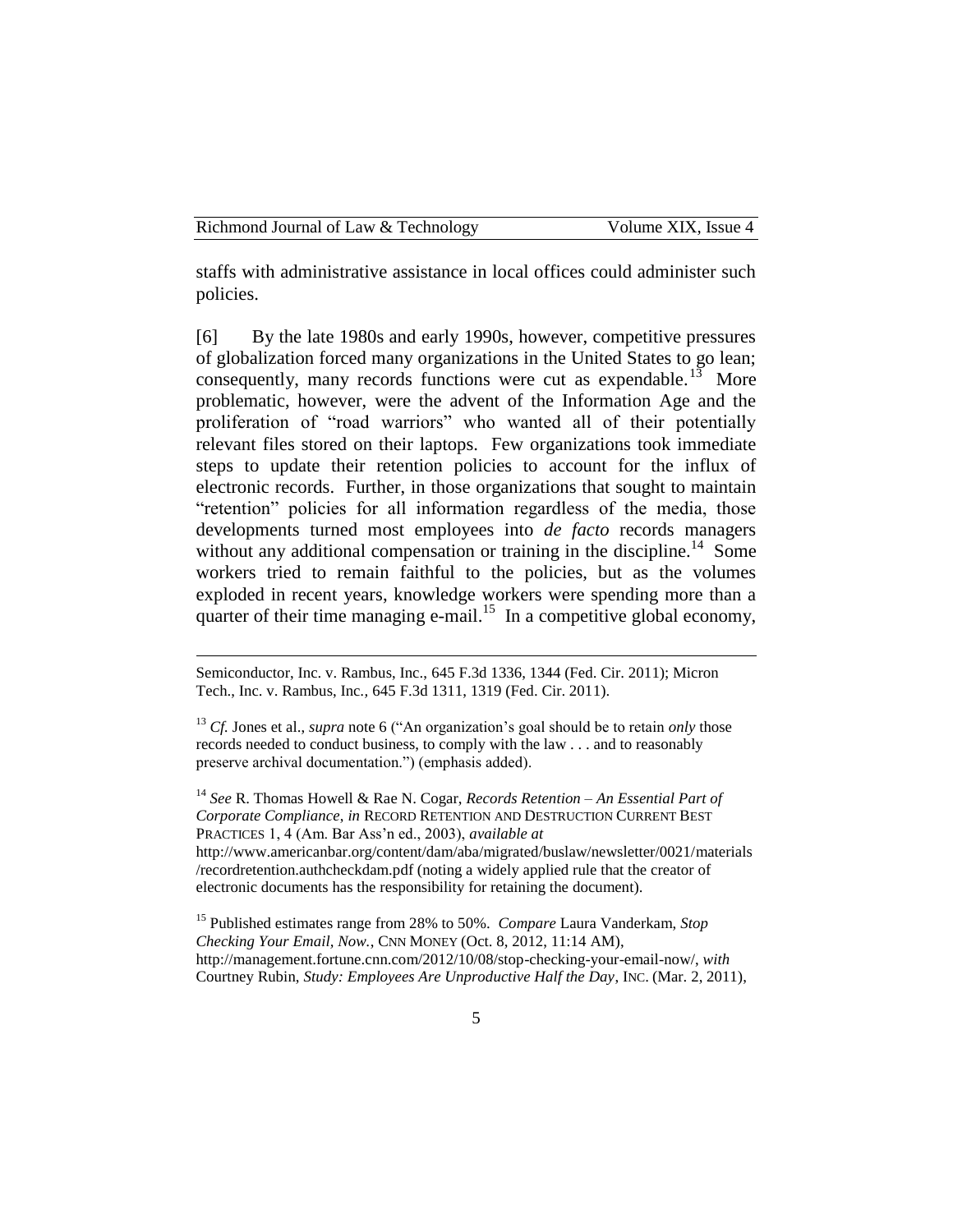staffs with administrative assistance in local offices could administer such policies.

[6] By the late 1980s and early 1990s, however, competitive pressures of globalization forced many organizations in the United States to go lean; consequently, many records functions were cut as expendable.<sup>13</sup> More problematic, however, were the advent of the Information Age and the proliferation of "road warriors" who wanted all of their potentially relevant files stored on their laptops. Few organizations took immediate steps to update their retention policies to account for the influx of electronic records. Further, in those organizations that sought to maintain "retention" policies for all information regardless of the media, those developments turned most employees into *de facto* records managers without any additional compensation or training in the discipline.<sup>14</sup> Some workers tried to remain faithful to the policies, but as the volumes exploded in recent years, knowledge workers were spending more than a quarter of their time managing e-mail.<sup>15</sup> In a competitive global economy,

Semiconductor, Inc. v. Rambus, Inc., 645 F.3d 1336, 1344 (Fed. Cir. 2011); Micron Tech., Inc. v. Rambus, Inc*.,* 645 F.3d 1311, 1319 (Fed. Cir. 2011).

<sup>14</sup> *See* R. Thomas Howell & Rae N. Cogar, *Records Retention – An Essential Part of Corporate Compliance*, *in* RECORD RETENTION AND DESTRUCTION CURRENT BEST PRACTICES 1, 4 (Am. Bar Ass'n ed., 2003), *available at*  http://www.americanbar.org/content/dam/aba/migrated/buslaw/newsletter/0021/materials /recordretention.authcheckdam.pdf (noting a widely applied rule that the creator of electronic documents has the responsibility for retaining the document).

<sup>15</sup> Published estimates range from 28% to 50%. *Compare* Laura Vanderkam, *Stop Checking Your Email, Now.*, CNN MONEY (Oct. 8, 2012, 11:14 AM), http://management.fortune.cnn.com/2012/10/08/stop-checking-your-email-now/, *with*  Courtney Rubin, *Study: Employees Are Unproductive Half the Day*, INC. (Mar. 2, 2011),

<sup>13</sup> *Cf.* Jones et al., *supra* note 6 ("An organization's goal should be to retain *only* those records needed to conduct business, to comply with the law . . . and to reasonably preserve archival documentation.") (emphasis added).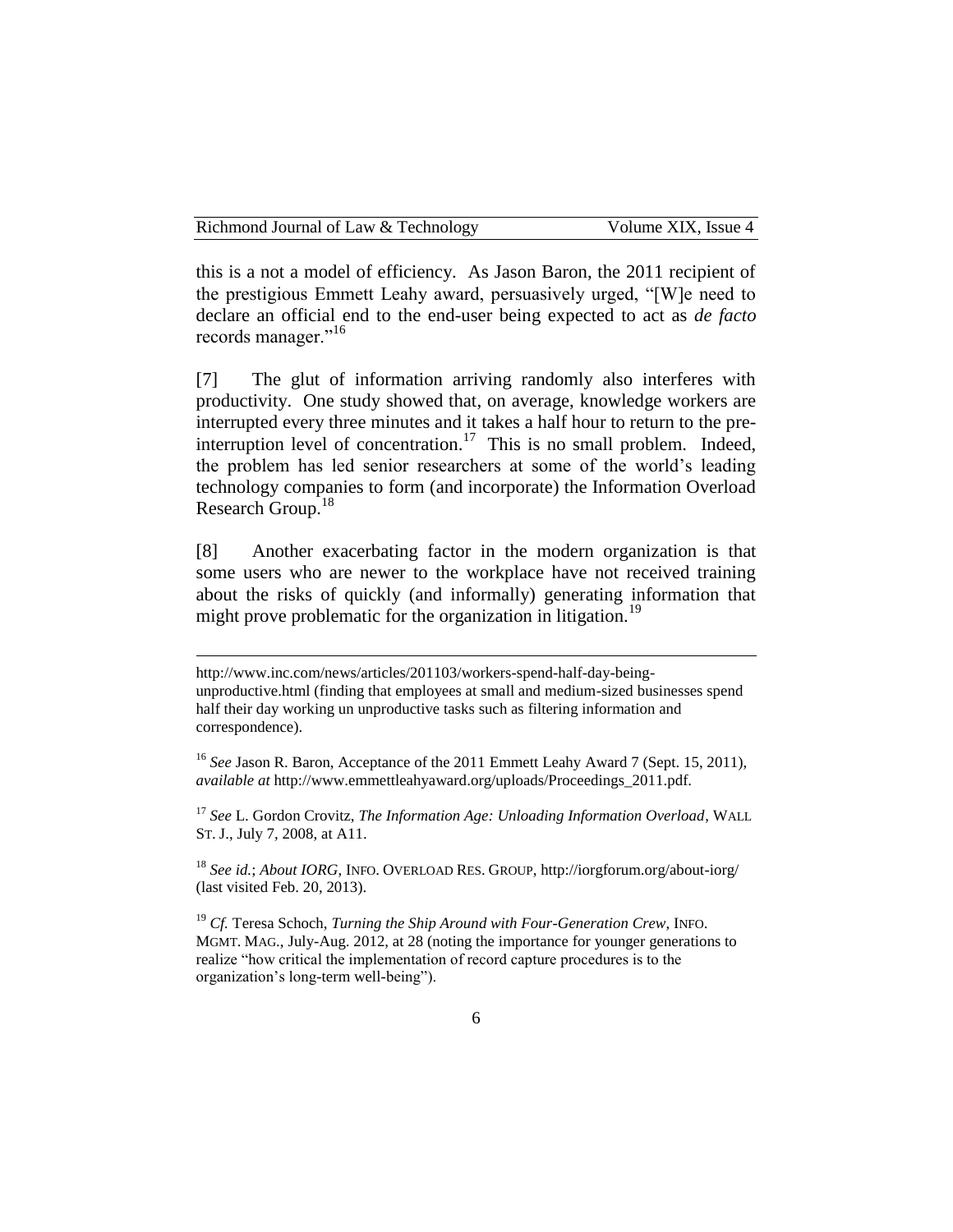this is a not a model of efficiency. As Jason Baron, the 2011 recipient of the prestigious Emmett Leahy award, persuasively urged, "[W]e need to declare an official end to the end-user being expected to act as *de facto* records manager."<sup>16</sup>

[7] The glut of information arriving randomly also interferes with productivity. One study showed that, on average, knowledge workers are interrupted every three minutes and it takes a half hour to return to the preinterruption level of concentration.<sup>17</sup> This is no small problem. Indeed, the problem has led senior researchers at some of the world's leading technology companies to form (and incorporate) the Information Overload Research Group.<sup>18</sup>

[8] Another exacerbating factor in the modern organization is that some users who are newer to the workplace have not received training about the risks of quickly (and informally) generating information that might prove problematic for the organization in litigation.<sup>19</sup>

<sup>17</sup> *See* L. Gordon Crovitz, *The Information Age: Unloading Information Overload*, WALL ST. J., July 7, 2008, at A11.

<sup>18</sup> *See id.*; *About IORG*, INFO. OVERLOAD RES. GROUP, http://iorgforum.org/about-iorg/ (last visited Feb. 20, 2013).

<sup>19</sup> *Cf.* Teresa Schoch, *Turning the Ship Around with Four-Generation Crew*, INFO. MGMT. MAG., July-Aug. 2012, at 28 (noting the importance for younger generations to realize "how critical the implementation of record capture procedures is to the organization's long-term well-being").

http://www.inc.com/news/articles/201103/workers-spend-half-day-beingunproductive.html (finding that employees at small and medium-sized businesses spend half their day working un unproductive tasks such as filtering information and correspondence).

<sup>16</sup> *See* Jason R. Baron, Acceptance of the 2011 Emmett Leahy Award 7 (Sept. 15, 2011), *available at* http://www.emmettleahyaward.org/uploads/Proceedings\_2011.pdf.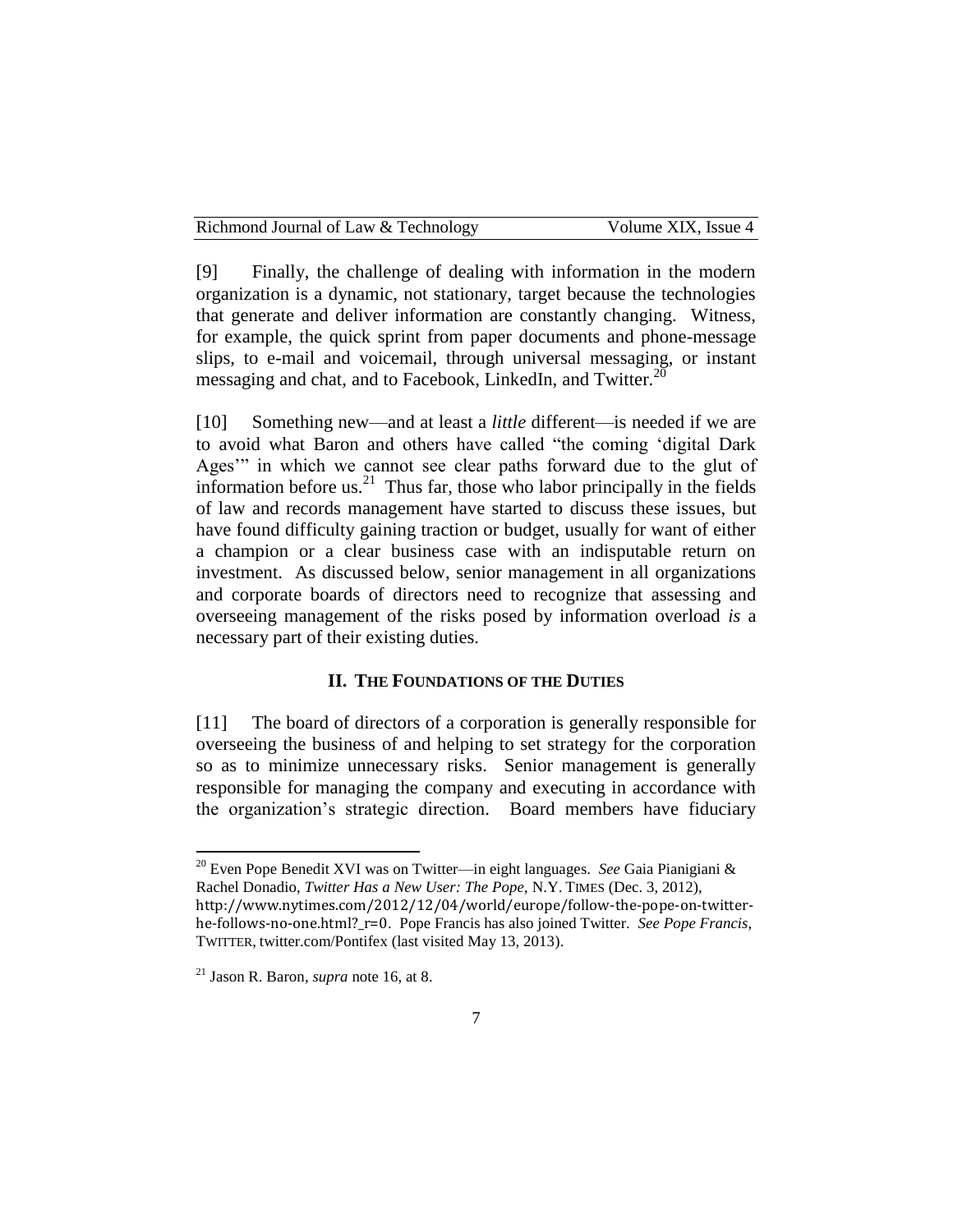[9] Finally, the challenge of dealing with information in the modern organization is a dynamic, not stationary, target because the technologies that generate and deliver information are constantly changing. Witness, for example, the quick sprint from paper documents and phone-message slips, to e-mail and voicemail, through universal messaging, or instant messaging and chat, and to Facebook, LinkedIn, and Twitter. $^{20}$ 

[10] Something new—and at least a *little* different—is needed if we are to avoid what Baron and others have called "the coming 'digital Dark Ages'" in which we cannot see clear paths forward due to the glut of information before us. $^{21}$  Thus far, those who labor principally in the fields of law and records management have started to discuss these issues, but have found difficulty gaining traction or budget, usually for want of either a champion or a clear business case with an indisputable return on investment. As discussed below, senior management in all organizations and corporate boards of directors need to recognize that assessing and overseeing management of the risks posed by information overload *is* a necessary part of their existing duties.

#### **II. THE FOUNDATIONS OF THE DUTIES**

[11] The board of directors of a corporation is generally responsible for overseeing the business of and helping to set strategy for the corporation so as to minimize unnecessary risks. Senior management is generally responsible for managing the company and executing in accordance with the organization's strategic direction. Board members have fiduciary

<sup>20</sup> Even Pope Benedit XVI was on Twitter—in eight languages. *See* Gaia Pianigiani & Rachel Donadio, *Twitter Has a New User: The Pope,* N.Y. TIMES (Dec. 3, 2012),

http://www.nytimes.com/2012/12/04/world/europe/follow-the-pope-on-twitterhe-follows-no-one.html?\_r=0. Pope Francis has also joined Twitter. *See Pope Francis*, TWITTER, twitter.com/Pontifex (last visited May 13, 2013).

 $\overline{\phantom{a}}$ 

<sup>21</sup> Jason R. Baron, *supra* note 16, at 8.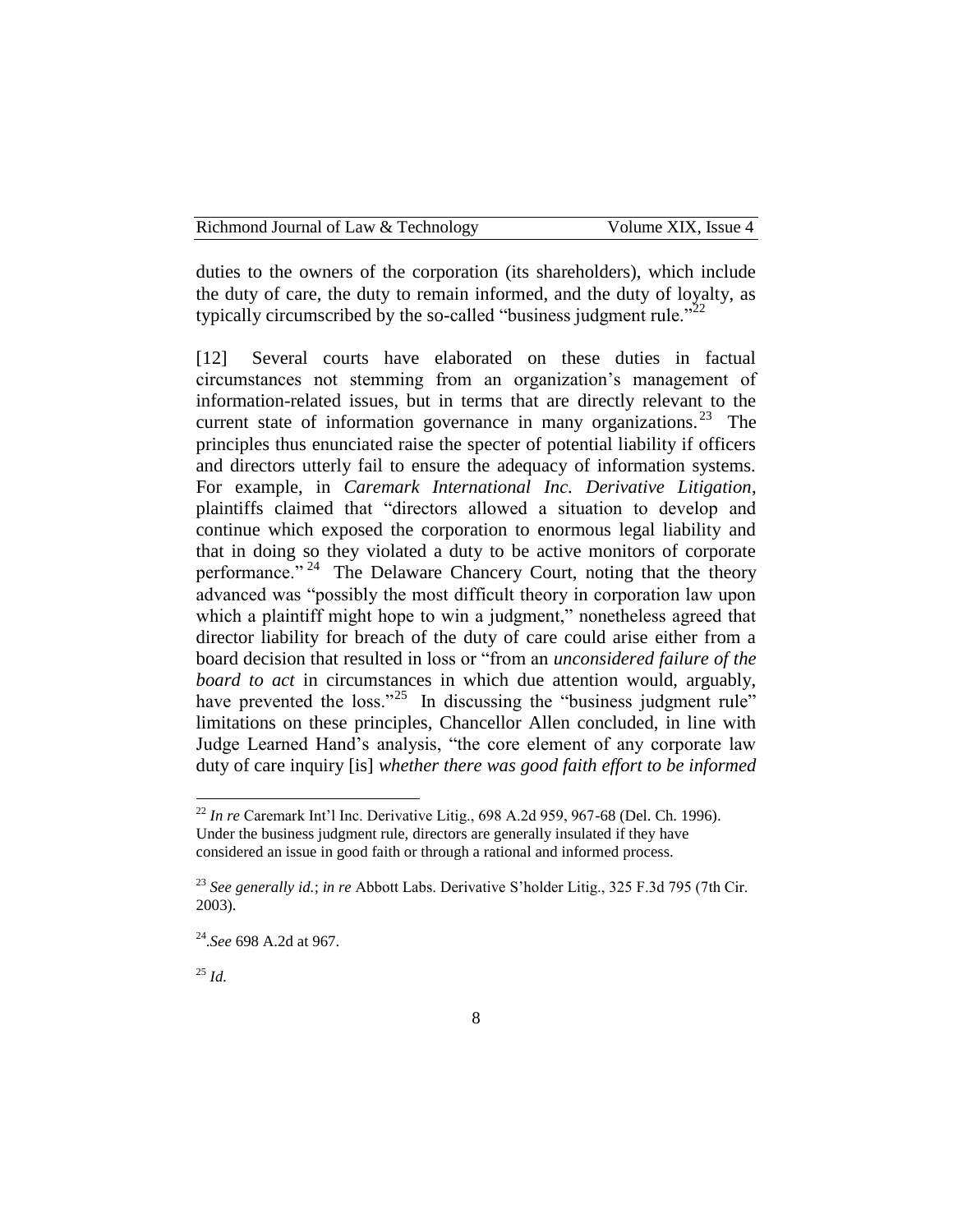duties to the owners of the corporation (its shareholders), which include the duty of care, the duty to remain informed, and the duty of loyalty, as typically circumscribed by the so-called "business judgment rule."<sup>22</sup>

[12] Several courts have elaborated on these duties in factual circumstances not stemming from an organization's management of information-related issues, but in terms that are directly relevant to the current state of information governance in many organizations.<sup>23</sup> The principles thus enunciated raise the specter of potential liability if officers and directors utterly fail to ensure the adequacy of information systems. For example, in *Caremark International Inc. Derivative Litigation*, plaintiffs claimed that "directors allowed a situation to develop and continue which exposed the corporation to enormous legal liability and that in doing so they violated a duty to be active monitors of corporate performance."<sup>24</sup> The Delaware Chancery Court, noting that the theory advanced was "possibly the most difficult theory in corporation law upon which a plaintiff might hope to win a judgment," nonetheless agreed that director liability for breach of the duty of care could arise either from a board decision that resulted in loss or "from an *unconsidered failure of the board to act* in circumstances in which due attention would, arguably, have prevented the  $loss.^{325}$  In discussing the "business judgment rule" limitations on these principles, Chancellor Allen concluded, in line with Judge Learned Hand's analysis, "the core element of any corporate law duty of care inquiry [is] *whether there was good faith effort to be informed* 

<sup>25</sup> *Id.*

l

<sup>22</sup> *In re* Caremark Int'l Inc. Derivative Litig., 698 A.2d 959, 967-68 (Del. Ch. 1996). Under the business judgment rule, directors are generally insulated if they have considered an issue in good faith or through a rational and informed process.

<sup>23</sup> *See generally id.*; *in re* Abbott Labs. Derivative S'holder Litig., 325 F.3d 795 (7th Cir. 2003).

<sup>24</sup> .*See* 698 A.2d at 967.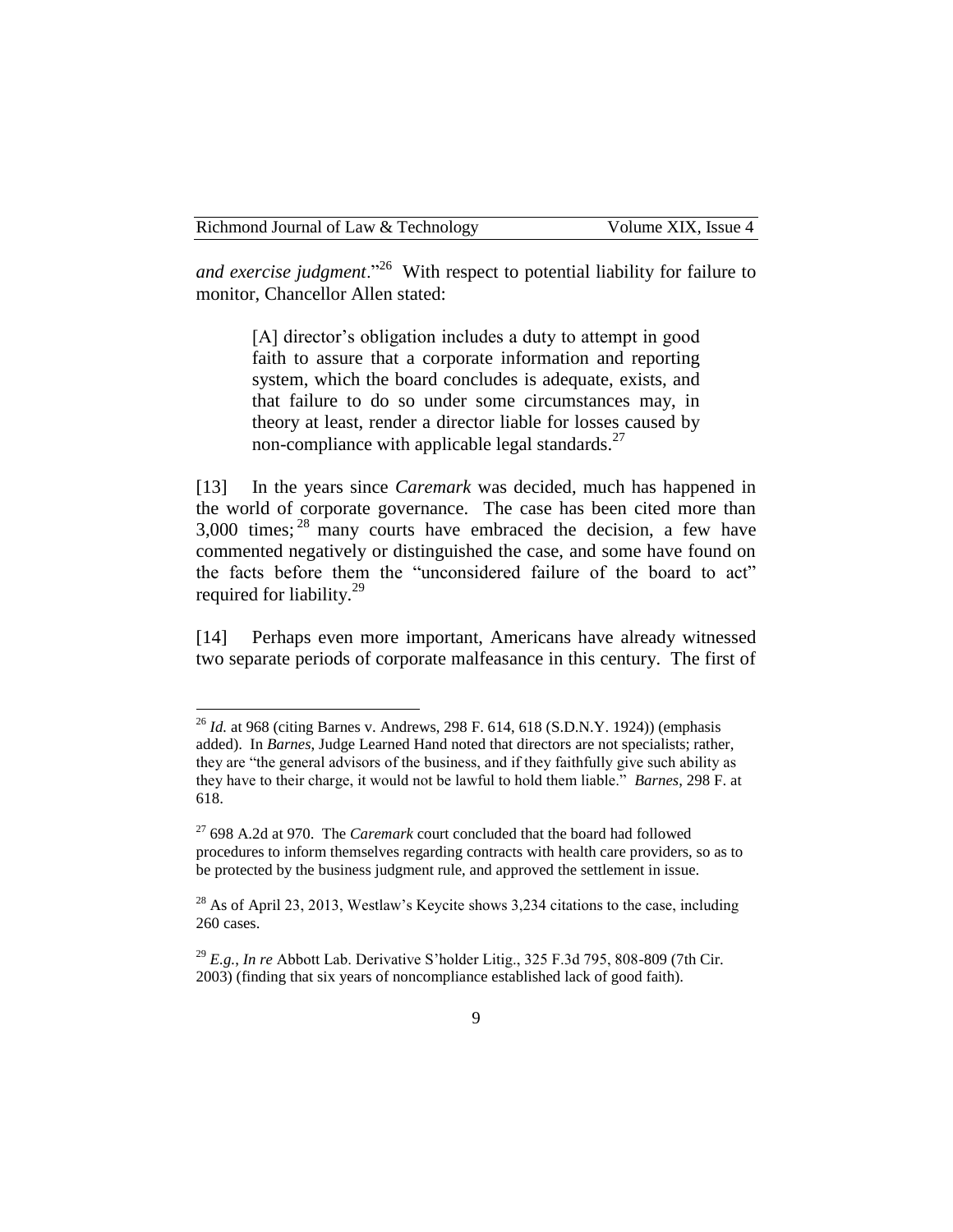*and exercise judgment*."<sup>26</sup> With respect to potential liability for failure to monitor, Chancellor Allen stated:

[A] director's obligation includes a duty to attempt in good faith to assure that a corporate information and reporting system, which the board concludes is adequate, exists, and that failure to do so under some circumstances may, in theory at least, render a director liable for losses caused by non-compliance with applicable legal standards. $^{27}$ 

[13] In the years since *Caremark* was decided, much has happened in the world of corporate governance. The case has been cited more than  $3,000$  times;  $^{28}$  many courts have embraced the decision, a few have commented negatively or distinguished the case, and some have found on the facts before them the "unconsidered failure of the board to act" required for liability.<sup>29</sup>

[14] Perhaps even more important, Americans have already witnessed two separate periods of corporate malfeasance in this century. The first of

<sup>26</sup> *Id.* at 968 (citing Barnes v. Andrews, 298 F. 614, 618 (S.D.N.Y. 1924)) (emphasis added). In *Barnes*, Judge Learned Hand noted that directors are not specialists; rather, they are "the general advisors of the business, and if they faithfully give such ability as they have to their charge, it would not be lawful to hold them liable." *Barnes*, 298 F. at 618.

<sup>27</sup> 698 A.2d at 970. The *Caremark* court concluded that the board had followed procedures to inform themselves regarding contracts with health care providers, so as to be protected by the business judgment rule, and approved the settlement in issue.

 $28$  As of April 23, 2013, Westlaw's Keycite shows 3,234 citations to the case, including 260 cases.

<sup>29</sup> *E.g.*, *In re* Abbott Lab. Derivative S'holder Litig., 325 F.3d 795, 808-809 (7th Cir. 2003) (finding that six years of noncompliance established lack of good faith).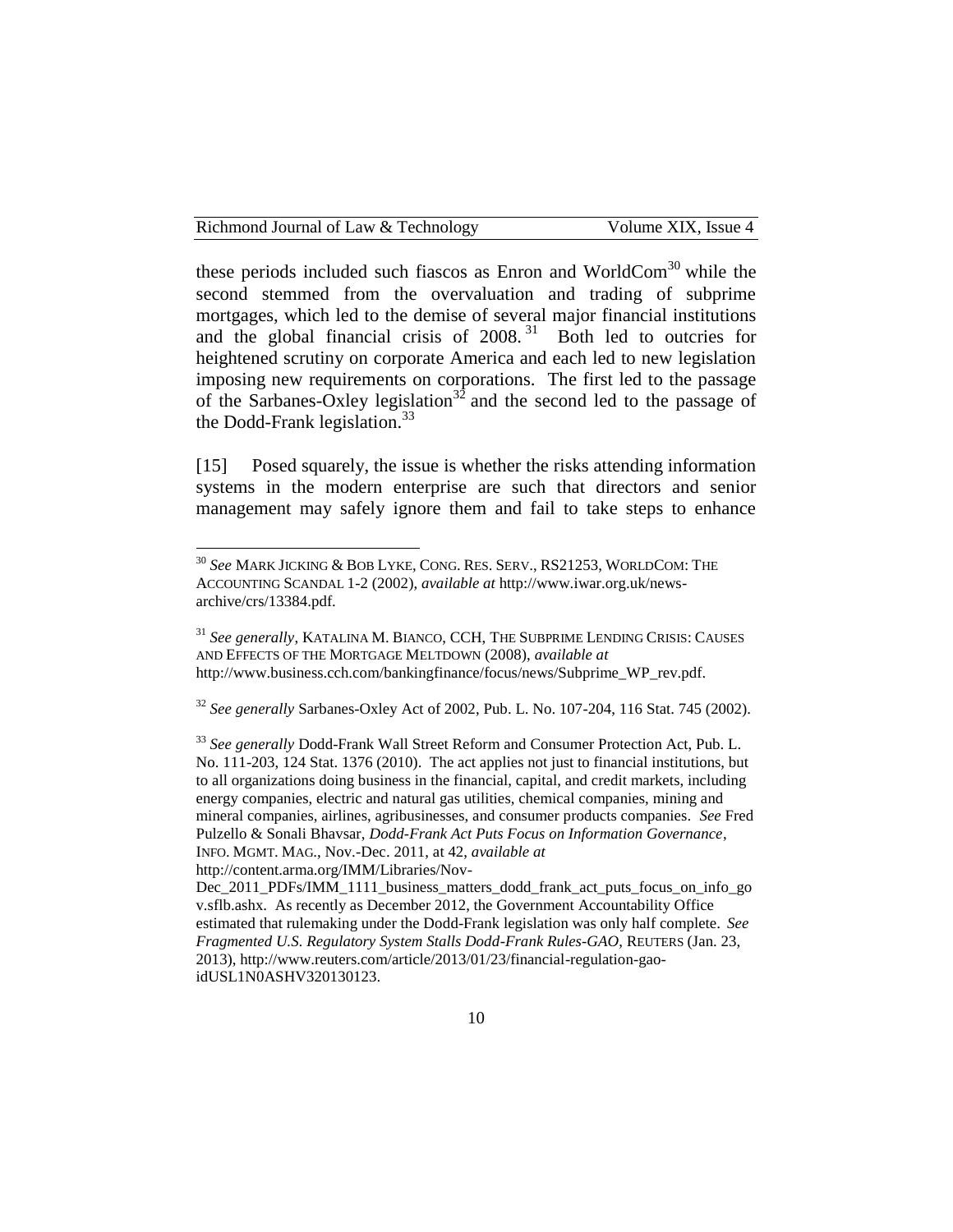Richmond Journal of Law & Technology Volume XIX, Issue 4

these periods included such fiascos as Enron and WorldCom $30$  while the second stemmed from the overvaluation and trading of subprime mortgages, which led to the demise of several major financial institutions and the global financial crisis of  $2008$ .<sup>31</sup> Both led to outcries for heightened scrutiny on corporate America and each led to new legislation imposing new requirements on corporations. The first led to the passage of the Sarbanes-Oxley legislation<sup>32</sup> and the second led to the passage of the Dodd-Frank legislation. $33$ 

[15] Posed squarely, the issue is whether the risks attending information systems in the modern enterprise are such that directors and senior management may safely ignore them and fail to take steps to enhance

<sup>32</sup> *See generally* Sarbanes-Oxley Act of 2002, Pub. L. No. 107-204, 116 Stat. 745 (2002).

 $\overline{\phantom{a}}$ 

<sup>30</sup> *See* MARK JICKING & BOB LYKE, CONG. RES. SERV., RS21253, WORLDCOM: THE ACCOUNTING SCANDAL 1-2 (2002), *available at* http://www.iwar.org.uk/newsarchive/crs/13384.pdf.

<sup>31</sup> *See generally*, KATALINA M. BIANCO, CCH, THE SUBPRIME LENDING CRISIS: CAUSES AND EFFECTS OF THE MORTGAGE MELTDOWN (2008), *available at*  http://www.business.cch.com/bankingfinance/focus/news/Subprime\_WP\_rev.pdf.

<sup>33</sup> *See generally* Dodd-Frank Wall Street Reform and Consumer Protection Act, Pub. L. No. 111-203, 124 Stat. 1376 (2010). The act applies not just to financial institutions, but to all organizations doing business in the financial, capital, and credit markets, including energy companies, electric and natural gas utilities, chemical companies, mining and mineral companies, airlines, agribusinesses, and consumer products companies. *See* Fred Pulzello & Sonali Bhavsar, *Dodd-Frank Act Puts Focus on Information Governance*, INFO. MGMT. MAG., Nov.-Dec. 2011, at 42, *available at* 

http://content.arma.org/IMM/Libraries/Nov-

Dec\_2011\_PDFs/IMM\_1111\_business\_matters\_dodd\_frank\_act\_puts\_focus\_on\_info\_go v.sflb.ashx. As recently as December 2012, the Government Accountability Office estimated that rulemaking under the Dodd-Frank legislation was only half complete. *See Fragmented U.S. Regulatory System Stalls Dodd-Frank Rules-GAO*, REUTERS (Jan. 23, 2013), http://www.reuters.com/article/2013/01/23/financial-regulation-gaoidUSL1N0ASHV320130123.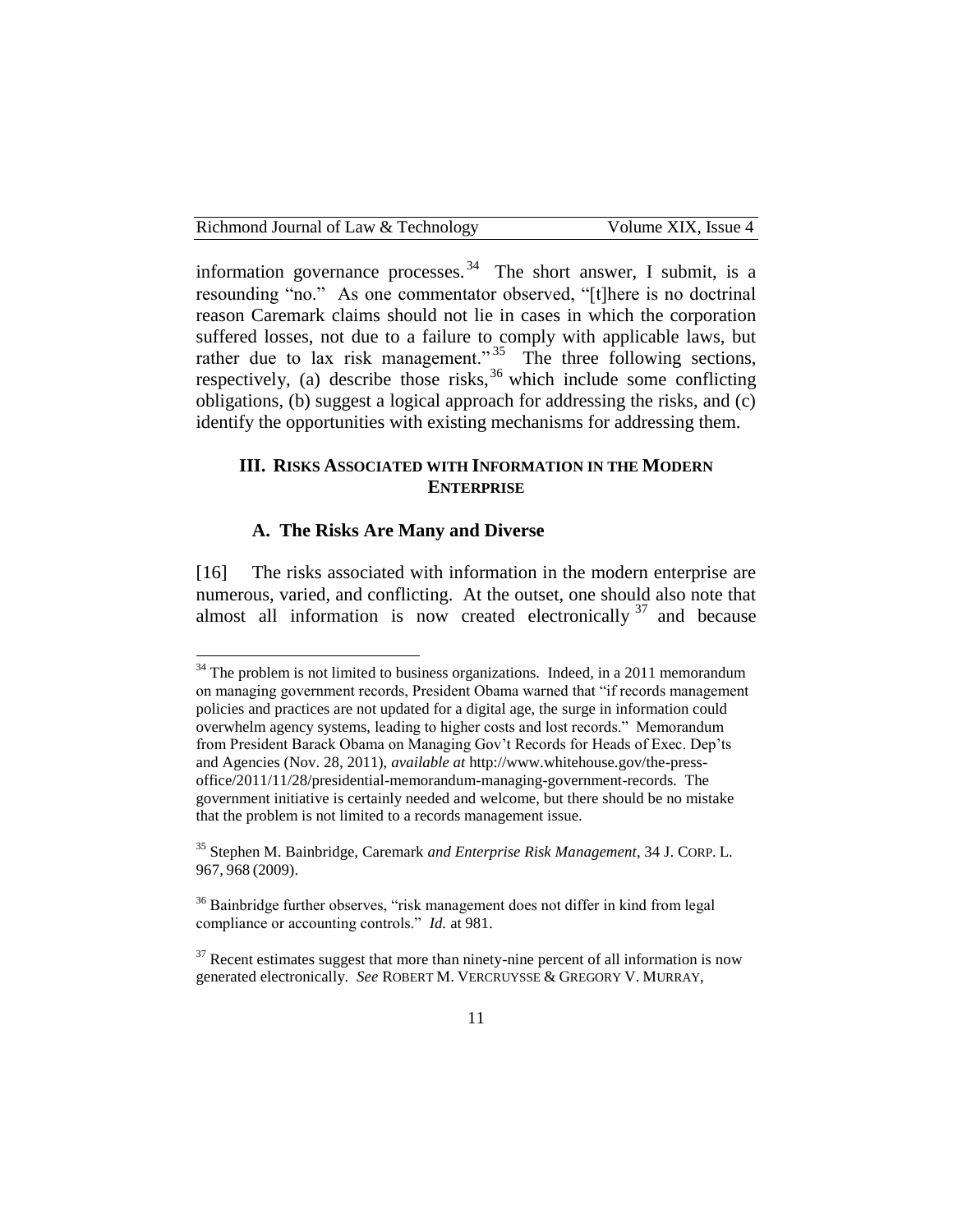information governance processes.  $34$  The short answer, I submit, is a resounding "no." As one commentator observed, "[t]here is no doctrinal reason Caremark claims should not lie in cases in which the corporation suffered losses, not due to a failure to comply with applicable laws, but rather due to lax risk management."<sup>35</sup> The three following sections, respectively, (a) describe those risks,  $36$  which include some conflicting obligations, (b) suggest a logical approach for addressing the risks, and (c) identify the opportunities with existing mechanisms for addressing them.

#### **III. RISKS ASSOCIATED WITH INFORMATION IN THE MODERN ENTERPRISE**

#### **A. The Risks Are Many and Diverse**

 $\overline{\phantom{a}}$ 

[16] The risks associated with information in the modern enterprise are numerous, varied, and conflicting. At the outset, one should also note that almost all information is now created electronically  $37$  and because

 $34$  The problem is not limited to business organizations. Indeed, in a 2011 memorandum on managing government records, President Obama warned that "if records management policies and practices are not updated for a digital age, the surge in information could overwhelm agency systems, leading to higher costs and lost records." Memorandum from President Barack Obama on Managing Gov't Records for Heads of Exec. Dep'ts and Agencies (Nov. 28, 2011), *available at* http://www.whitehouse.gov/the-pressoffice/2011/11/28/presidential-memorandum-managing-government-records*.* The government initiative is certainly needed and welcome, but there should be no mistake that the problem is not limited to a records management issue.

<sup>35</sup> Stephen M. Bainbridge, Caremark *and Enterprise Risk Management*, 34 J. CORP. L. 967, 968 (2009).

<sup>&</sup>lt;sup>36</sup> Bainbridge further observes, "risk management does not differ in kind from legal compliance or accounting controls." *Id.* at 981.

 $37$  Recent estimates suggest that more than ninety-nine percent of all information is now generated electronically. *See* ROBERT M. VERCRUYSSE & GREGORY V. MURRAY,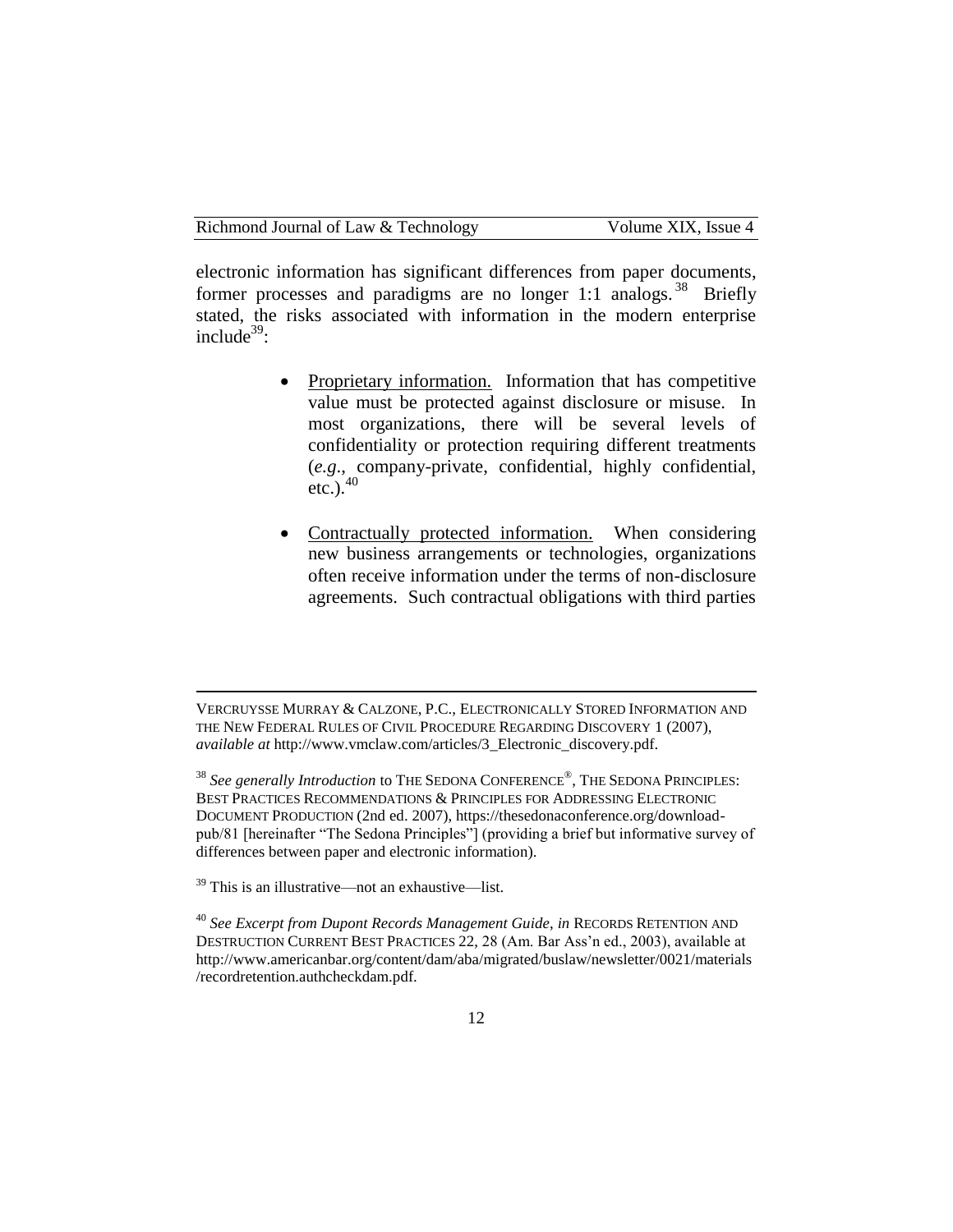electronic information has significant differences from paper documents, former processes and paradigms are no longer 1:1 analogs.<sup>38</sup> Briefly stated, the risks associated with information in the modern enterprise include $39$ :

- Proprietary information. Information that has competitive value must be protected against disclosure or misuse. In most organizations, there will be several levels of confidentiality or protection requiring different treatments (*e.g*., company-private, confidential, highly confidential, etc.). $40$
- Contractually protected information. When considering new business arrangements or technologies, organizations often receive information under the terms of non-disclosure agreements. Such contractual obligations with third parties

l

VERCRUYSSE MURRAY & CALZONE, P.C., ELECTRONICALLY STORED INFORMATION AND THE NEW FEDERAL RULES OF CIVIL PROCEDURE REGARDING DISCOVERY 1 (2007), *available at* http://www.vmclaw.com/articles/3\_Electronic\_discovery.pdf.

<sup>&</sup>lt;sup>38</sup> See generally Introduction to THE SEDONA CONFERENCE®, THE SEDONA PRINCIPLES: BEST PRACTICES RECOMMENDATIONS & PRINCIPLES FOR ADDRESSING ELECTRONIC DOCUMENT PRODUCTION (2nd ed. 2007), https://thesedonaconference.org/downloadpub/81 [hereinafter "The Sedona Principles"] (providing a brief but informative survey of differences between paper and electronic information).

 $39$  This is an illustrative—not an exhaustive—list.

<sup>40</sup> *See Excerpt from Dupont Records Management Guide*, *in* RECORDS RETENTION AND DESTRUCTION CURRENT BEST PRACTICES 22, 28 (Am. Bar Ass'n ed., 2003), available at http://www.americanbar.org/content/dam/aba/migrated/buslaw/newsletter/0021/materials /recordretention.authcheckdam.pdf.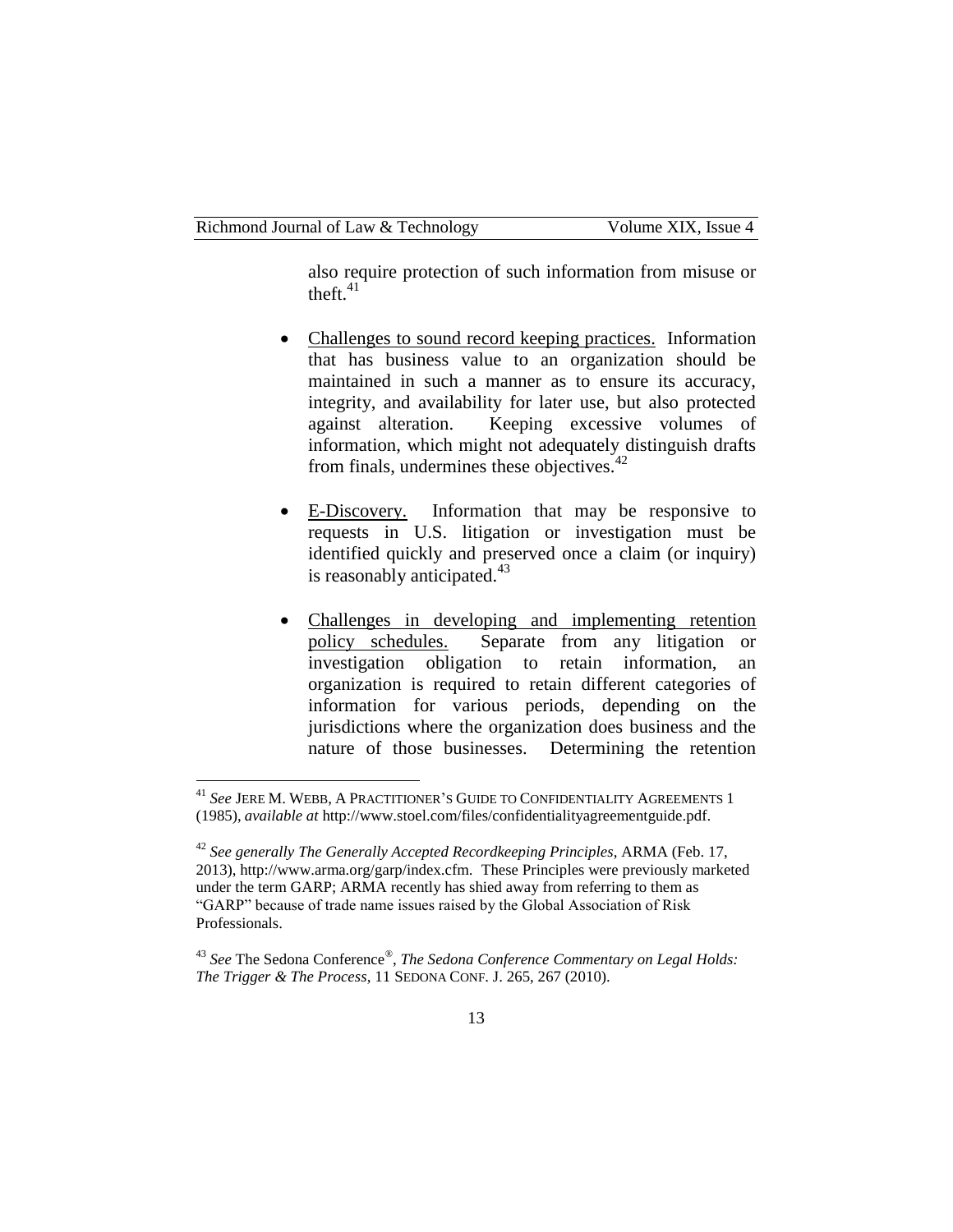also require protection of such information from misuse or theft. $41$ 

- Challenges to sound record keeping practices. Information that has business value to an organization should be maintained in such a manner as to ensure its accuracy, integrity, and availability for later use, but also protected against alteration. Keeping excessive volumes of information, which might not adequately distinguish drafts from finals, undermines these objectives. $42$
- E-Discovery. Information that may be responsive to requests in U.S. litigation or investigation must be identified quickly and preserved once a claim (or inquiry) is reasonably anticipated. $43$
- Challenges in developing and implementing retention policy schedules. Separate from any litigation or investigation obligation to retain information, an organization is required to retain different categories of information for various periods, depending on the jurisdictions where the organization does business and the nature of those businesses. Determining the retention

<sup>41</sup> *See* JERE M. WEBB, A PRACTITIONER'S GUIDE TO CONFIDENTIALITY AGREEMENTS 1 (1985), *available at* http://www.stoel.com/files/confidentialityagreementguide.pdf.

<sup>42</sup> *See generally The Generally Accepted Recordkeeping Principles*, ARMA (Feb. 17, 2013), http://www.arma.org/garp/index.cfm. These Principles were previously marketed under the term GARP; ARMA recently has shied away from referring to them as "GARP" because of trade name issues raised by the Global Association of Risk Professionals.

<sup>43</sup> *See* The Sedona Conference*®* , *The Sedona Conference Commentary on Legal Holds: The Trigger & The Process*, 11 SEDONA CONF. J. 265, 267 (2010).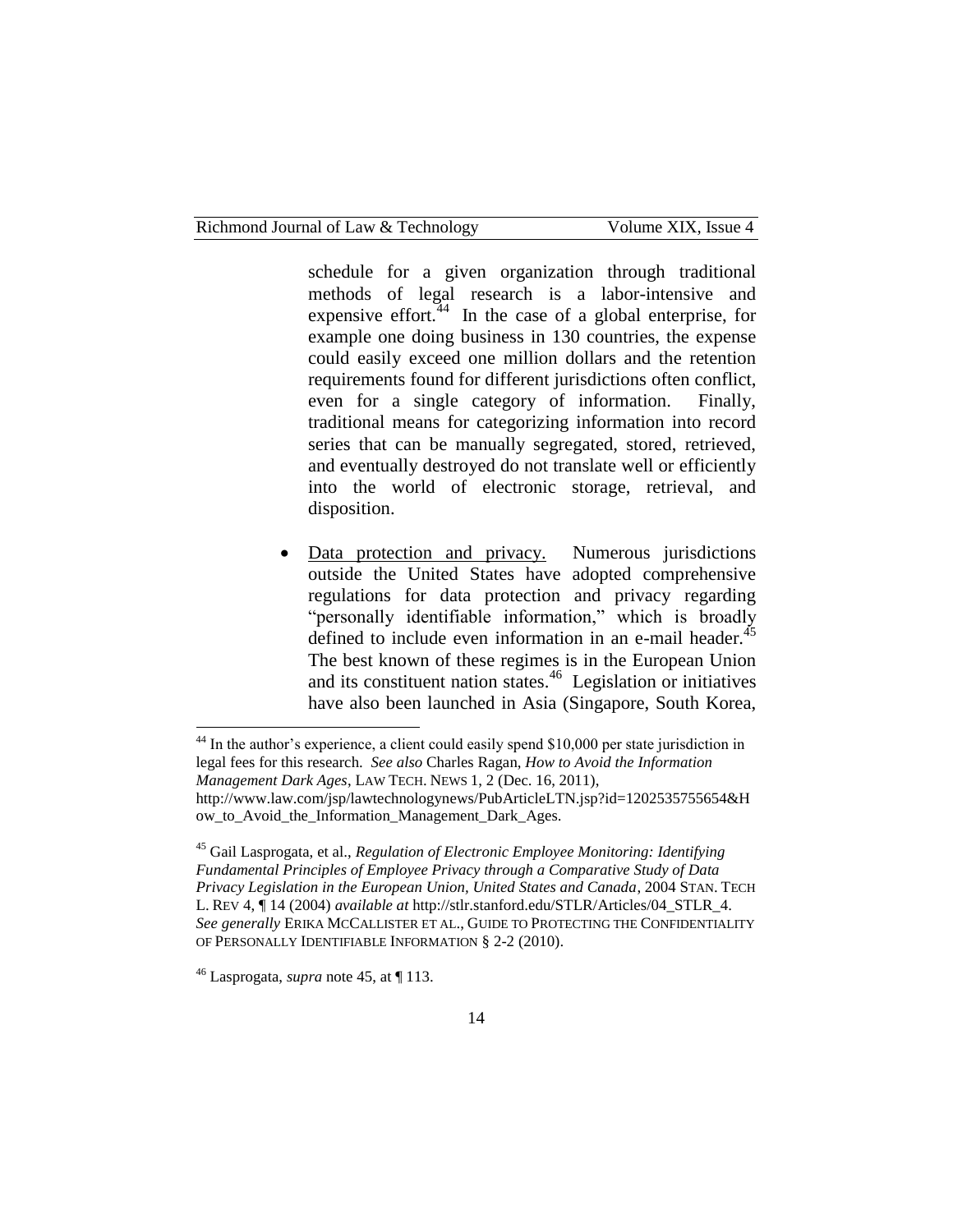schedule for a given organization through traditional methods of legal research is a labor-intensive and expensive effort.  $44$  In the case of a global enterprise, for example one doing business in 130 countries, the expense could easily exceed one million dollars and the retention requirements found for different jurisdictions often conflict, even for a single category of information. Finally, traditional means for categorizing information into record series that can be manually segregated, stored, retrieved, and eventually destroyed do not translate well or efficiently into the world of electronic storage, retrieval, and disposition.

 Data protection and privacy. Numerous jurisdictions outside the United States have adopted comprehensive regulations for data protection and privacy regarding "personally identifiable information," which is broadly defined to include even information in an e-mail header. $45$ The best known of these regimes is in the European Union and its constituent nation states.<sup>46</sup> Legislation or initiatives have also been launched in Asia (Singapore, South Korea,

<sup>44</sup> In the author's experience, a client could easily spend \$10,000 per state jurisdiction in legal fees for this research. *See also* Charles Ragan, *How to Avoid the Information Management Dark Ages*, LAW TECH. NEWS 1, 2 (Dec. 16, 2011), http://www.law.com/jsp/lawtechnologynews/PubArticleLTN.jsp?id=1202535755654&H

 $\overline{\phantom{a}}$ 

ow to Avoid the Information Management Dark Ages.

<sup>45</sup> Gail Lasprogata, et al., *Regulation of Electronic Employee Monitoring: Identifying Fundamental Principles of Employee Privacy through a Comparative Study of Data Privacy Legislation in the European Union, United States and Canada*, 2004 STAN. TECH L. REV 4, ¶ 14 (2004) *available at* http://stlr.stanford.edu/STLR/Articles/04\_STLR\_4. *See generally* ERIKA MCCALLISTER ET AL., GUIDE TO PROTECTING THE CONFIDENTIALITY OF PERSONALLY IDENTIFIABLE INFORMATION § 2-2 (2010).

<sup>46</sup> Lasprogata, *supra* note 45, at ¶ 113.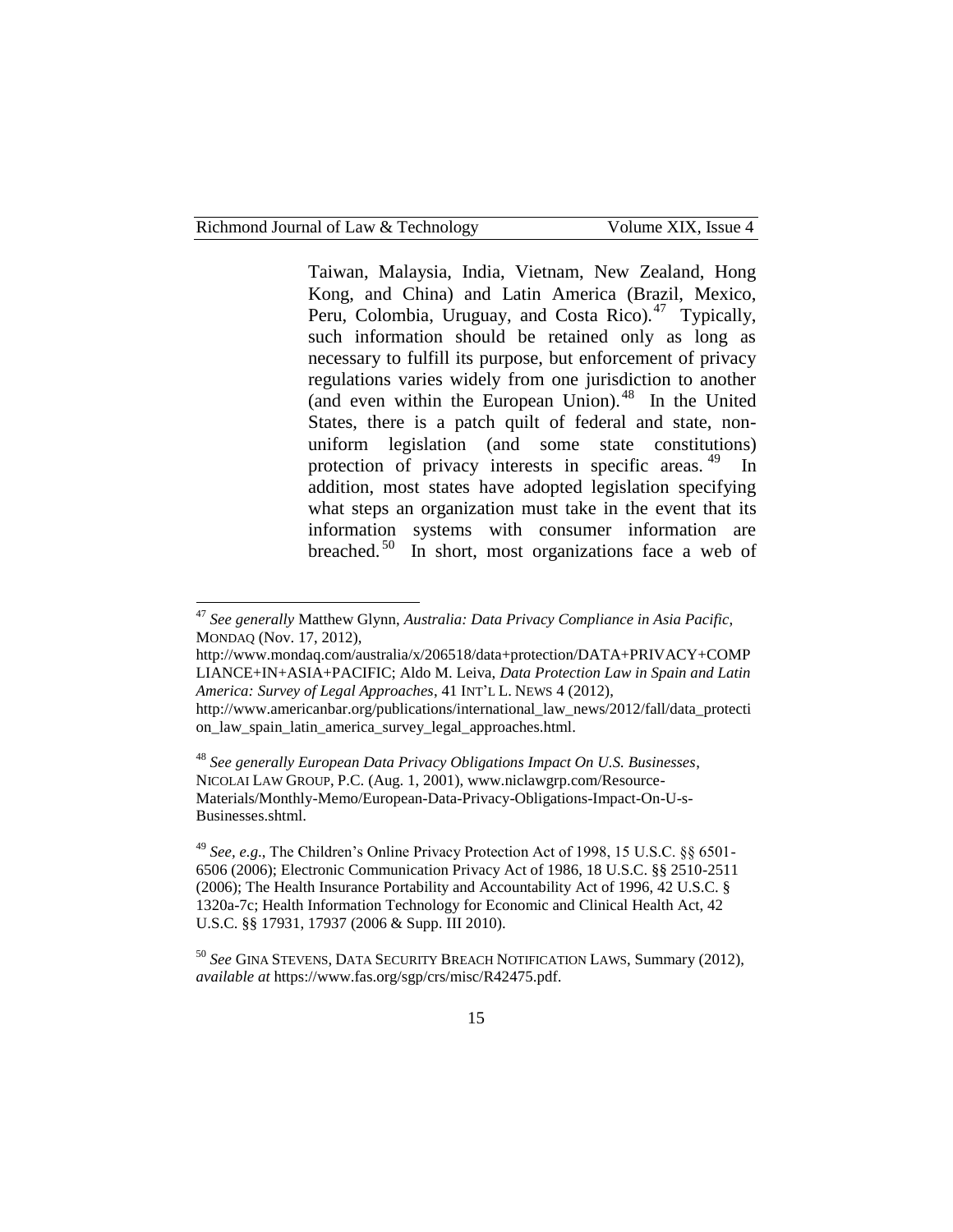Taiwan, Malaysia, India, Vietnam, New Zealand, Hong Kong, and China) and Latin America (Brazil, Mexico, Peru, Colombia, Uruguay, and Costa Rico).<sup>47</sup> Typically, such information should be retained only as long as necessary to fulfill its purpose, but enforcement of privacy regulations varies widely from one jurisdiction to another (and even within the European Union). <sup>48</sup> In the United States, there is a patch quilt of federal and state, nonuniform legislation (and some state constitutions) protection of privacy interests in specific areas.<sup>49</sup> In addition, most states have adopted legislation specifying what steps an organization must take in the event that its information systems with consumer information are breached.<sup>50</sup> In short, most organizations face a web of

<sup>48</sup> *See generally European Data Privacy Obligations Impact On U.S. Businesses*, NICOLAI LAW GROUP, P.C. (Aug. 1, 2001), www.niclawgrp.com/Resource-Materials/Monthly-Memo/European-Data-Privacy-Obligations-Impact-On-U-s-Businesses.shtml.

<sup>49</sup> *See, e.g*., The Children's Online Privacy Protection Act of 1998, 15 U.S.C. §§ 6501- 6506 (2006); Electronic Communication Privacy Act of 1986, 18 U.S.C. §§ 2510-2511 (2006); The Health Insurance Portability and Accountability Act of 1996, 42 U.S.C. § 1320a-7c; Health Information Technology for Economic and Clinical Health Act, 42 U.S.C. §§ 17931, 17937 (2006 & Supp. III 2010).

<sup>47</sup> *See generally* Matthew Glynn, *Australia: Data Privacy Compliance in Asia Pacific*, MONDAQ (Nov. 17, 2012),

http://www.mondaq.com/australia/x/206518/data+protection/DATA+PRIVACY+COMP LIANCE+IN+ASIA+PACIFIC; Aldo M. Leiva, *Data Protection Law in Spain and Latin America: Survey of Legal Approaches*, 41 INT'L L. NEWS 4 (2012), http://www.americanbar.org/publications/international\_law\_news/2012/fall/data\_protecti

on\_law\_spain\_latin\_america\_survey\_legal\_approaches.html.

<sup>50</sup> *See* GINA STEVENS, DATA SECURITY BREACH NOTIFICATION LAWS, Summary (2012), *available at* https://www.fas.org/sgp/crs/misc/R42475.pdf.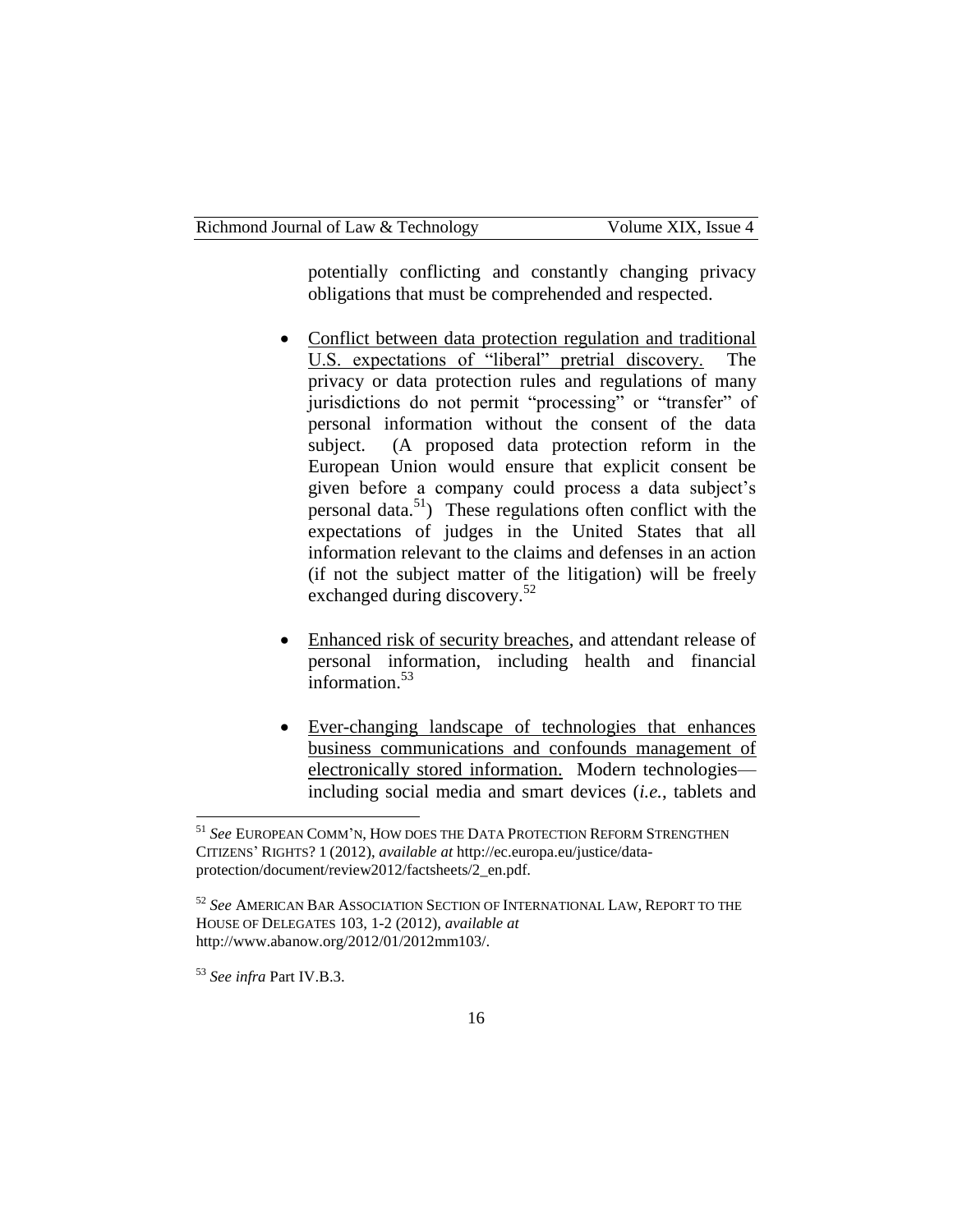potentially conflicting and constantly changing privacy obligations that must be comprehended and respected.

- Conflict between data protection regulation and traditional U.S. expectations of "liberal" pretrial discovery. The privacy or data protection rules and regulations of many jurisdictions do not permit "processing" or "transfer" of personal information without the consent of the data subject. (A proposed data protection reform in the European Union would ensure that explicit consent be given before a company could process a data subject's personal data.<sup>51</sup>)These regulations often conflict with the expectations of judges in the United States that all information relevant to the claims and defenses in an action (if not the subject matter of the litigation) will be freely exchanged during discovery.<sup>52</sup>
- Enhanced risk of security breaches, and attendant release of personal information, including health and financial information. $53$
- Ever-changing landscape of technologies that enhances business communications and confounds management of electronically stored information. Modern technologies including social media and smart devices (*i.e.*, tablets and

<sup>53</sup> *See infra* Part IV.B.3.

<sup>51</sup> *See* EUROPEAN COMM'N, HOW DOES THE DATA PROTECTION REFORM STRENGTHEN CITIZENS' RIGHTS? 1 (2012), *available at* http://ec.europa.eu/justice/dataprotection/document/review2012/factsheets/2\_en.pdf.

<sup>52</sup> *See* AMERICAN BAR ASSOCIATION SECTION OF INTERNATIONAL LAW, REPORT TO THE HOUSE OF DELEGATES 103, 1-2 (2012), *available at*  http://www.abanow.org/2012/01/2012mm103/.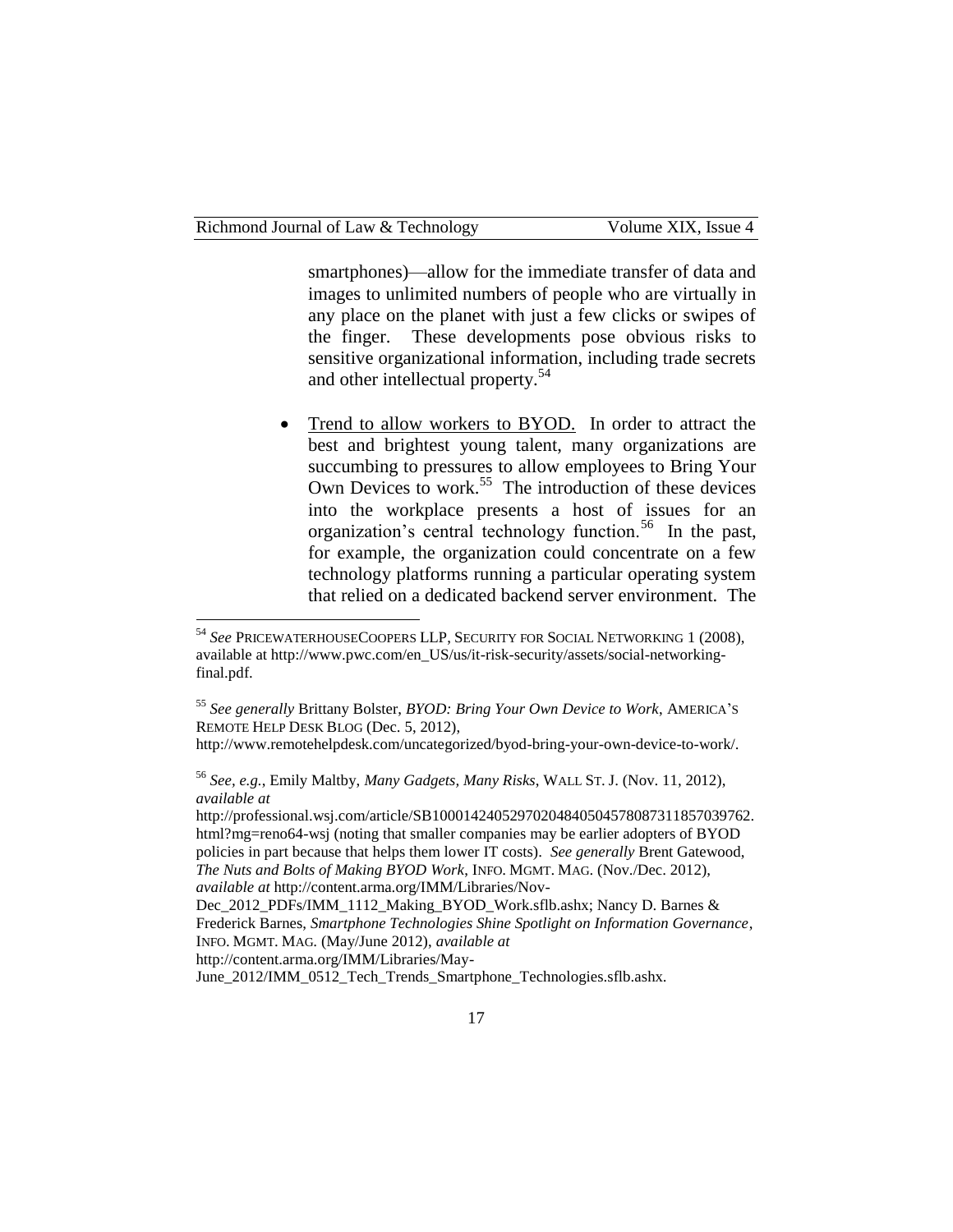smartphones)—allow for the immediate transfer of data and images to unlimited numbers of people who are virtually in any place on the planet with just a few clicks or swipes of the finger. These developments pose obvious risks to sensitive organizational information, including trade secrets and other intellectual property.<sup>54</sup>

• Trend to allow workers to BYOD. In order to attract the best and brightest young talent, many organizations are succumbing to pressures to allow employees to Bring Your Own Devices to work.<sup>55</sup> The introduction of these devices into the workplace presents a host of issues for an organization's central technology function.<sup>56</sup> In the past, for example, the organization could concentrate on a few technology platforms running a particular operating system that relied on a dedicated backend server environment. The

l

<sup>54</sup> *See* PRICEWATERHOUSECOOPERS LLP, SECURITY FOR SOCIAL NETWORKING 1 (2008), available at http://www.pwc.com/en\_US/us/it-risk-security/assets/social-networkingfinal.pdf.

<sup>55</sup> *See generally* Brittany Bolster, *BYOD: Bring Your Own Device to Work*, AMERICA'<sup>S</sup> REMOTE HELP DESK BLOG (Dec. 5, 2012),

http://www.remotehelpdesk.com/uncategorized/byod-bring-your-own-device-to-work/.

<sup>56</sup> *See, e.g.*, Emily Maltby, *Many Gadgets, Many Risks*, WALL ST. J. (Nov. 11, 2012), *available at* 

http://professional.wsj.com/article/SB10001424052970204840504578087311857039762. html?mg=reno64-wsj (noting that smaller companies may be earlier adopters of BYOD policies in part because that helps them lower IT costs). *See generally* Brent Gatewood, *The Nuts and Bolts of Making BYOD Work*, INFO. MGMT. MAG. (Nov./Dec. 2012), *available at* http://content.arma.org/IMM/Libraries/Nov-

Dec\_2012\_PDFs/IMM\_1112\_Making\_BYOD\_Work.sflb.ashx; Nancy D. Barnes & Frederick Barnes, *Smartphone Technologies Shine Spotlight on Information Governance*, INFO. MGMT. MAG. (May/June 2012), *available at* 

http://content.arma.org/IMM/Libraries/May-

June 2012/IMM\_0512\_Tech\_Trends\_Smartphone\_Technologies.sflb.ashx.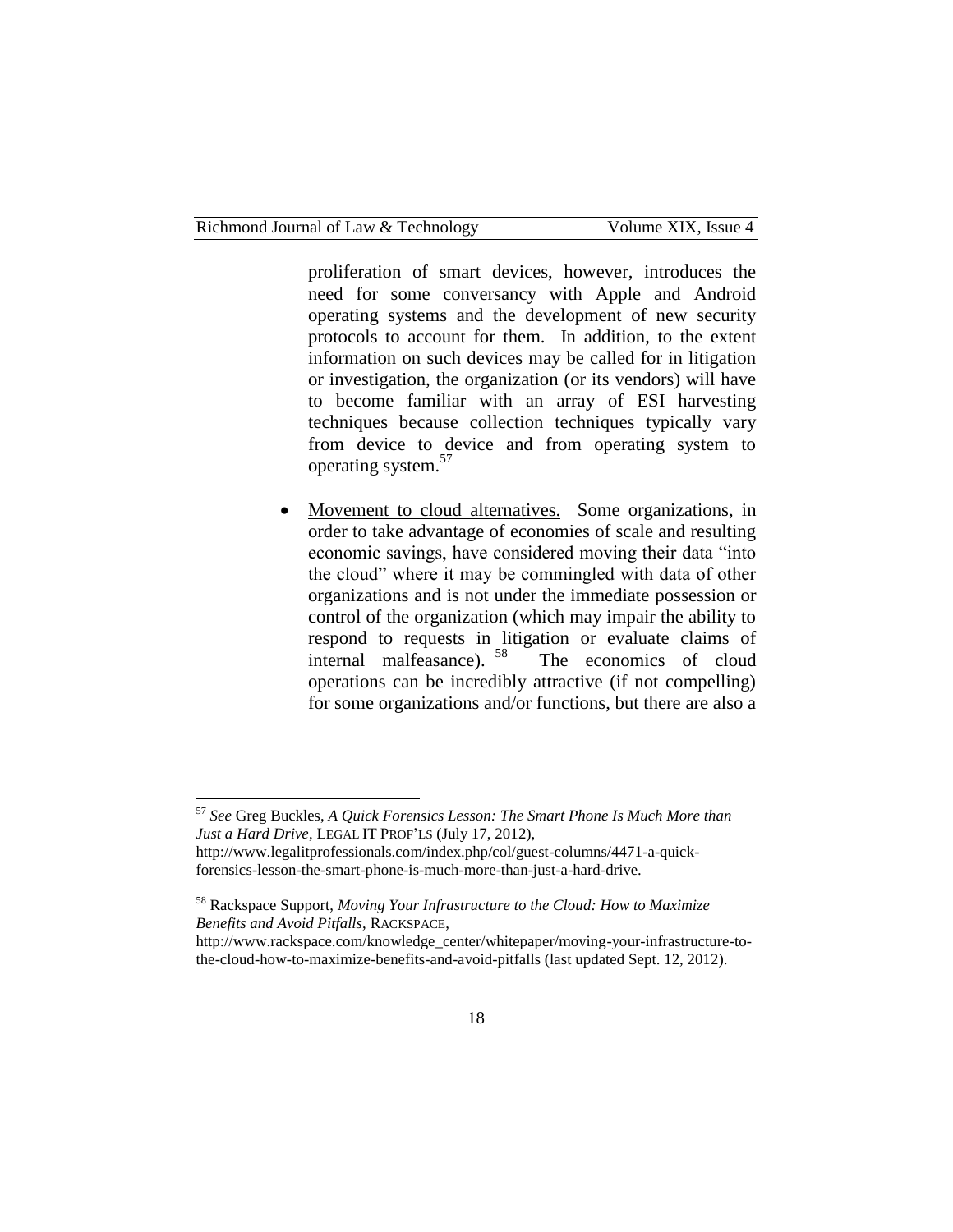l

proliferation of smart devices, however, introduces the need for some conversancy with Apple and Android operating systems and the development of new security protocols to account for them. In addition, to the extent information on such devices may be called for in litigation or investigation, the organization (or its vendors) will have to become familiar with an array of ESI harvesting techniques because collection techniques typically vary from device to device and from operating system to operating system.<sup>57</sup>

 Movement to cloud alternatives. Some organizations, in order to take advantage of economies of scale and resulting economic savings, have considered moving their data "into the cloud" where it may be commingled with data of other organizations and is not under the immediate possession or control of the organization (which may impair the ability to respond to requests in litigation or evaluate claims of internal malfeasance). <sup>58</sup> The economics of cloud operations can be incredibly attractive (if not compelling) for some organizations and/or functions, but there are also a

<sup>57</sup> *See* Greg Buckles, *A Quick Forensics Lesson: The Smart Phone Is Much More than Just a Hard Drive*, LEGAL IT PROF'LS (July 17, 2012),

http://www.legalitprofessionals.com/index.php/col/guest-columns/4471-a-quickforensics-lesson-the-smart-phone-is-much-more-than-just-a-hard-drive.

<sup>58</sup> Rackspace Support, *Moving Your Infrastructure to the Cloud: How to Maximize Benefits and Avoid Pitfalls*, RACKSPACE,

http://www.rackspace.com/knowledge\_center/whitepaper/moving-your-infrastructure-tothe-cloud-how-to-maximize-benefits-and-avoid-pitfalls (last updated Sept. 12, 2012).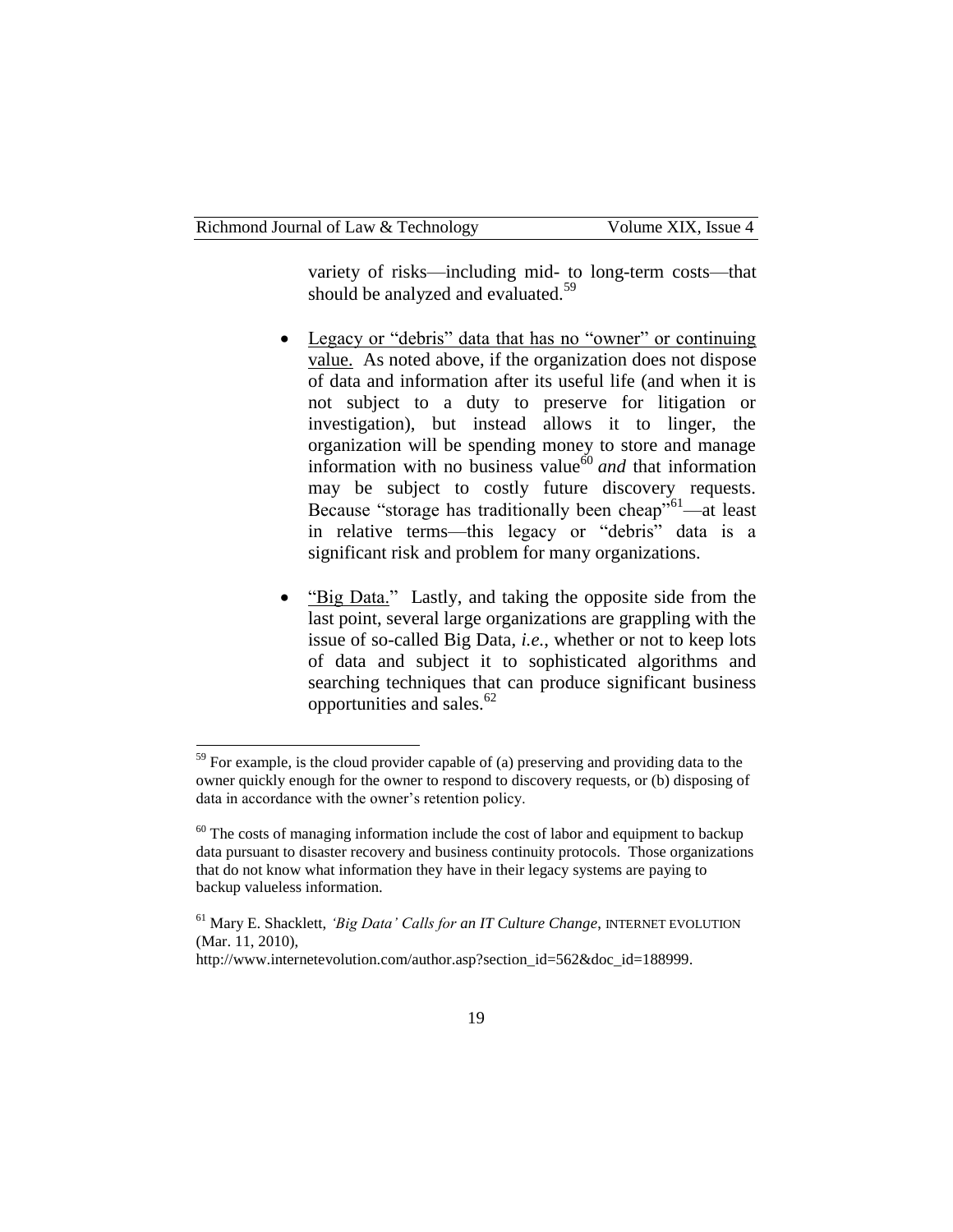variety of risks—including mid- to long-term costs—that should be analyzed and evaluated.<sup>59</sup>

- Legacy or "debris" data that has no "owner" or continuing value. As noted above, if the organization does not dispose of data and information after its useful life (and when it is not subject to a duty to preserve for litigation or investigation), but instead allows it to linger, the organization will be spending money to store and manage information with no business value<sup>60</sup> *and* that information may be subject to costly future discovery requests. Because "storage has traditionally been cheap"<sup>61</sup>—at least in relative terms—this legacy or "debris" data is a significant risk and problem for many organizations.
- "Big Data." Lastly, and taking the opposite side from the last point, several large organizations are grappling with the issue of so-called Big Data, *i.e.*, whether or not to keep lots of data and subject it to sophisticated algorithms and searching techniques that can produce significant business opportunities and sales. $62$

 $59$  For example, is the cloud provider capable of (a) preserving and providing data to the owner quickly enough for the owner to respond to discovery requests, or (b) disposing of data in accordance with the owner's retention policy.

 $60$  The costs of managing information include the cost of labor and equipment to backup data pursuant to disaster recovery and business continuity protocols. Those organizations that do not know what information they have in their legacy systems are paying to backup valueless information.

<sup>61</sup> Mary E. Shacklett, *'Big Data' Calls for an IT Culture Change*, INTERNET EVOLUTION (Mar. 11, 2010),

http://www.internetevolution.com/author.asp?section\_id=562&doc\_id=188999.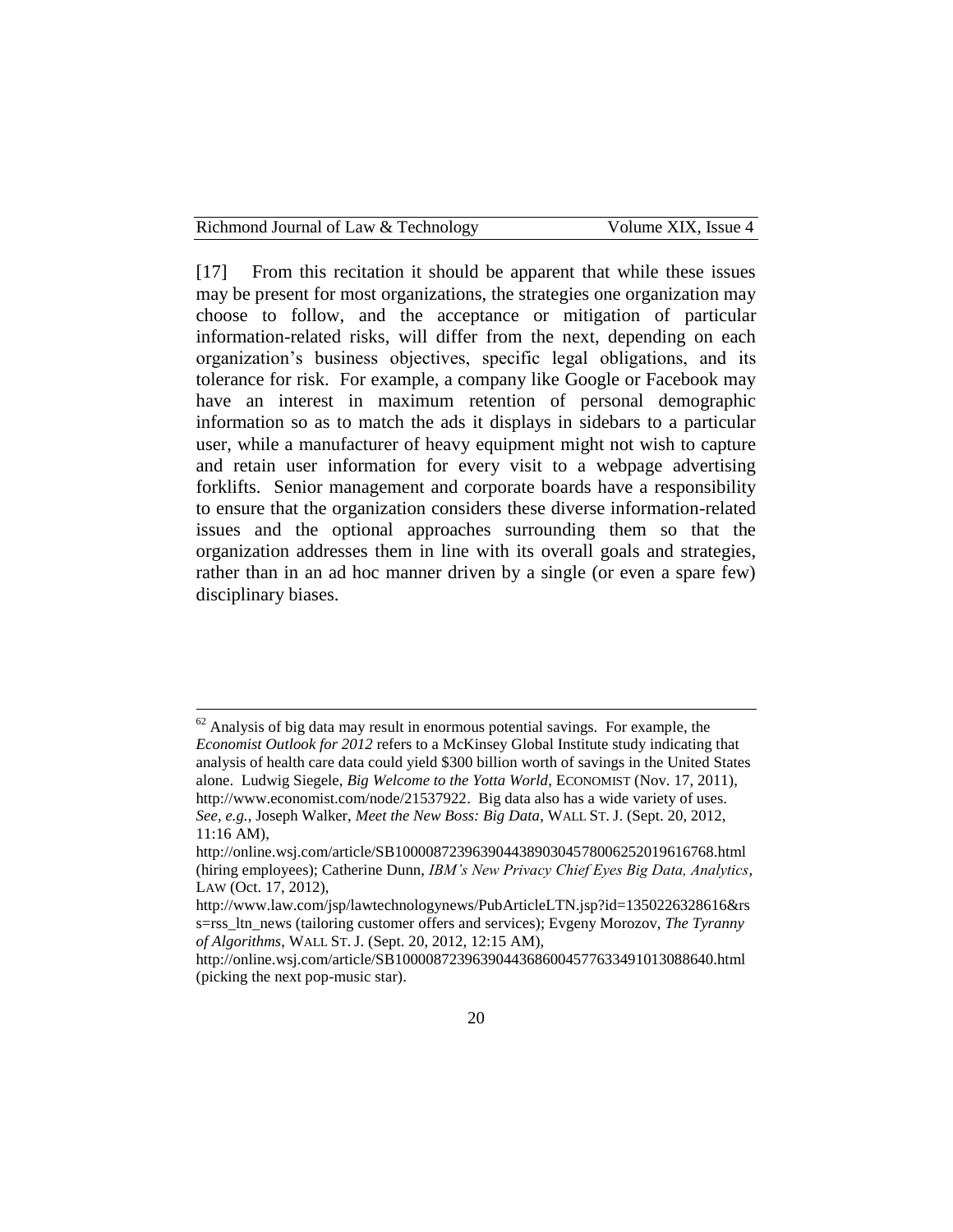| Richmond Journal of Law & Technology |
|--------------------------------------|
|--------------------------------------|

[17] From this recitation it should be apparent that while these issues may be present for most organizations, the strategies one organization may choose to follow, and the acceptance or mitigation of particular information-related risks, will differ from the next, depending on each organization's business objectives, specific legal obligations, and its tolerance for risk. For example, a company like Google or Facebook may have an interest in maximum retention of personal demographic information so as to match the ads it displays in sidebars to a particular user, while a manufacturer of heavy equipment might not wish to capture and retain user information for every visit to a webpage advertising forklifts. Senior management and corporate boards have a responsibility to ensure that the organization considers these diverse information-related issues and the optional approaches surrounding them so that the organization addresses them in line with its overall goals and strategies, rather than in an ad hoc manner driven by a single (or even a spare few) disciplinary biases.

 $62$  Analysis of big data may result in enormous potential savings. For example, the *Economist Outlook for 2012* refers to a McKinsey Global Institute study indicating that analysis of health care data could yield \$300 billion worth of savings in the United States alone. Ludwig Siegele, *Big Welcome to the Yotta World*, ECONOMIST (Nov. 17, 2011), [http://www.economist.com/node/21537922.](http://www.economist.com/node/21537922) Big data also has a wide variety of uses. *See, e.g.*, Joseph Walker, *Meet the New Boss: Big Data*, WALL ST. J. (Sept. 20, 2012, 11:16 AM),

http://online.wsj.com/article/SB10000872396390443890304578006252019616768.html (hiring employees); Catherine Dunn, *IBM's New Privacy Chief Eyes Big Data, Analytics*, LAW (Oct. 17, 2012),

http://www.law.com/jsp/lawtechnologynews/PubArticleLTN.jsp?id=1350226328616&rs s=rss\_ltn\_news (tailoring customer offers and services); Evgeny Morozov, *The Tyranny of Algorithms*, WALL ST. J. (Sept. 20, 2012, 12:15 AM),

http://online.wsj.com/article/SB10000872396390443686004577633491013088640.html (picking the next pop-music star).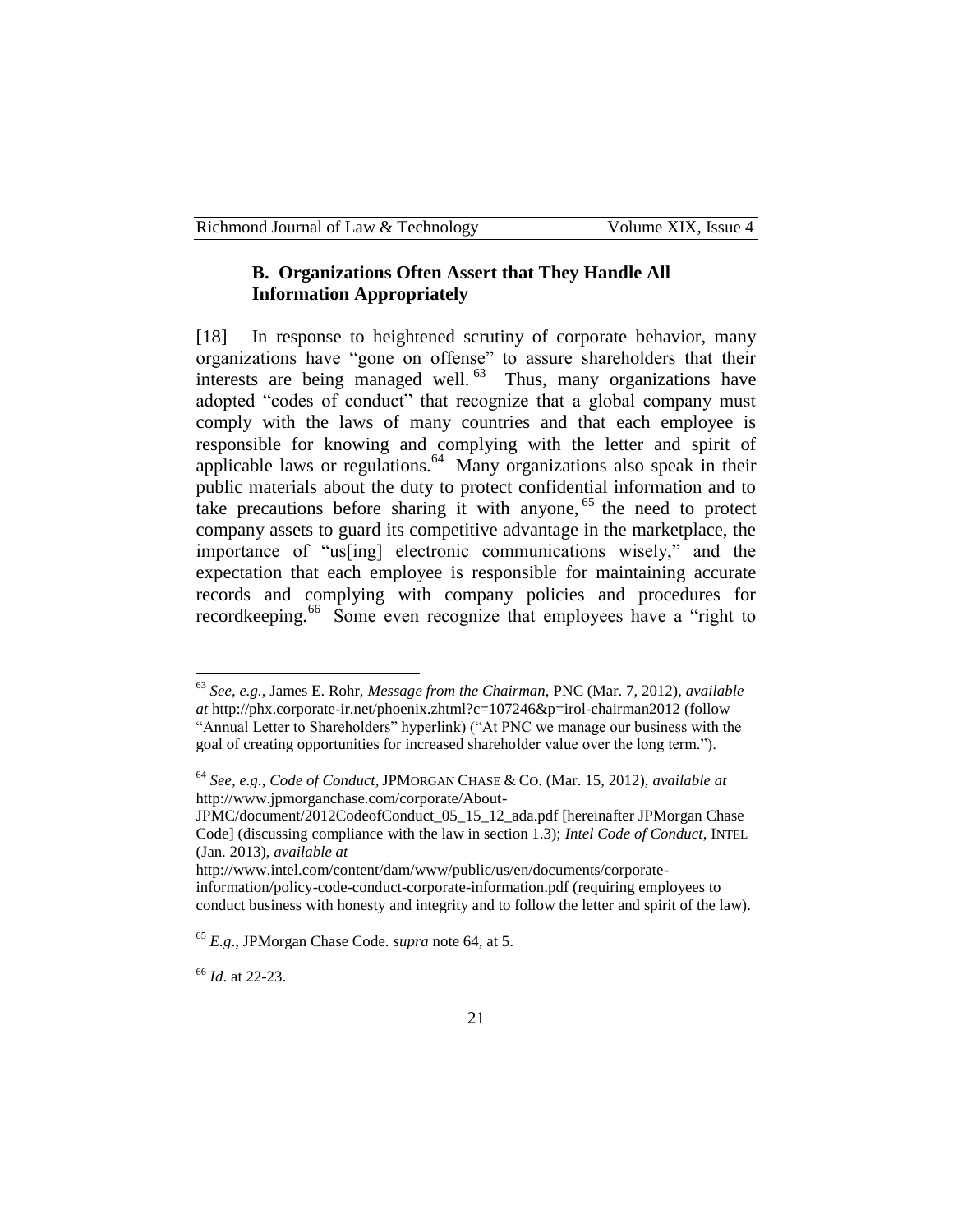#### **B. Organizations Often Assert that They Handle All Information Appropriately**

[18] In response to heightened scrutiny of corporate behavior, many organizations have "gone on offense" to assure shareholders that their interests are being managed well.<sup>63</sup> Thus, many organizations have adopted "codes of conduct" that recognize that a global company must comply with the laws of many countries and that each employee is responsible for knowing and complying with the letter and spirit of applicable laws or regulations.<sup>64</sup> Many organizations also speak in their public materials about the duty to protect confidential information and to take precautions before sharing it with anyone,  $65$  the need to protect company assets to guard its competitive advantage in the marketplace, the importance of "us[ing] electronic communications wisely," and the expectation that each employee is responsible for maintaining accurate records and complying with company policies and procedures for recordkeeping.<sup>66</sup> Some even recognize that employees have a "right to

<sup>63</sup> *See, e.g.*, James E. Rohr, *Message from the Chairman*, PNC (Mar. 7, 2012), *available at* http://phx.corporate-ir.net/phoenix.zhtml?c=107246&p=irol-chairman2012 (follow "Annual Letter to Shareholders" hyperlink) ("At PNC we manage our business with the goal of creating opportunities for increased shareholder value over the long term.").

<sup>64</sup> *See, e.g.*, *Code of Conduct,* JPMORGAN CHASE & CO. (Mar. 15, 2012), *available at* http://www.jpmorganchase.com/corporate/About-

JPMC/document/2012CodeofConduct\_05\_15\_12\_ada.pdf [hereinafter JPMorgan Chase Code] (discussing compliance with the law in section 1.3); *Intel Code of Conduct*, INTEL (Jan. 2013), *available at* 

http://www.intel.com/content/dam/www/public/us/en/documents/corporateinformation/policy-code-conduct-corporate-information.pdf (requiring employees to conduct business with honesty and integrity and to follow the letter and spirit of the law).

<sup>65</sup> *E.g*., JPMorgan Chase Code. *supra* note 64, at 5.

<sup>66</sup> *Id*. at 22-23.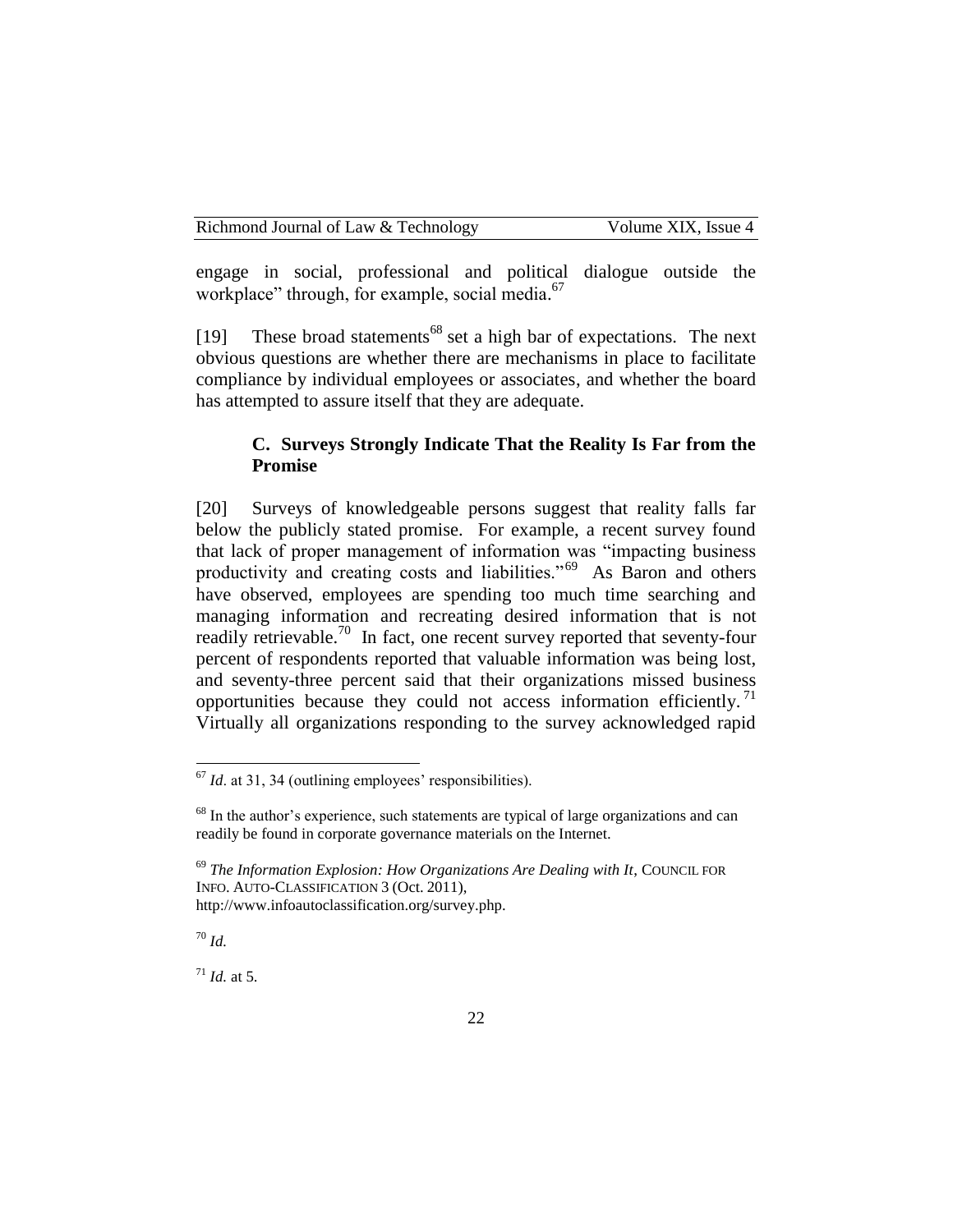engage in social, professional and political dialogue outside the workplace" through, for example, social media. 67

[19] These broad statements<sup>68</sup> set a high bar of expectations. The next obvious questions are whether there are mechanisms in place to facilitate compliance by individual employees or associates, and whether the board has attempted to assure itself that they are adequate.

## **C. Surveys Strongly Indicate That the Reality Is Far from the Promise**

[20] Surveys of knowledgeable persons suggest that reality falls far below the publicly stated promise. For example, a recent survey found that lack of proper management of information was "impacting business productivity and creating costs and liabilities."<sup>69</sup> As Baron and others have observed, employees are spending too much time searching and managing information and recreating desired information that is not readily retrievable.<sup>70</sup> In fact, one recent survey reported that seventy-four percent of respondents reported that valuable information was being lost, and seventy-three percent said that their organizations missed business opportunities because they could not access information efficiently.<sup>71</sup> Virtually all organizations responding to the survey acknowledged rapid

<sup>70</sup> *Id.*

 $\overline{a}$ 

 $171$  *Id.* at 5.

<sup>&</sup>lt;sup>67</sup> *Id.* at 31, 34 (outlining employees' responsibilities).

<sup>&</sup>lt;sup>68</sup> In the author's experience, such statements are typical of large organizations and can readily be found in corporate governance materials on the Internet.

<sup>69</sup> *The Information Explosion: How Organizations Are Dealing with It*, COUNCIL FOR INFO. AUTO-CLASSIFICATION 3 (Oct. 2011), http://www.infoautoclassification.org/survey.php.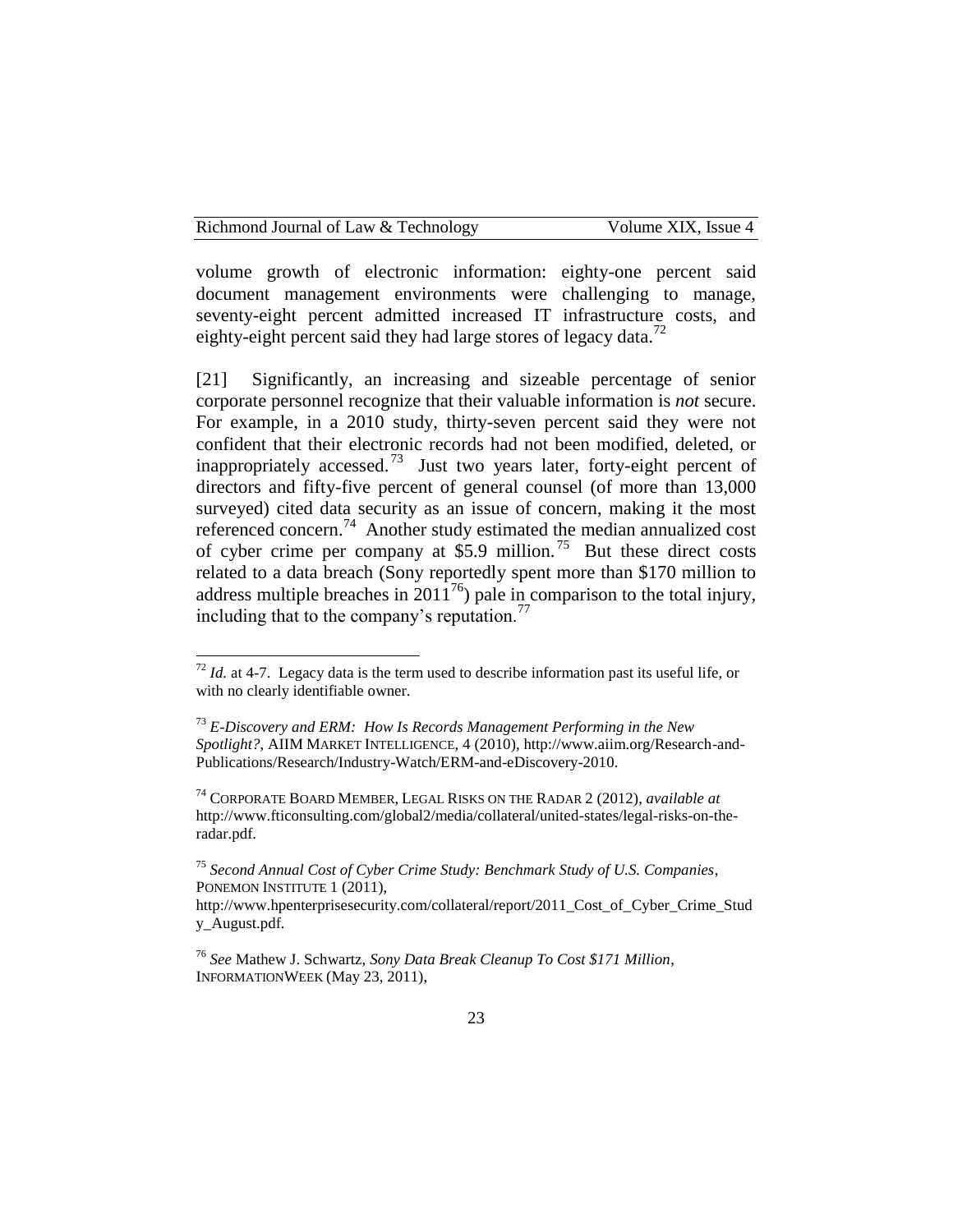volume growth of electronic information: eighty-one percent said document management environments were challenging to manage, seventy-eight percent admitted increased IT infrastructure costs, and eighty-eight percent said they had large stores of legacy data.<sup>72</sup>

[21] Significantly, an increasing and sizeable percentage of senior corporate personnel recognize that their valuable information is *not* secure. For example, in a 2010 study, thirty-seven percent said they were not confident that their electronic records had not been modified, deleted, or inappropriately accessed.<sup>73</sup> Just two years later, forty-eight percent of directors and fifty-five percent of general counsel (of more than 13,000 surveyed) cited data security as an issue of concern, making it the most referenced concern.<sup>74</sup> Another study estimated the median annualized cost of cyber crime per company at \$5.9 million.<sup>75</sup> But these direct costs related to a data breach (Sony reportedly spent more than \$170 million to address multiple breaches in  $2011^{76}$ ) pale in comparison to the total injury, including that to the company's reputation. $^{77}$ 

 $72$  *Id.* at 4-7. Legacy data is the term used to describe information past its useful life, or with no clearly identifiable owner.

<sup>73</sup> *E-Discovery and ERM: How Is Records Management Performing in the New Spotlight?*, AIIM MARKET INTELLIGENCE, 4 (2010), http://www.aiim.org/Research-and-Publications/Research/Industry-Watch/ERM-and-eDiscovery-2010.

<sup>74</sup> CORPORATE BOARD MEMBER, LEGAL RISKS ON THE RADAR 2 (2012), *available at*  http://www.fticonsulting.com/global2/media/collateral/united-states/legal-risks-on-theradar.pdf.

<sup>75</sup> *Second Annual Cost of Cyber Crime Study: Benchmark Study of U.S. Companies*, PONEMON INSTITUTE 1 (2011),

http://www.hpenterprisesecurity.com/collateral/report/2011\_Cost\_of\_Cyber\_Crime\_Stud y\_August.pdf.

<sup>76</sup> *See* Mathew J. Schwartz, *Sony Data Break Cleanup To Cost \$171 Million*, INFORMATIONWEEK (May 23, 2011),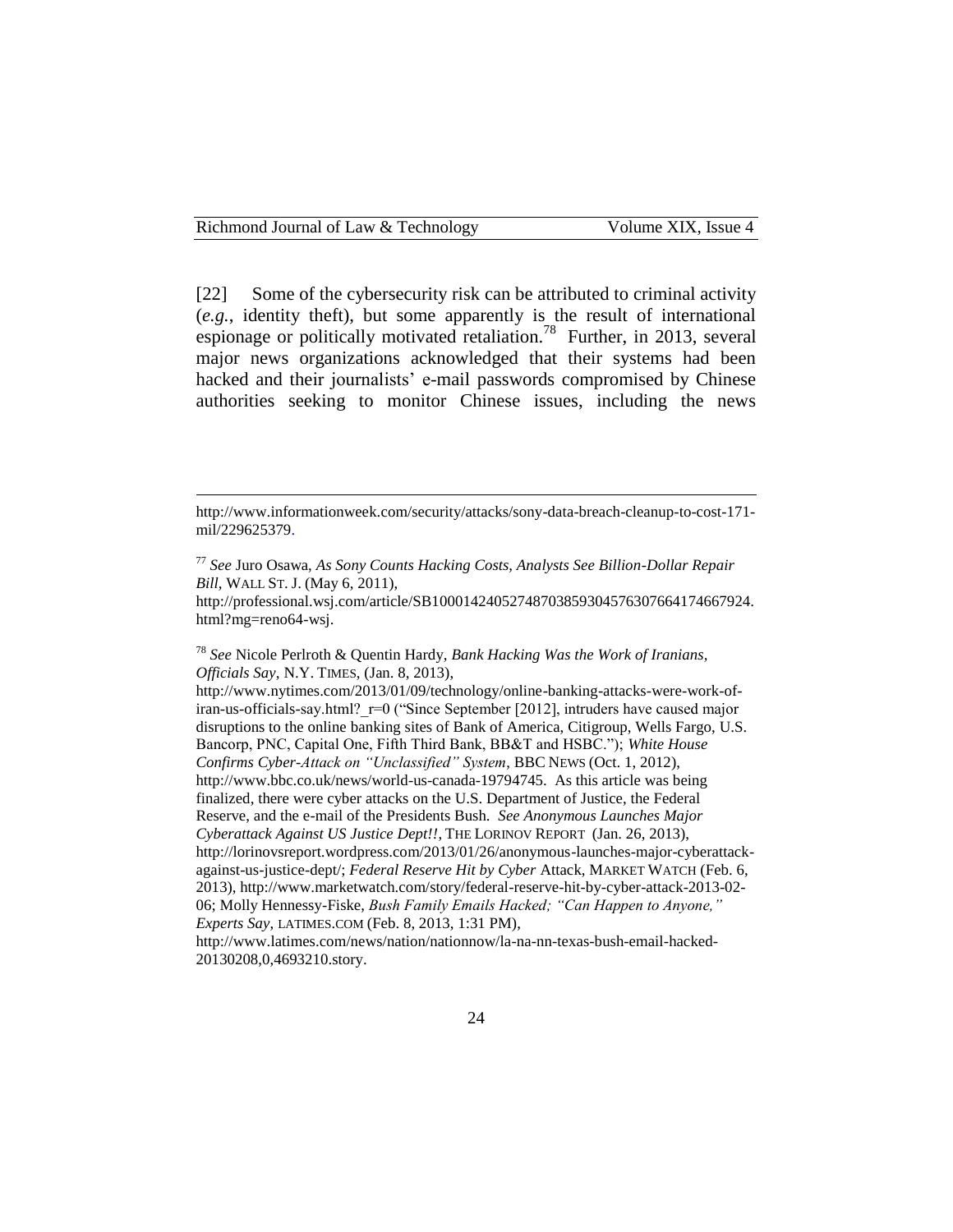[22] Some of the cybersecurity risk can be attributed to criminal activity (*e.g.*, identity theft), but some apparently is the result of international espionage or politically motivated retaliation.<sup>78</sup> Further, in 2013, several major news organizations acknowledged that their systems had been hacked and their journalists' e-mail passwords compromised by Chinese authorities seeking to monitor Chinese issues, including the news

http://professional.wsj.com/article/SB10001424052748703859304576307664174667924. html?mg=reno64-wsj.

<sup>78</sup> *See* Nicole Perlroth & Quentin Hardy, *Bank Hacking Was the Work of Iranians, Officials Say*, N.Y. TIMES, (Jan. 8, 2013),

http://www.nytimes.com/2013/01/09/technology/online-banking-attacks-were-work-ofiran-us-officials-say.html? r=0 ("Since September [2012], intruders have caused major disruptions to the online banking sites of Bank of America, Citigroup, Wells Fargo, U.S. Bancorp, PNC, Capital One, Fifth Third Bank, BB&T and HSBC."); *White House Confirms Cyber-Attack on "Unclassified" System*, BBC NEWS (Oct. 1, 2012), http://www.bbc.co.uk/news/world-us-canada-19794745. As this article was being finalized, there were cyber attacks on the U.S. Department of Justice, the Federal Reserve, and the e-mail of the Presidents Bush. *See Anonymous Launches Major Cyberattack Against US Justice Dept!!*, THE LORINOV REPORT (Jan. 26, 2013), http://lorinovsreport.wordpress.com/2013/01/26/anonymous-launches-major-cyberattackagainst-us-justice-dept/; *Federal Reserve Hit by Cyber* Attack, MARKET WATCH (Feb. 6, 2013), http://www.marketwatch.com/story/federal-reserve-hit-by-cyber-attack-2013-02- 06; Molly Hennessy-Fiske, *Bush Family Emails Hacked; "Can Happen to Anyone," Experts Say*, LATIMES.COM (Feb. 8, 2013, 1:31 PM),

http://www.latimes.com/news/nation/nationnow/la-na-nn-texas-bush-email-hacked-20130208,0,4693210.story.

http://www.informationweek.com/security/attacks/sony-data-breach-cleanup-to-cost-171 mil/229625379.

<sup>77</sup> *See* Juro Osawa, *As Sony Counts Hacking Costs, Analysts See Billion-Dollar Repair Bill,* WALL ST. J. (May 6, 2011),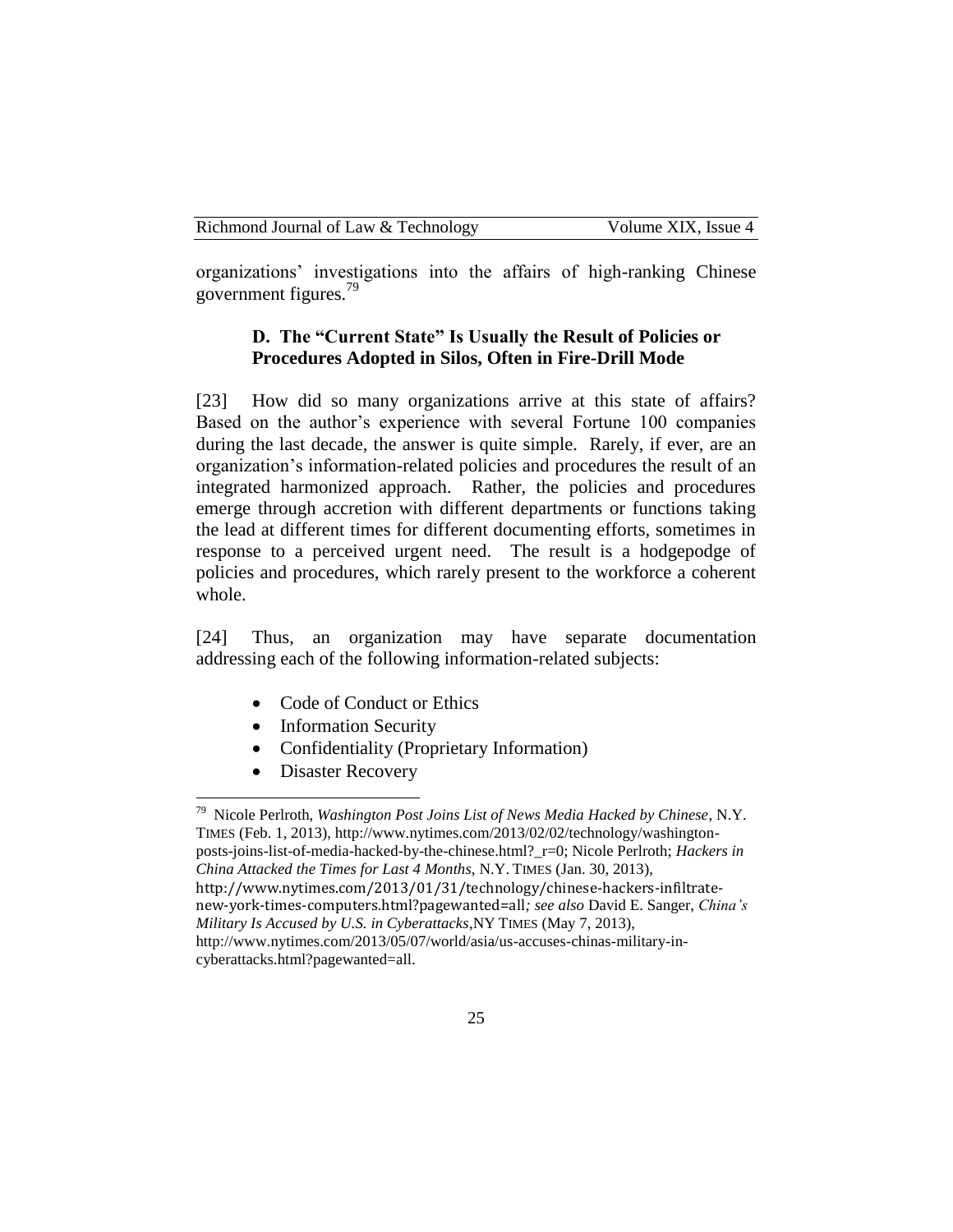organizations' investigations into the affairs of high-ranking Chinese government figures.<sup>79</sup>

# **D. The "Current State" Is Usually the Result of Policies or Procedures Adopted in Silos, Often in Fire-Drill Mode**

[23] How did so many organizations arrive at this state of affairs? Based on the author's experience with several Fortune 100 companies during the last decade, the answer is quite simple. Rarely, if ever, are an organization's information-related policies and procedures the result of an integrated harmonized approach. Rather, the policies and procedures emerge through accretion with different departments or functions taking the lead at different times for different documenting efforts, sometimes in response to a perceived urgent need. The result is a hodgepodge of policies and procedures, which rarely present to the workforce a coherent whole.

[24] Thus, an organization may have separate documentation addressing each of the following information-related subjects:

- Code of Conduct or Ethics
- Information Security
- Confidentiality (Proprietary Information)
- Disaster Recovery

 79 Nicole Perlroth, *Washington Post Joins List of News Media Hacked by Chinese*, N.Y. TIMES (Feb. 1, 2013), http://www.nytimes.com/2013/02/02/technology/washingtonposts-joins-list-of-media-hacked-by-the-chinese.html?\_r=0; Nicole Perlroth; *Hackers in China Attacked the Times for Last 4 Months,* N.Y. TIMES (Jan. 30, 2013), http://www.nytimes.com/2013/01/31/technology/chinese-hackers-infiltratenew-york-times-computers.html?pagewanted=all*; see also* David E. Sanger, *China's Military Is Accused by U.S. in Cyberattacks*,NY TIMES (May 7, 2013), http://www.nytimes.com/2013/05/07/world/asia/us-accuses-chinas-military-incyberattacks.html?pagewanted=all.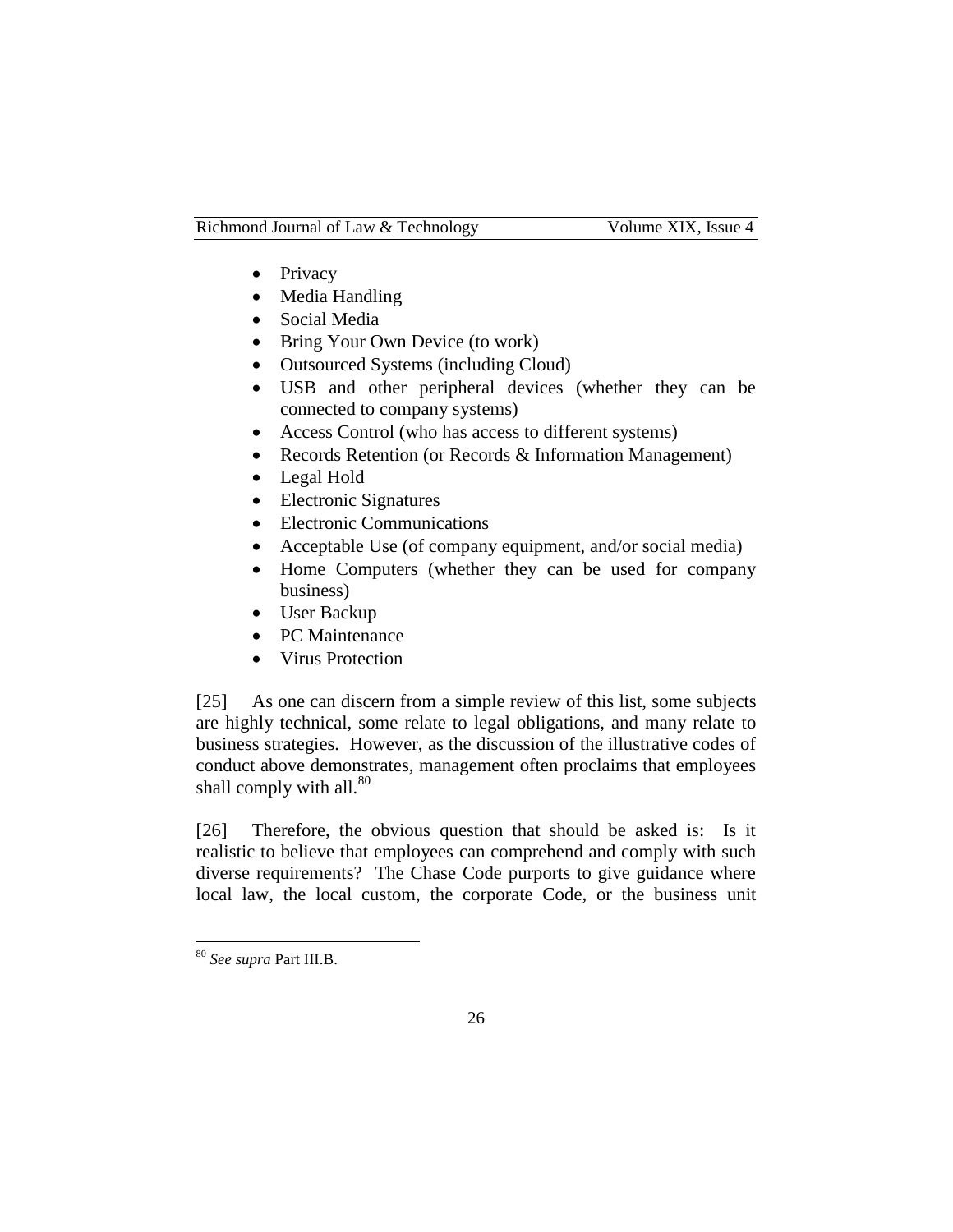- Privacy
- Media Handling
- Social Media
- Bring Your Own Device (to work)
- Outsourced Systems (including Cloud)
- USB and other peripheral devices (whether they can be connected to company systems)
- Access Control (who has access to different systems)
- Records Retention (or Records & Information Management)
- Legal Hold
- Electronic Signatures
- Electronic Communications
- Acceptable Use (of company equipment, and/or social media)
- Home Computers (whether they can be used for company business)
- User Backup
- PC Maintenance
- Virus Protection

[25] As one can discern from a simple review of this list, some subjects are highly technical, some relate to legal obligations, and many relate to business strategies. However, as the discussion of the illustrative codes of conduct above demonstrates, management often proclaims that employees shall comply with all. $80$ 

[26] Therefore, the obvious question that should be asked is: Is it realistic to believe that employees can comprehend and comply with such diverse requirements? The Chase Code purports to give guidance where local law, the local custom, the corporate Code, or the business unit

<sup>80</sup> *See supra* Part III.B.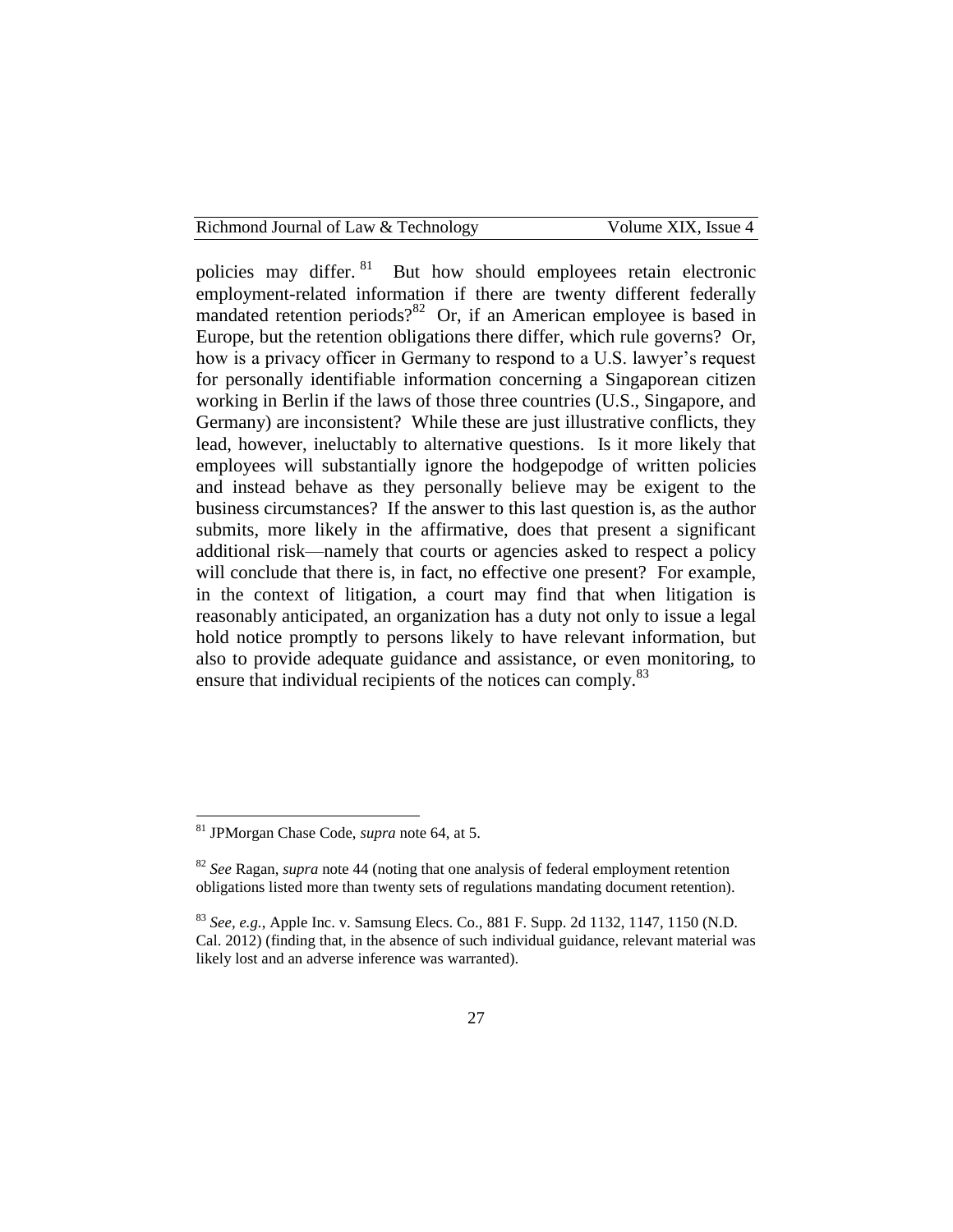Richmond Journal of Law & Technology Volume XIX, Issue 4

policies may differ. <sup>81</sup> But how should employees retain electronic employment-related information if there are twenty different federally mandated retention periods?<sup>82</sup> Or, if an American employee is based in Europe, but the retention obligations there differ, which rule governs? Or, how is a privacy officer in Germany to respond to a U.S. lawyer's request for personally identifiable information concerning a Singaporean citizen working in Berlin if the laws of those three countries (U.S., Singapore, and Germany) are inconsistent? While these are just illustrative conflicts, they lead, however, ineluctably to alternative questions. Is it more likely that employees will substantially ignore the hodgepodge of written policies and instead behave as they personally believe may be exigent to the business circumstances? If the answer to this last question is, as the author submits, more likely in the affirmative, does that present a significant additional risk—namely that courts or agencies asked to respect a policy will conclude that there is, in fact, no effective one present? For example, in the context of litigation, a court may find that when litigation is reasonably anticipated, an organization has a duty not only to issue a legal hold notice promptly to persons likely to have relevant information, but also to provide adequate guidance and assistance, or even monitoring, to ensure that individual recipients of the notices can comply.<sup>83</sup>

<sup>81</sup> JPMorgan Chase Code, *supra* note 64, at 5.

<sup>82</sup> *See* Ragan, *supra* note 44 (noting that one analysis of federal employment retention obligations listed more than twenty sets of regulations mandating document retention).

<sup>83</sup> *See, e.g.*, Apple Inc. v. Samsung Elecs. Co., 881 F. Supp. 2d 1132, 1147, 1150 (N.D. Cal. 2012) (finding that, in the absence of such individual guidance, relevant material was likely lost and an adverse inference was warranted).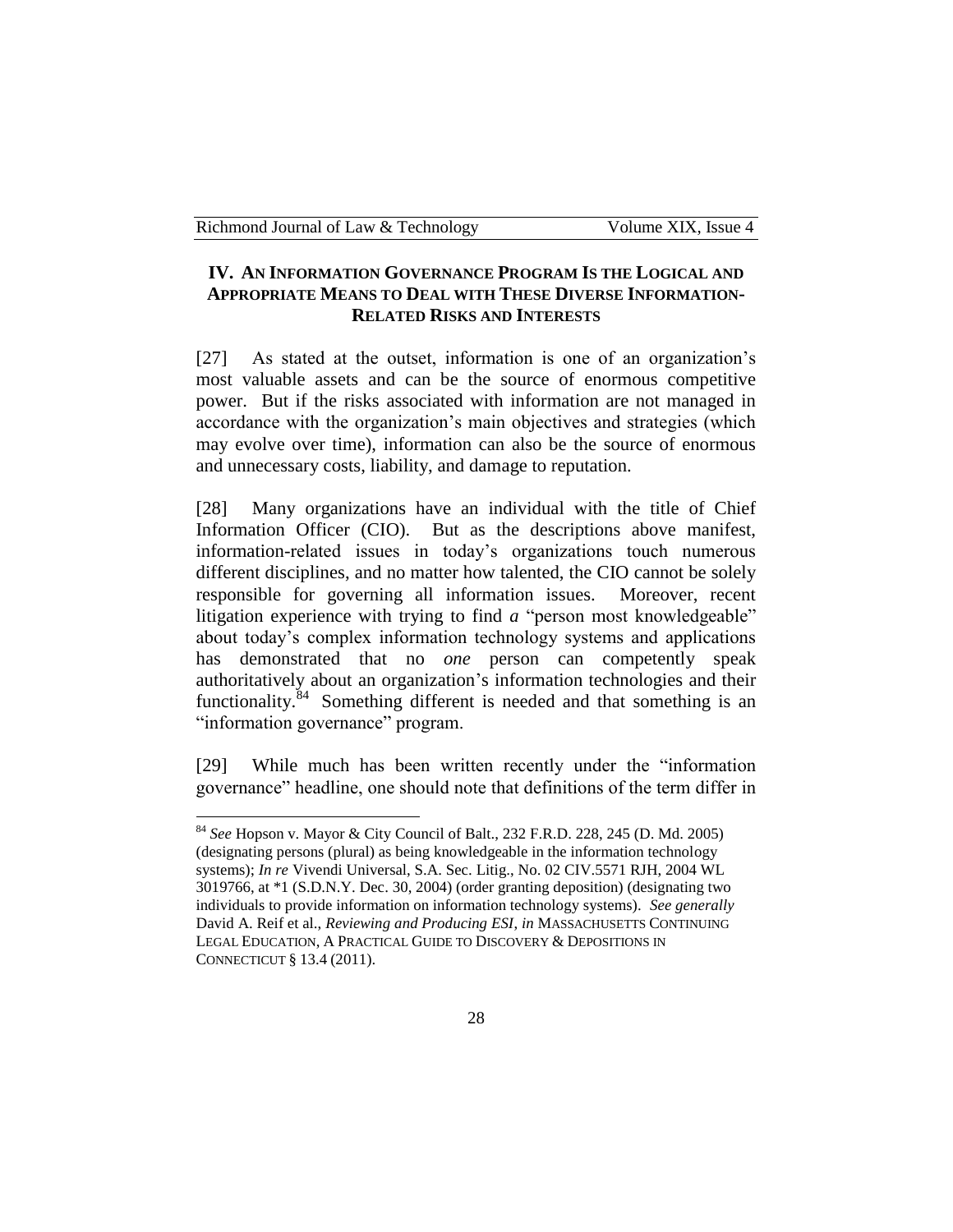# **IV. AN INFORMATION GOVERNANCE PROGRAM IS THE LOGICAL AND APPROPRIATE MEANS TO DEAL WITH THESE DIVERSE INFORMATION-RELATED RISKS AND INTERESTS**

[27] As stated at the outset, information is one of an organization's most valuable assets and can be the source of enormous competitive power. But if the risks associated with information are not managed in accordance with the organization's main objectives and strategies (which may evolve over time), information can also be the source of enormous and unnecessary costs, liability, and damage to reputation.

[28] Many organizations have an individual with the title of Chief Information Officer (CIO). But as the descriptions above manifest, information-related issues in today's organizations touch numerous different disciplines, and no matter how talented, the CIO cannot be solely responsible for governing all information issues. Moreover, recent litigation experience with trying to find *a* "person most knowledgeable" about today's complex information technology systems and applications has demonstrated that no *one* person can competently speak authoritatively about an organization's information technologies and their functionality.<sup>84</sup> Something different is needed and that something is an "information governance" program.

[29] While much has been written recently under the "information governance" headline, one should note that definitions of the term differ in

 $\overline{a}$ <sup>84</sup> *See* Hopson v. Mayor & City Council of Balt., 232 F.R.D. 228, 245 (D. Md. 2005) (designating persons (plural) as being knowledgeable in the information technology systems); *In re* Vivendi Universal, S.A. Sec. Litig., No. 02 CIV.5571 RJH, 2004 WL 3019766, at \*1 (S.D.N.Y. Dec. 30, 2004) (order granting deposition) (designating two individuals to provide information on information technology systems). *See generally* David A. Reif et al., *Reviewing and Producing ESI*, *in* MASSACHUSETTS CONTINUING LEGAL EDUCATION, A PRACTICAL GUIDE TO DISCOVERY & DEPOSITIONS IN CONNECTICUT § 13.4 (2011).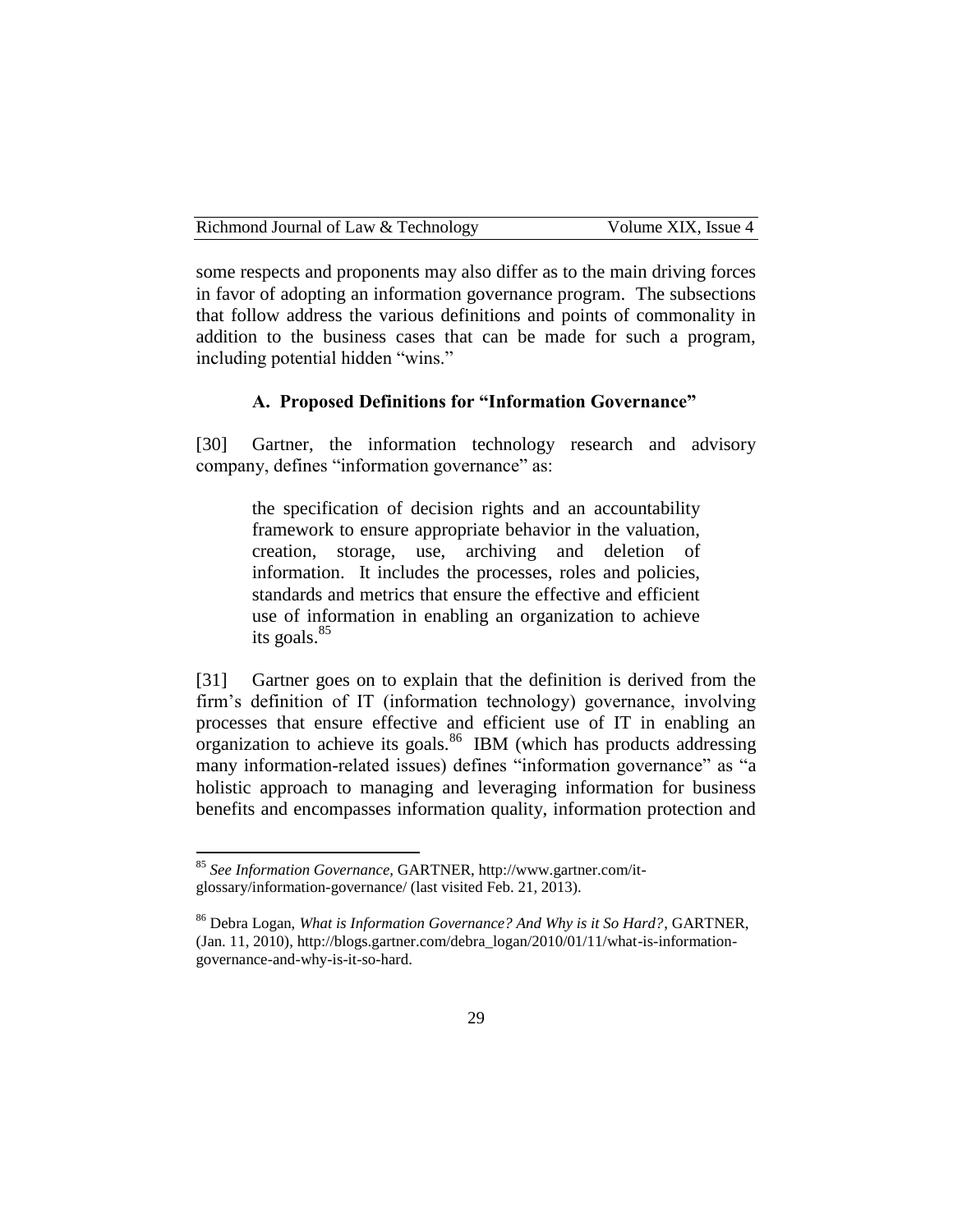| Richmond Journal of Law & Technology | Volume XIX. Issue 4 |
|--------------------------------------|---------------------|
|--------------------------------------|---------------------|

some respects and proponents may also differ as to the main driving forces in favor of adopting an information governance program. The subsections that follow address the various definitions and points of commonality in addition to the business cases that can be made for such a program, including potential hidden "wins."

#### **A. Proposed Definitions for "Information Governance"**

[30] Gartner, the information technology research and advisory company, defines "information governance" as:

the specification of decision rights and an accountability framework to ensure appropriate behavior in the valuation, creation, storage, use, archiving and deletion of information. It includes the processes, roles and policies, standards and metrics that ensure the effective and efficient use of information in enabling an organization to achieve its goals. $85$ 

[31] Gartner goes on to explain that the definition is derived from the firm's definition of IT (information technology) governance, involving processes that ensure effective and efficient use of IT in enabling an organization to achieve its goals.<sup>86</sup> IBM (which has products addressing many information-related issues) defines "information governance" as "a holistic approach to managing and leveraging information for business benefits and encompasses information quality, information protection and

<sup>85</sup> *See Information Governance,* GARTNER, http://www.gartner.com/itglossary/information-governance/ (last visited Feb. 21, 2013).

<sup>86</sup> Debra Logan, *What is Information Governance? And Why is it So Hard?*, GARTNER, (Jan. 11, 2010), http://blogs.gartner.com/debra\_logan/2010/01/11/what-is-informationgovernance-and-why-is-it-so-hard.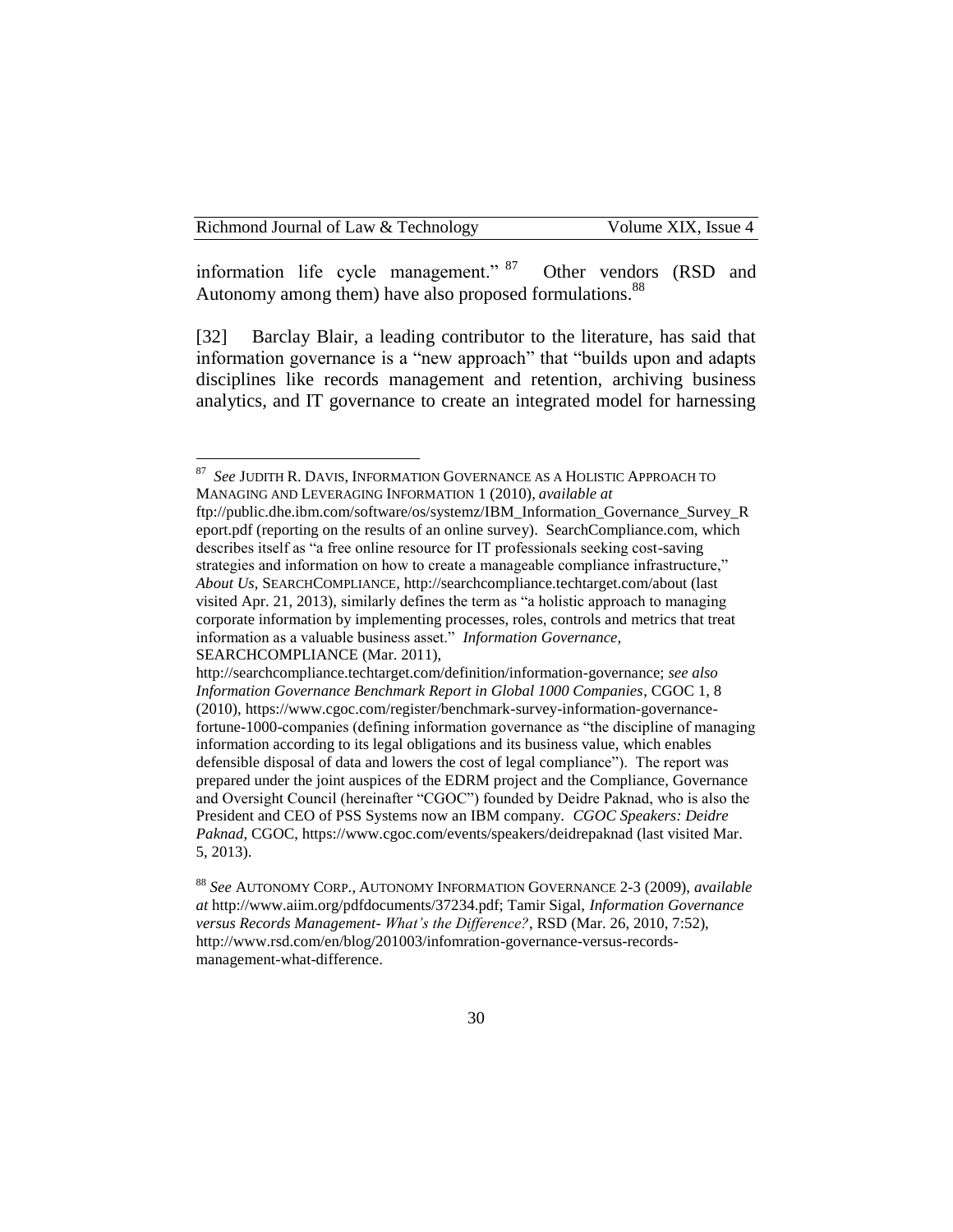information life cycle management." <sup>87</sup> Other vendors (RSD and Autonomy among them) have also proposed formulations.<sup>88</sup>

[32] Barclay Blair, a leading contributor to the literature, has said that information governance is a "new approach" that "builds upon and adapts disciplines like records management and retention, archiving business analytics, and IT governance to create an integrated model for harnessing

<sup>&</sup>lt;sub>87</sub> *See* JUDITH R. DAVIS, INFORMATION GOVERNANCE AS A HOLISTIC APPROACH TO MANAGING AND LEVERAGING INFORMATION 1 (2010), *available at*

ftp://public.dhe.ibm.com/software/os/systemz/IBM\_Information\_Governance\_Survey\_R eport.pdf (reporting on the results of an online survey). SearchCompliance.com, which describes itself as "a free online resource for IT professionals seeking cost-saving strategies and information on how to create a manageable compliance infrastructure," *About Us*, SEARCHCOMPLIANCE, http://searchcompliance.techtarget.com/about (last visited Apr. 21, 2013), similarly defines the term as "a holistic approach to managing corporate information by implementing processes, roles, controls and metrics that treat information as a valuable business asset." *Information Governance*, SEARCHCOMPLIANCE (Mar. 2011),

http://searchcompliance.techtarget.com/definition/information-governance; *see also Information Governance Benchmark Report in Global 1000 Companies*, CGOC 1, 8 (2010), https://www.cgoc.com/register/benchmark-survey-information-governancefortune-1000-companies (defining information governance as "the discipline of managing information according to its legal obligations and its business value, which enables defensible disposal of data and lowers the cost of legal compliance"). The report was prepared under the joint auspices of the EDRM project and the Compliance, Governance and Oversight Council (hereinafter "CGOC") founded by Deidre Paknad, who is also the President and CEO of PSS Systems now an IBM company. *CGOC Speakers: Deidre Paknad*, CGOC, https://www.cgoc.com/events/speakers/deidrepaknad (last visited Mar. 5, 2013).

<sup>88</sup> *See* AUTONOMY CORP., AUTONOMY INFORMATION GOVERNANCE 2-3 (2009), *available at* http://www.aiim.org/pdfdocuments/37234.pdf; Tamir Sigal, *Information Governance versus Records Management- What's the Difference?*, RSD (Mar. 26, 2010, 7:52), http://www.rsd.com/en/blog/201003/infomration-governance-versus-recordsmanagement-what-difference.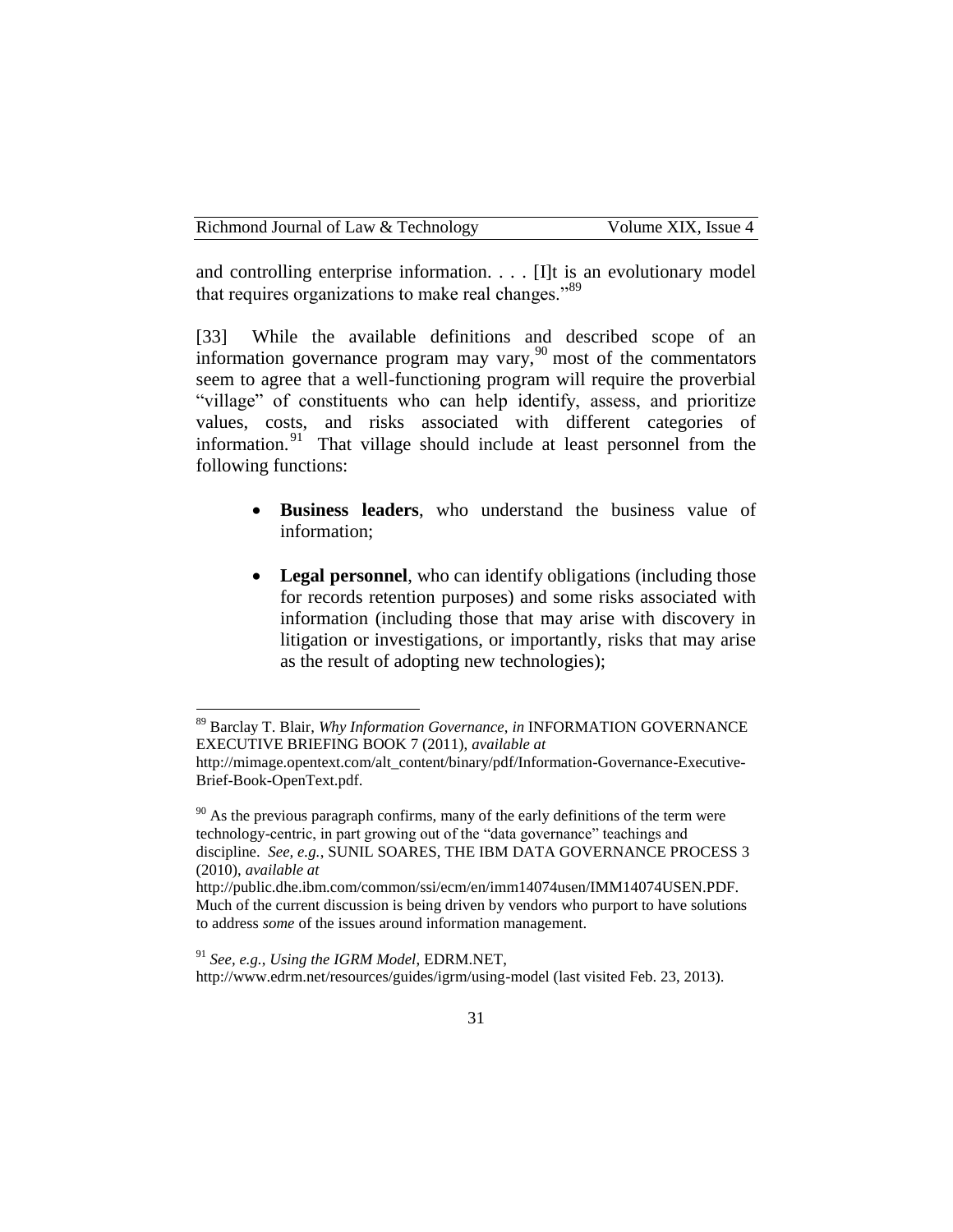and controlling enterprise information. . . . [I]t is an evolutionary model that requires organizations to make real changes."<sup>89</sup>

[33] While the available definitions and described scope of an information governance program may vary,  $90$  most of the commentators seem to agree that a well-functioning program will require the proverbial "village" of constituents who can help identify, assess, and prioritize values, costs, and risks associated with different categories of information.<sup>91</sup> That village should include at least personnel from the following functions:

- **Business leaders**, who understand the business value of information;
- Legal personnel, who can identify obligations (including those for records retention purposes) and some risks associated with information (including those that may arise with discovery in litigation or investigations, or importantly, risks that may arise as the result of adopting new technologies);

<sup>89</sup> Barclay T. Blair, *Why Information Governance*, *in* INFORMATION GOVERNANCE EXECUTIVE BRIEFING BOOK 7 (2011), *available at*

http://mimage.opentext.com/alt\_content/binary/pdf/Information-Governance-Executive-Brief-Book-OpenText.pdf.

 $90$  As the previous paragraph confirms, many of the early definitions of the term were technology-centric, in part growing out of the "data governance" teachings and discipline. *See, e.g.*, SUNIL SOARES, THE IBM DATA GOVERNANCE PROCESS 3 (2010), *available at* 

http://public.dhe.ibm.com/common/ssi/ecm/en/imm14074usen/IMM14074USEN.PDF. Much of the current discussion is being driven by vendors who purport to have solutions to address *some* of the issues around information management.

<sup>91</sup> *See, e.g.*, *Using the IGRM Model*, EDRM.NET,

http://www.edrm.net/resources/guides/igrm/using-model (last visited Feb. 23, 2013).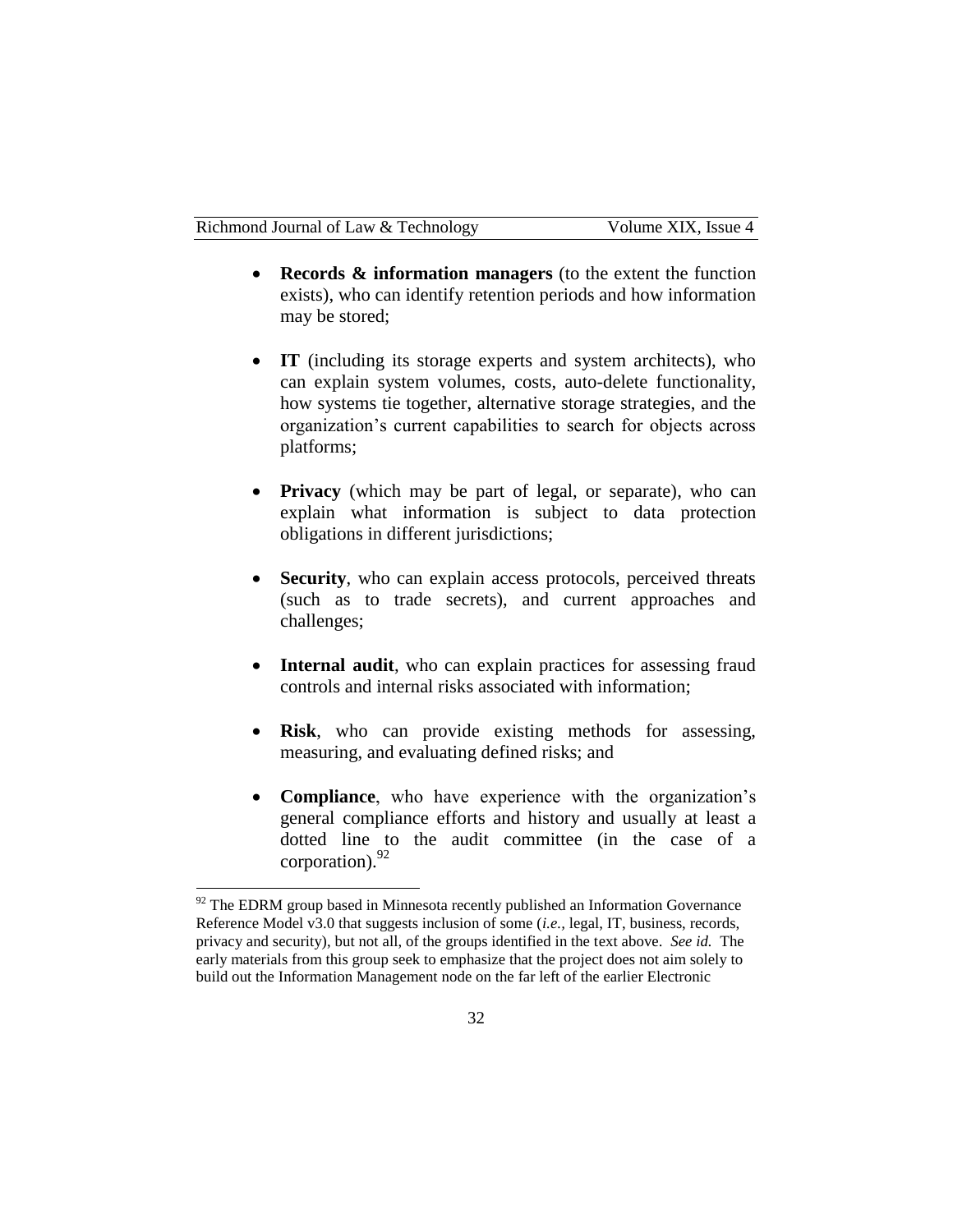- **Records & information managers** (to the extent the function exists), who can identify retention periods and how information may be stored;
- IT (including its storage experts and system architects), who can explain system volumes, costs, auto-delete functionality, how systems tie together, alternative storage strategies, and the organization's current capabilities to search for objects across platforms;
- **Privacy** (which may be part of legal, or separate), who can explain what information is subject to data protection obligations in different jurisdictions;
- **Security**, who can explain access protocols, perceived threats (such as to trade secrets), and current approaches and challenges;
- **Internal audit**, who can explain practices for assessing fraud controls and internal risks associated with information;
- **Risk**, who can provide existing methods for assessing, measuring, and evaluating defined risks; and
- **Compliance**, who have experience with the organization's general compliance efforts and history and usually at least a dotted line to the audit committee (in the case of a corporation).  $92$

 $92$  The EDRM group based in Minnesota recently published an Information Governance Reference Model v3.0 that suggests inclusion of some (*i.e.,* legal, IT, business, records, privacy and security), but not all, of the groups identified in the text above. *See id.* The early materials from this group seek to emphasize that the project does not aim solely to build out the Information Management node on the far left of the earlier Electronic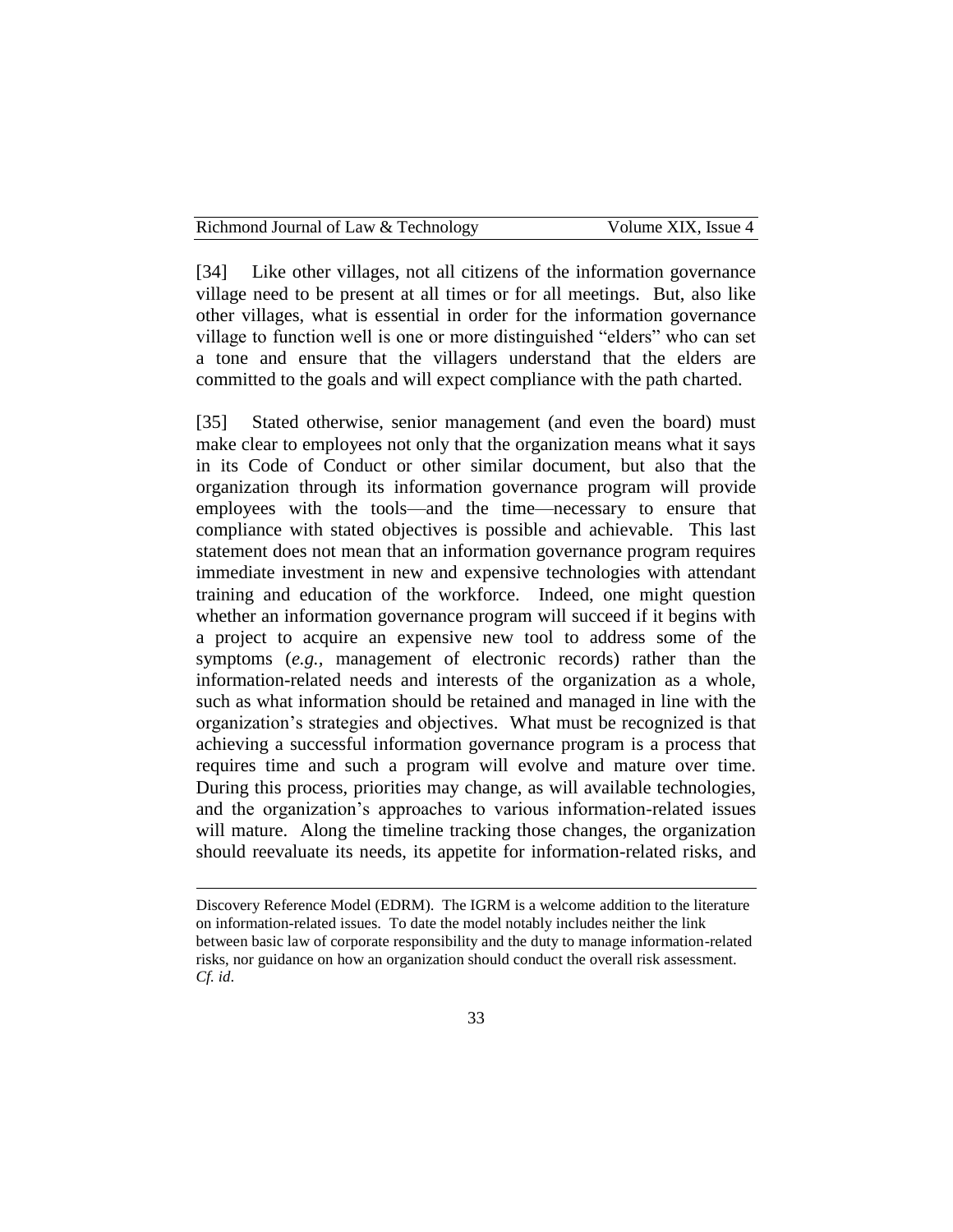[34] Like other villages, not all citizens of the information governance village need to be present at all times or for all meetings. But, also like other villages, what is essential in order for the information governance village to function well is one or more distinguished "elders" who can set a tone and ensure that the villagers understand that the elders are committed to the goals and will expect compliance with the path charted.

[35] Stated otherwise, senior management (and even the board) must make clear to employees not only that the organization means what it says in its Code of Conduct or other similar document, but also that the organization through its information governance program will provide employees with the tools—and the time—necessary to ensure that compliance with stated objectives is possible and achievable. This last statement does not mean that an information governance program requires immediate investment in new and expensive technologies with attendant training and education of the workforce. Indeed, one might question whether an information governance program will succeed if it begins with a project to acquire an expensive new tool to address some of the symptoms (*e.g.,* management of electronic records) rather than the information-related needs and interests of the organization as a whole, such as what information should be retained and managed in line with the organization's strategies and objectives. What must be recognized is that achieving a successful information governance program is a process that requires time and such a program will evolve and mature over time. During this process, priorities may change, as will available technologies, and the organization's approaches to various information-related issues will mature. Along the timeline tracking those changes, the organization should reevaluate its needs, its appetite for information-related risks, and

Discovery Reference Model (EDRM). The IGRM is a welcome addition to the literature on information-related issues. To date the model notably includes neither the link between basic law of corporate responsibility and the duty to manage information-related risks, nor guidance on how an organization should conduct the overall risk assessment. *Cf. id*.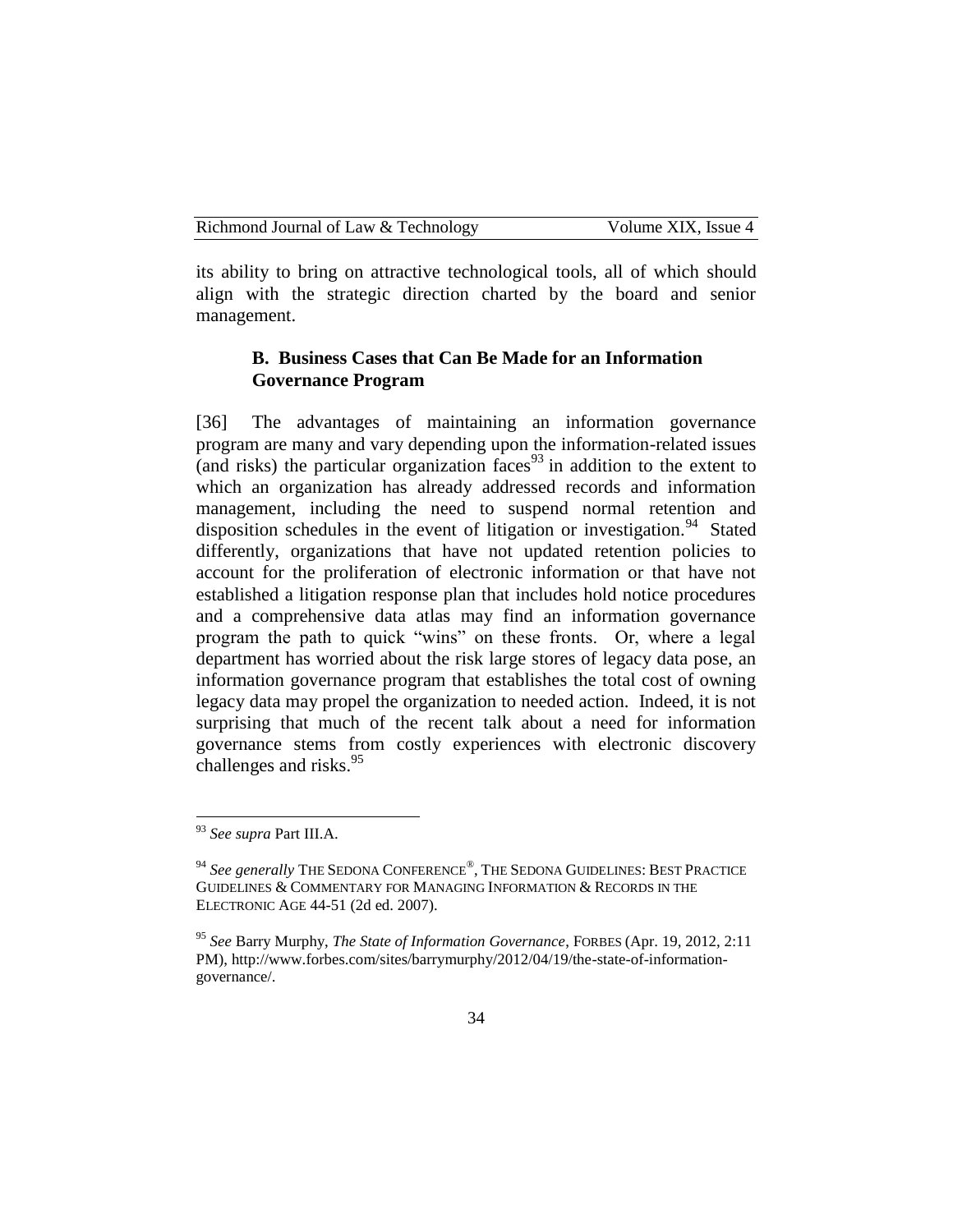| Richmond Journal of Law & Technology | Volume XIX. Issue 4 |
|--------------------------------------|---------------------|
|--------------------------------------|---------------------|

its ability to bring on attractive technological tools, all of which should align with the strategic direction charted by the board and senior management.

#### **B. Business Cases that Can Be Made for an Information Governance Program**

[36] The advantages of maintaining an information governance program are many and vary depending upon the information-related issues (and risks) the particular organization faces<sup>93</sup> in addition to the extent to which an organization has already addressed records and information management, including the need to suspend normal retention and disposition schedules in the event of litigation or investigation.<sup>94</sup> Stated differently, organizations that have not updated retention policies to account for the proliferation of electronic information or that have not established a litigation response plan that includes hold notice procedures and a comprehensive data atlas may find an information governance program the path to quick "wins" on these fronts. Or, where a legal department has worried about the risk large stores of legacy data pose, an information governance program that establishes the total cost of owning legacy data may propel the organization to needed action. Indeed, it is not surprising that much of the recent talk about a need for information governance stems from costly experiences with electronic discovery challenges and risks.<sup>95</sup>

<sup>93</sup> *See supra* Part III.A.

<sup>&</sup>lt;sup>94</sup> See generally THE SEDONA CONFERENCE®, THE SEDONA GUIDELINES: BEST PRACTICE GUIDELINES & COMMENTARY FOR MANAGING INFORMATION & RECORDS IN THE ELECTRONIC AGE 44-51 (2d ed. 2007).

<sup>95</sup> *See* Barry Murphy, *The State of Information Governance*, FORBES (Apr. 19, 2012, 2:11 PM), http://www.forbes.com/sites/barrymurphy/2012/04/19/the-state-of-informationgovernance/.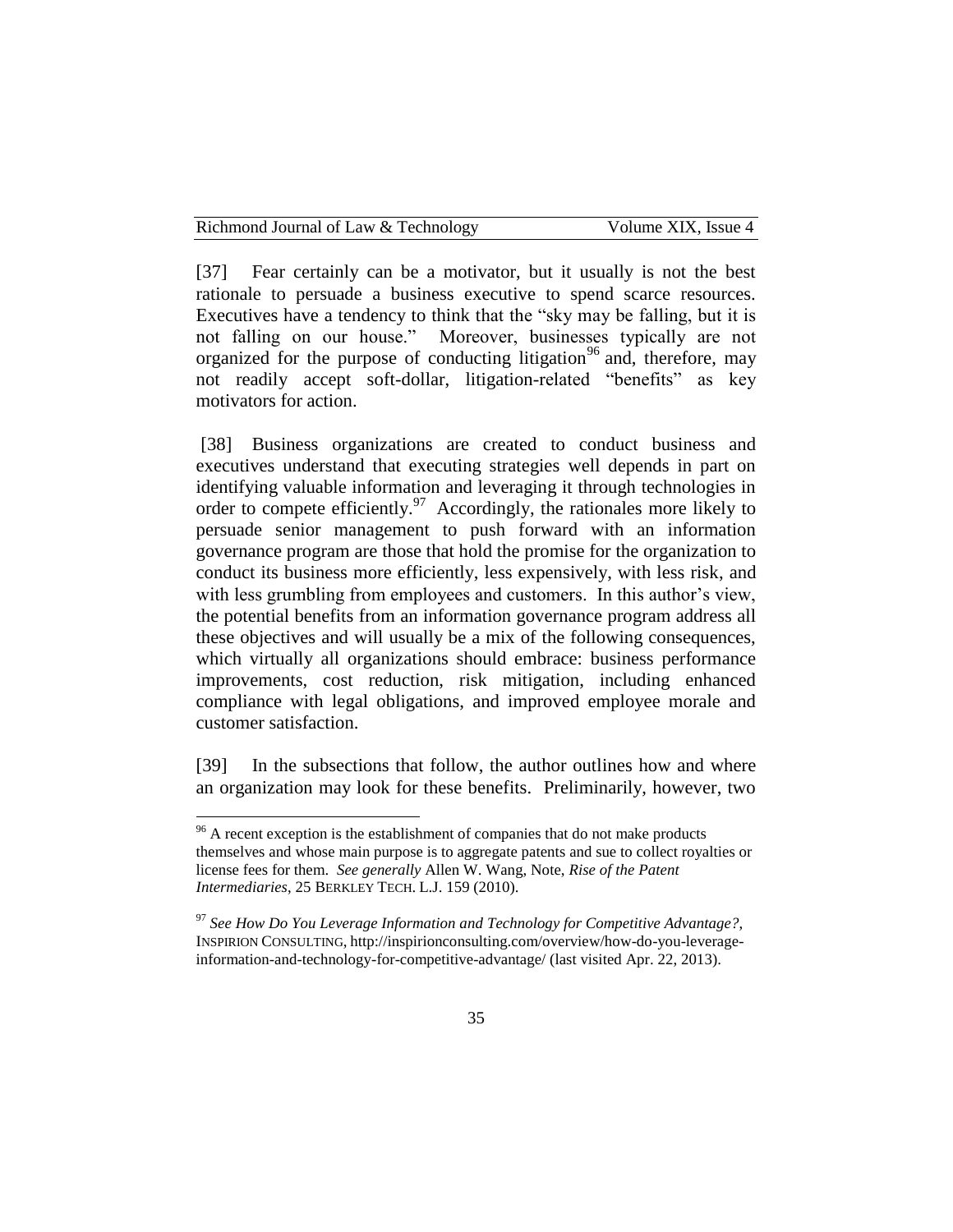| Richmond Journal of Law & Technology |  |  |
|--------------------------------------|--|--|
|--------------------------------------|--|--|

[37] Fear certainly can be a motivator, but it usually is not the best rationale to persuade a business executive to spend scarce resources. Executives have a tendency to think that the "sky may be falling, but it is not falling on our house." Moreover, businesses typically are not organized for the purpose of conducting litigation<sup>96</sup> and, therefore, may not readily accept soft-dollar, litigation-related "benefits" as key motivators for action.

[38] Business organizations are created to conduct business and executives understand that executing strategies well depends in part on identifying valuable information and leveraging it through technologies in order to compete efficiently.<sup>97</sup> Accordingly, the rationales more likely to persuade senior management to push forward with an information governance program are those that hold the promise for the organization to conduct its business more efficiently, less expensively, with less risk, and with less grumbling from employees and customers. In this author's view, the potential benefits from an information governance program address all these objectives and will usually be a mix of the following consequences, which virtually all organizations should embrace: business performance improvements, cost reduction, risk mitigation, including enhanced compliance with legal obligations, and improved employee morale and customer satisfaction.

[39] In the subsections that follow, the author outlines how and where an organization may look for these benefits. Preliminarily, however, two

 $96$  A recent exception is the establishment of companies that do not make products themselves and whose main purpose is to aggregate patents and sue to collect royalties or license fees for them. *See generally* Allen W. Wang, Note, *Rise of the Patent Intermediaries*, 25 BERKLEY TECH. L.J. 159 (2010).

<sup>97</sup> *See How Do You Leverage Information and Technology for Competitive Advantage?*, INSPIRION CONSULTING, http://inspirionconsulting.com/overview/how-do-you-leverageinformation-and-technology-for-competitive-advantage/ (last visited Apr. 22, 2013).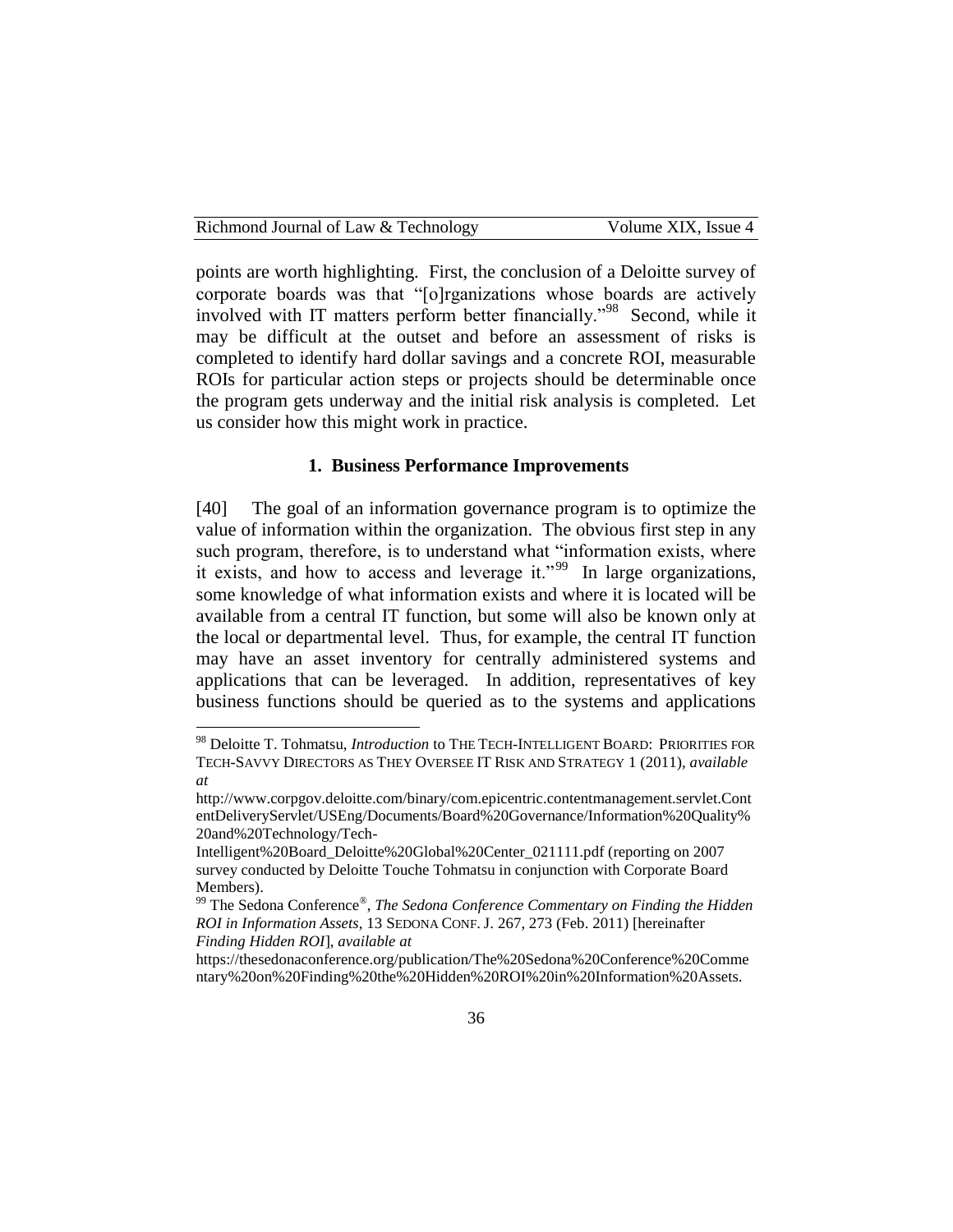| Richmond Journal of Law & Technology | Volume XIX, Issue 4 |
|--------------------------------------|---------------------|
|--------------------------------------|---------------------|

points are worth highlighting. First, the conclusion of a Deloitte survey of corporate boards was that "[o]rganizations whose boards are actively involved with IT matters perform better financially."<sup>98</sup> Second, while it may be difficult at the outset and before an assessment of risks is completed to identify hard dollar savings and a concrete ROI, measurable ROIs for particular action steps or projects should be determinable once the program gets underway and the initial risk analysis is completed. Let us consider how this might work in practice.

#### **1. Business Performance Improvements**

[40] The goal of an information governance program is to optimize the value of information within the organization. The obvious first step in any such program, therefore, is to understand what "information exists, where it exists, and how to access and leverage it."<sup>99</sup> In large organizations, some knowledge of what information exists and where it is located will be available from a central IT function, but some will also be known only at the local or departmental level. Thus, for example, the central IT function may have an asset inventory for centrally administered systems and applications that can be leveraged. In addition, representatives of key business functions should be queried as to the systems and applications

<sup>98</sup> Deloitte T. Tohmatsu, *Introduction* to THE TECH-INTELLIGENT BOARD: PRIORITIES FOR TECH-SAVVY DIRECTORS AS THEY OVERSEE IT RISK AND STRATEGY 1 (2011), *available at* 

http://www.corpgov.deloitte.com/binary/com.epicentric.contentmanagement.servlet.Cont entDeliveryServlet/USEng/Documents/Board%20Governance/Information%20Quality% 20and%20Technology/Tech-

Intelligent%20Board\_Deloitte%20Global%20Center\_021111.pdf (reporting on 2007 survey conducted by Deloitte Touche Tohmatsu in conjunction with Corporate Board Members).

<sup>&</sup>lt;sup>99</sup> The Sedona Conference®, *The Sedona Conference Commentary on Finding the Hidden ROI in Information Assets*, 13 SEDONA CONF. J. 267, 273 (Feb. 2011) [hereinafter *Finding Hidden ROI*], *available at* 

https://thesedonaconference.org/publication/The%20Sedona%20Conference%20Comme ntary%20on%20Finding%20the%20Hidden%20ROI%20in%20Information%20Assets.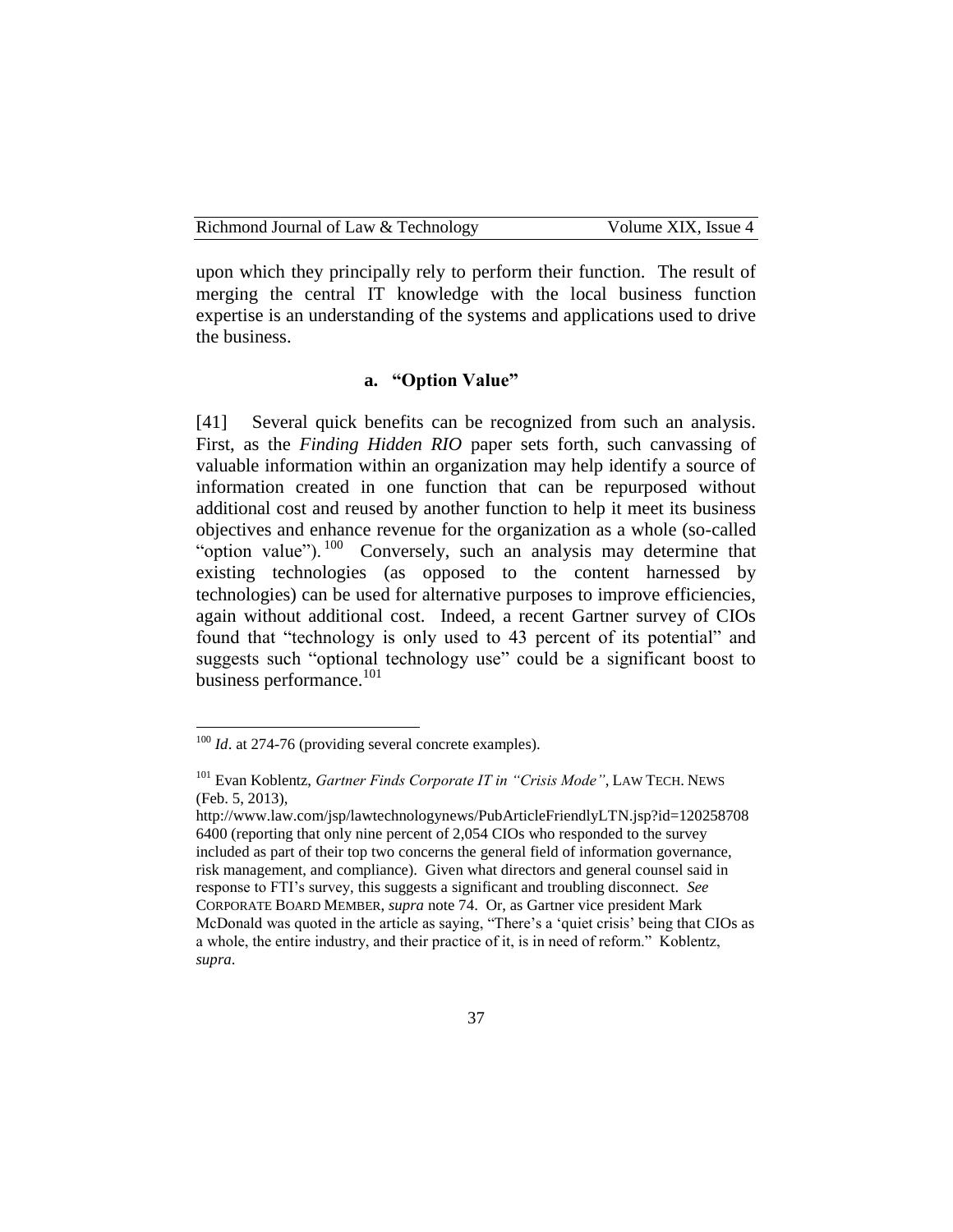upon which they principally rely to perform their function. The result of merging the central IT knowledge with the local business function expertise is an understanding of the systems and applications used to drive the business.

#### **a. "Option Value"**

[41] Several quick benefits can be recognized from such an analysis. First, as the *Finding Hidden RIO* paper sets forth, such canvassing of valuable information within an organization may help identify a source of information created in one function that can be repurposed without additional cost and reused by another function to help it meet its business objectives and enhance revenue for the organization as a whole (so-called "option value").<sup>100</sup> Conversely, such an analysis may determine that existing technologies (as opposed to the content harnessed by technologies) can be used for alternative purposes to improve efficiencies, again without additional cost. Indeed, a recent Gartner survey of CIOs found that "technology is only used to 43 percent of its potential" and suggests such "optional technology use" could be a significant boost to business performance.<sup>101</sup>

<sup>&</sup>lt;sup>100</sup> *Id.* at 274-76 (providing several concrete examples).

<sup>101</sup> Evan Koblentz, *Gartner Finds Corporate IT in "Crisis Mode"*, LAW TECH. NEWS (Feb. 5, 2013),

http://www.law.com/jsp/lawtechnologynews/PubArticleFriendlyLTN.jsp?id=120258708 6400 (reporting that only nine percent of 2,054 CIOs who responded to the survey included as part of their top two concerns the general field of information governance, risk management, and compliance). Given what directors and general counsel said in response to FTI's survey, this suggests a significant and troubling disconnect. *See*  CORPORATE BOARD MEMBER, *supra* note 74. Or, as Gartner vice president Mark McDonald was quoted in the article as saying, "There's a 'quiet crisis' being that CIOs as a whole, the entire industry, and their practice of it, is in need of reform." Koblentz, *supra*.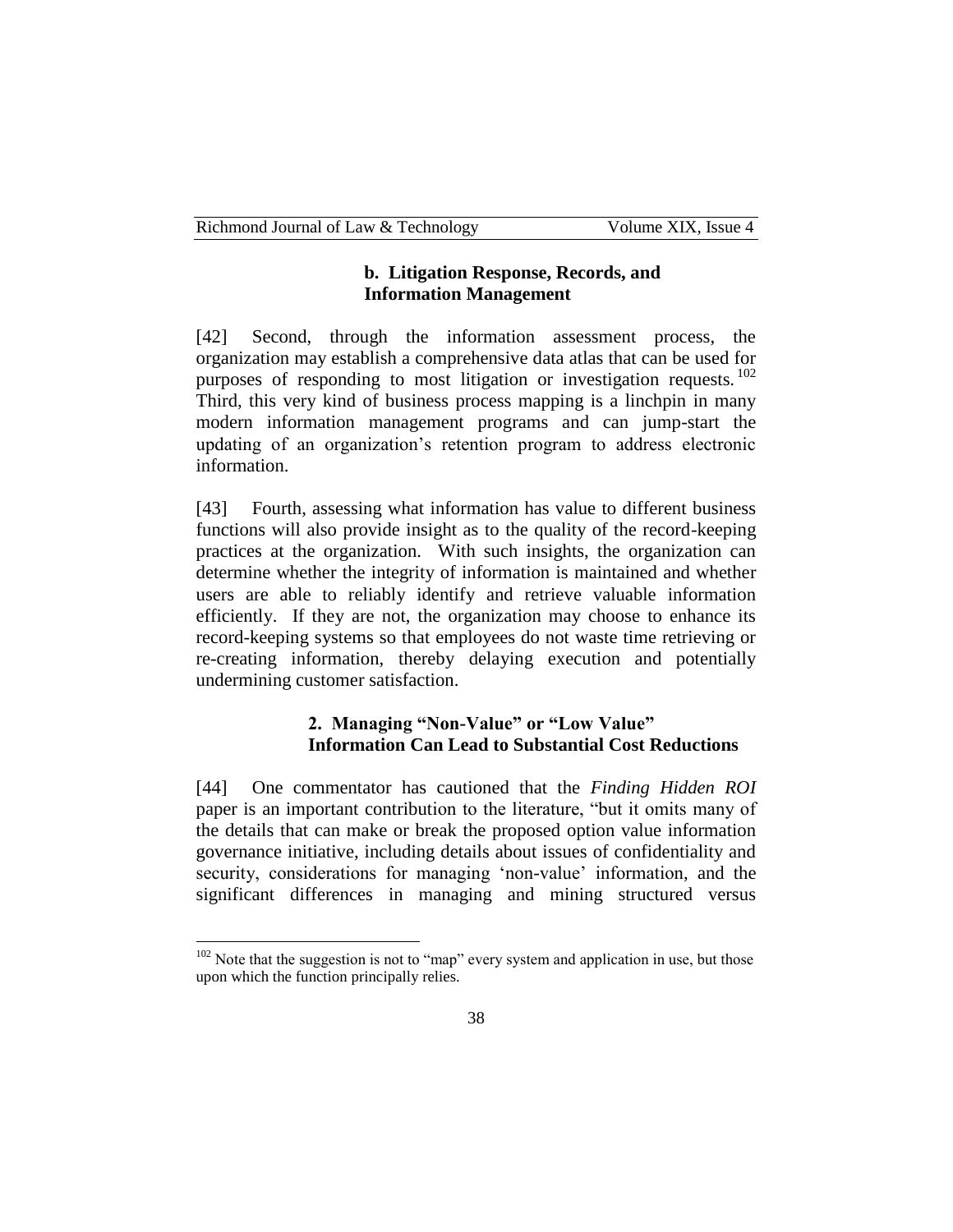## **b. Litigation Response, Records, and Information Management**

[42] Second, through the information assessment process, the organization may establish a comprehensive data atlas that can be used for purposes of responding to most litigation or investigation requests.<sup>102</sup> Third, this very kind of business process mapping is a linchpin in many modern information management programs and can jump-start the updating of an organization's retention program to address electronic information.

[43] Fourth, assessing what information has value to different business functions will also provide insight as to the quality of the record-keeping practices at the organization. With such insights, the organization can determine whether the integrity of information is maintained and whether users are able to reliably identify and retrieve valuable information efficiently. If they are not, the organization may choose to enhance its record-keeping systems so that employees do not waste time retrieving or re-creating information, thereby delaying execution and potentially undermining customer satisfaction.

# **2. Managing "Non-Value" or "Low Value" Information Can Lead to Substantial Cost Reductions**

[44] One commentator has cautioned that the *Finding Hidden ROI* paper is an important contribution to the literature, "but it omits many of the details that can make or break the proposed option value information governance initiative, including details about issues of confidentiality and security, considerations for managing 'non-value' information, and the significant differences in managing and mining structured versus

 $102$  Note that the suggestion is not to "map" every system and application in use, but those upon which the function principally relies.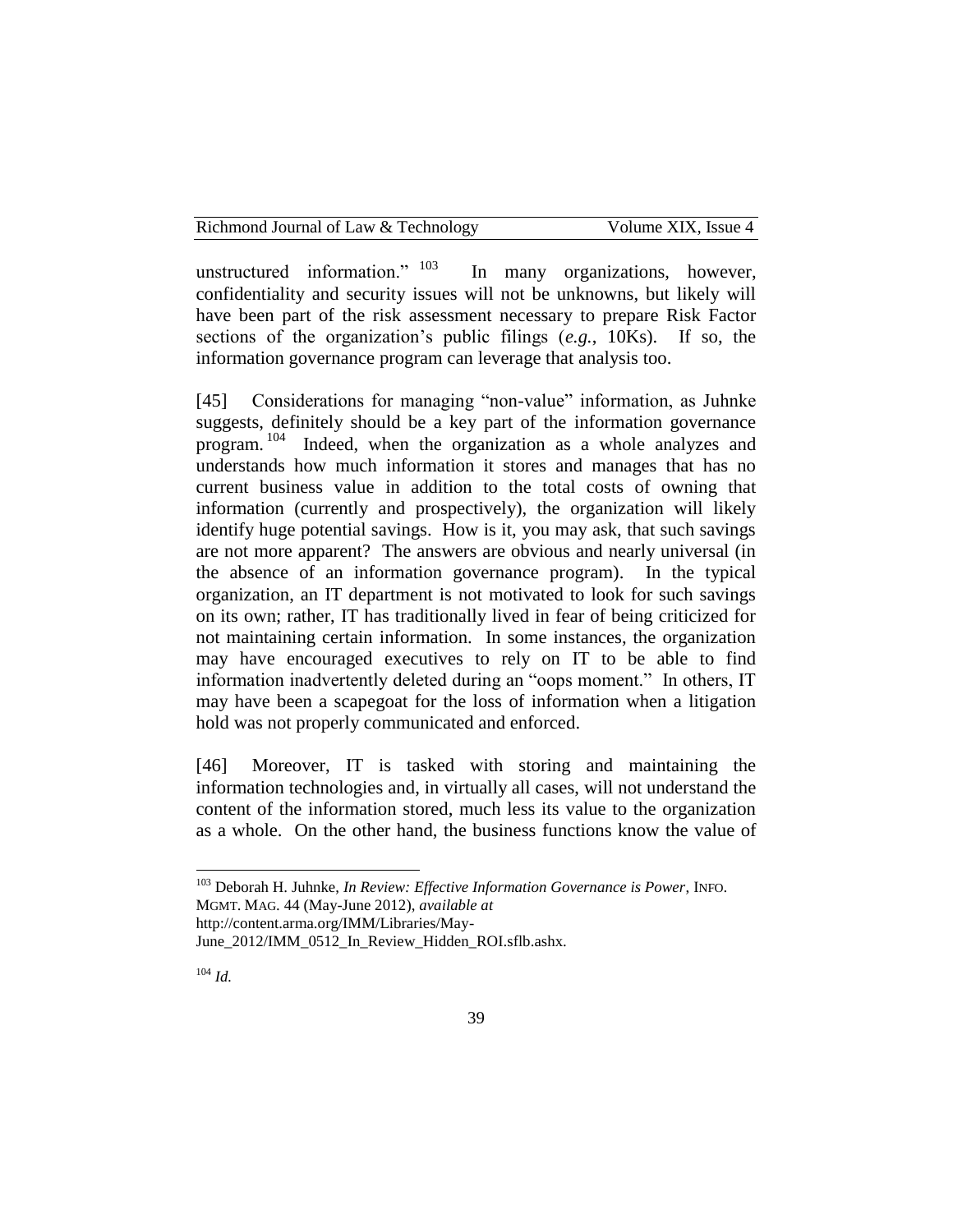Richmond Journal of Law & Technology Volume XIX, Issue 4

unstructured information." <sup>103</sup> In many organizations, however, confidentiality and security issues will not be unknowns, but likely will have been part of the risk assessment necessary to prepare Risk Factor sections of the organization's public filings (*e.g.*, 10Ks). If so, the information governance program can leverage that analysis too.

[45] Considerations for managing "non-value" information, as Juhnke suggests, definitely should be a key part of the information governance program.<sup>104</sup> Indeed, when the organization as a whole analyzes and understands how much information it stores and manages that has no current business value in addition to the total costs of owning that information (currently and prospectively), the organization will likely identify huge potential savings. How is it, you may ask, that such savings are not more apparent? The answers are obvious and nearly universal (in the absence of an information governance program). In the typical organization, an IT department is not motivated to look for such savings on its own; rather, IT has traditionally lived in fear of being criticized for not maintaining certain information. In some instances, the organization may have encouraged executives to rely on IT to be able to find information inadvertently deleted during an "oops moment." In others, IT may have been a scapegoat for the loss of information when a litigation hold was not properly communicated and enforced.

[46] Moreover, IT is tasked with storing and maintaining the information technologies and, in virtually all cases, will not understand the content of the information stored, much less its value to the organization as a whole. On the other hand, the business functions know the value of

http://content.arma.org/IMM/Libraries/May-

<sup>104</sup> *Id.*

<sup>103</sup> Deborah H. Juhnke, *In Review: Effective Information Governance is Power*, INFO. MGMT. MAG. 44 (May-June 2012), *available at*

June\_2012/IMM\_0512\_In\_Review\_Hidden\_ROI.sflb.ashx.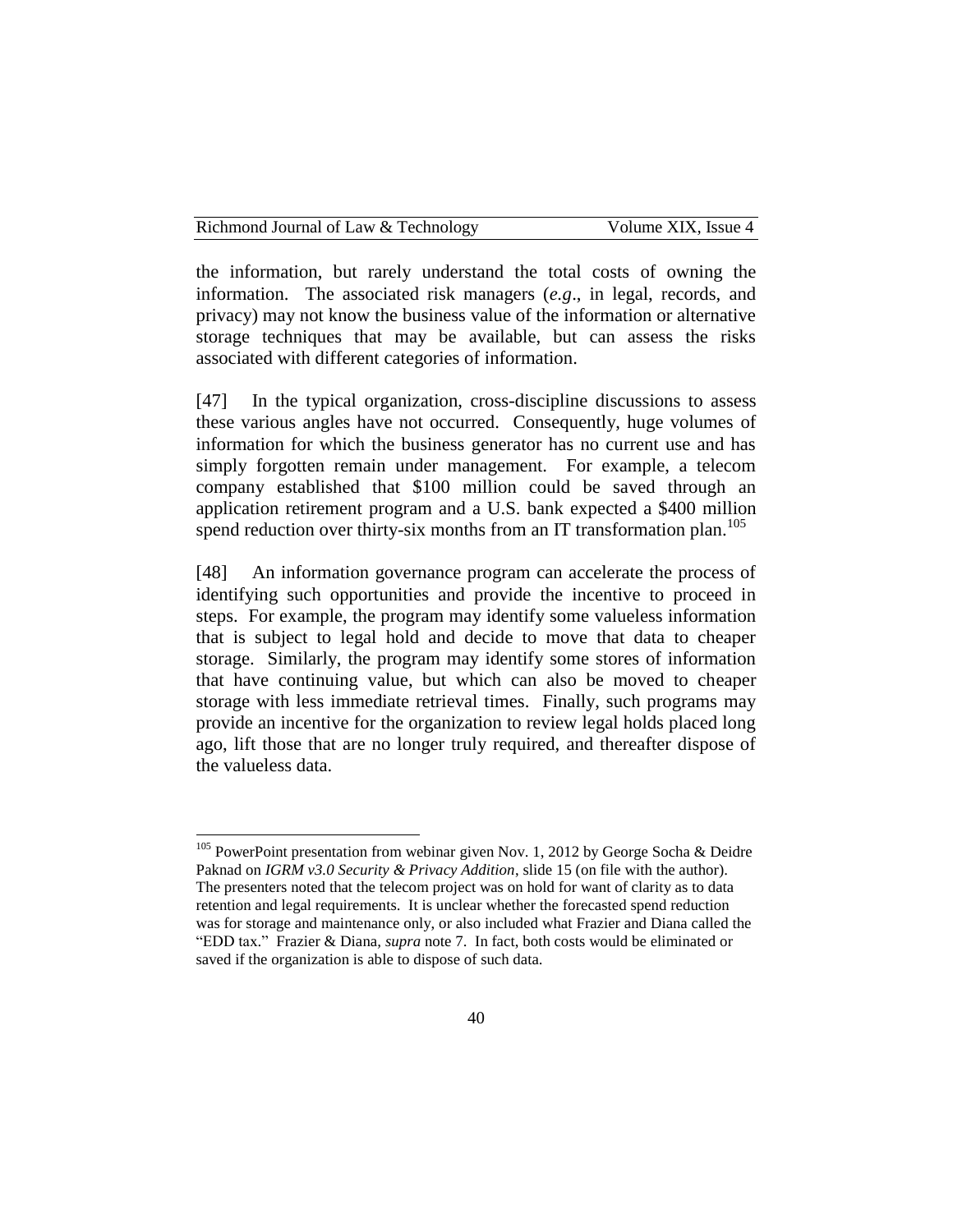the information, but rarely understand the total costs of owning the information. The associated risk managers (*e.g*., in legal, records, and privacy) may not know the business value of the information or alternative storage techniques that may be available, but can assess the risks associated with different categories of information.

[47] In the typical organization, cross-discipline discussions to assess these various angles have not occurred. Consequently, huge volumes of information for which the business generator has no current use and has simply forgotten remain under management. For example, a telecom company established that \$100 million could be saved through an application retirement program and a U.S. bank expected a \$400 million spend reduction over thirty-six months from an IT transformation plan.<sup>105</sup>

[48] An information governance program can accelerate the process of identifying such opportunities and provide the incentive to proceed in steps. For example, the program may identify some valueless information that is subject to legal hold and decide to move that data to cheaper storage. Similarly, the program may identify some stores of information that have continuing value, but which can also be moved to cheaper storage with less immediate retrieval times. Finally, such programs may provide an incentive for the organization to review legal holds placed long ago, lift those that are no longer truly required, and thereafter dispose of the valueless data.

<sup>&</sup>lt;sup>105</sup> PowerPoint presentation from webinar given Nov. 1, 2012 by George Socha & Deidre Paknad on *IGRM v3.0 Security & Privacy Addition*, slide 15 (on file with the author). The presenters noted that the telecom project was on hold for want of clarity as to data retention and legal requirements. It is unclear whether the forecasted spend reduction was for storage and maintenance only, or also included what Frazier and Diana called the "EDD tax." Frazier & Diana*, supra* note 7. In fact, both costs would be eliminated or saved if the organization is able to dispose of such data.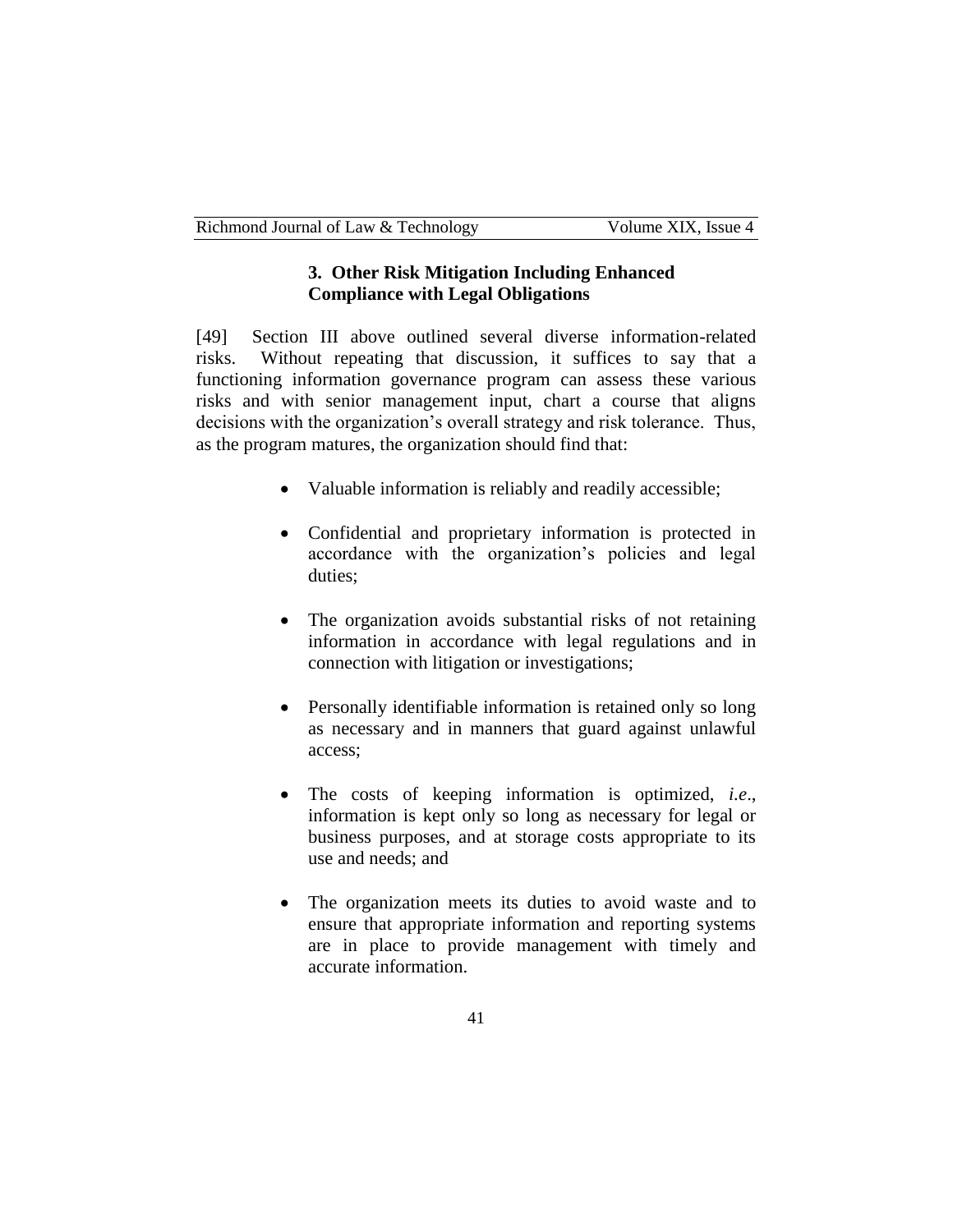### **3. Other Risk Mitigation Including Enhanced Compliance with Legal Obligations**

[49] Section III above outlined several diverse information-related risks. Without repeating that discussion, it suffices to say that a functioning information governance program can assess these various risks and with senior management input, chart a course that aligns decisions with the organization's overall strategy and risk tolerance. Thus, as the program matures, the organization should find that:

- Valuable information is reliably and readily accessible;
- Confidential and proprietary information is protected in accordance with the organization's policies and legal duties;
- The organization avoids substantial risks of not retaining information in accordance with legal regulations and in connection with litigation or investigations;
- Personally identifiable information is retained only so long as necessary and in manners that guard against unlawful access;
- The costs of keeping information is optimized, *i.e*., information is kept only so long as necessary for legal or business purposes, and at storage costs appropriate to its use and needs; and
- The organization meets its duties to avoid waste and to ensure that appropriate information and reporting systems are in place to provide management with timely and accurate information.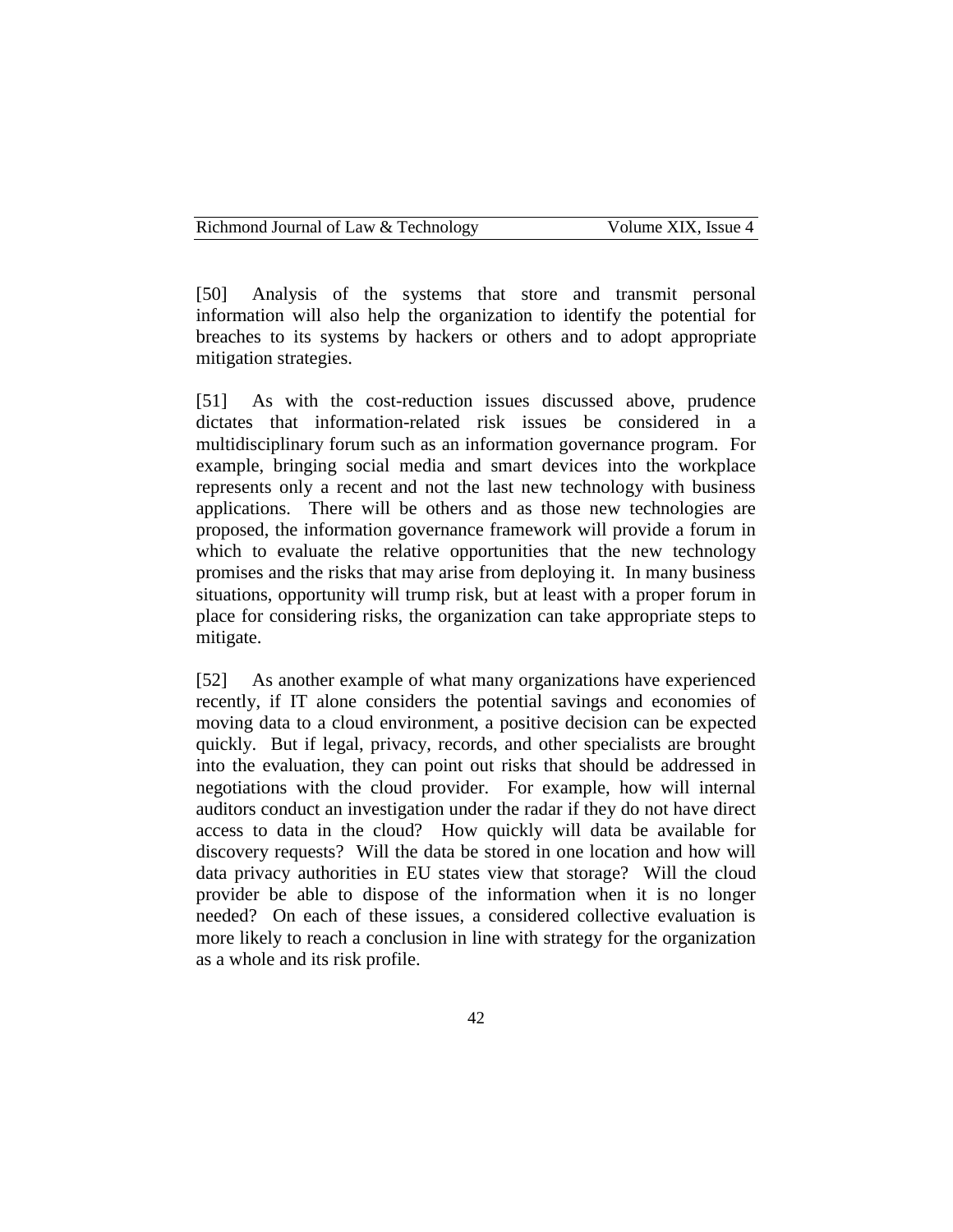[50] Analysis of the systems that store and transmit personal information will also help the organization to identify the potential for breaches to its systems by hackers or others and to adopt appropriate mitigation strategies.

[51] As with the cost-reduction issues discussed above, prudence dictates that information-related risk issues be considered in a multidisciplinary forum such as an information governance program. For example, bringing social media and smart devices into the workplace represents only a recent and not the last new technology with business applications. There will be others and as those new technologies are proposed, the information governance framework will provide a forum in which to evaluate the relative opportunities that the new technology promises and the risks that may arise from deploying it. In many business situations, opportunity will trump risk, but at least with a proper forum in place for considering risks, the organization can take appropriate steps to mitigate.

[52] As another example of what many organizations have experienced recently, if IT alone considers the potential savings and economies of moving data to a cloud environment, a positive decision can be expected quickly. But if legal, privacy, records, and other specialists are brought into the evaluation, they can point out risks that should be addressed in negotiations with the cloud provider. For example, how will internal auditors conduct an investigation under the radar if they do not have direct access to data in the cloud? How quickly will data be available for discovery requests? Will the data be stored in one location and how will data privacy authorities in EU states view that storage? Will the cloud provider be able to dispose of the information when it is no longer needed? On each of these issues, a considered collective evaluation is more likely to reach a conclusion in line with strategy for the organization as a whole and its risk profile.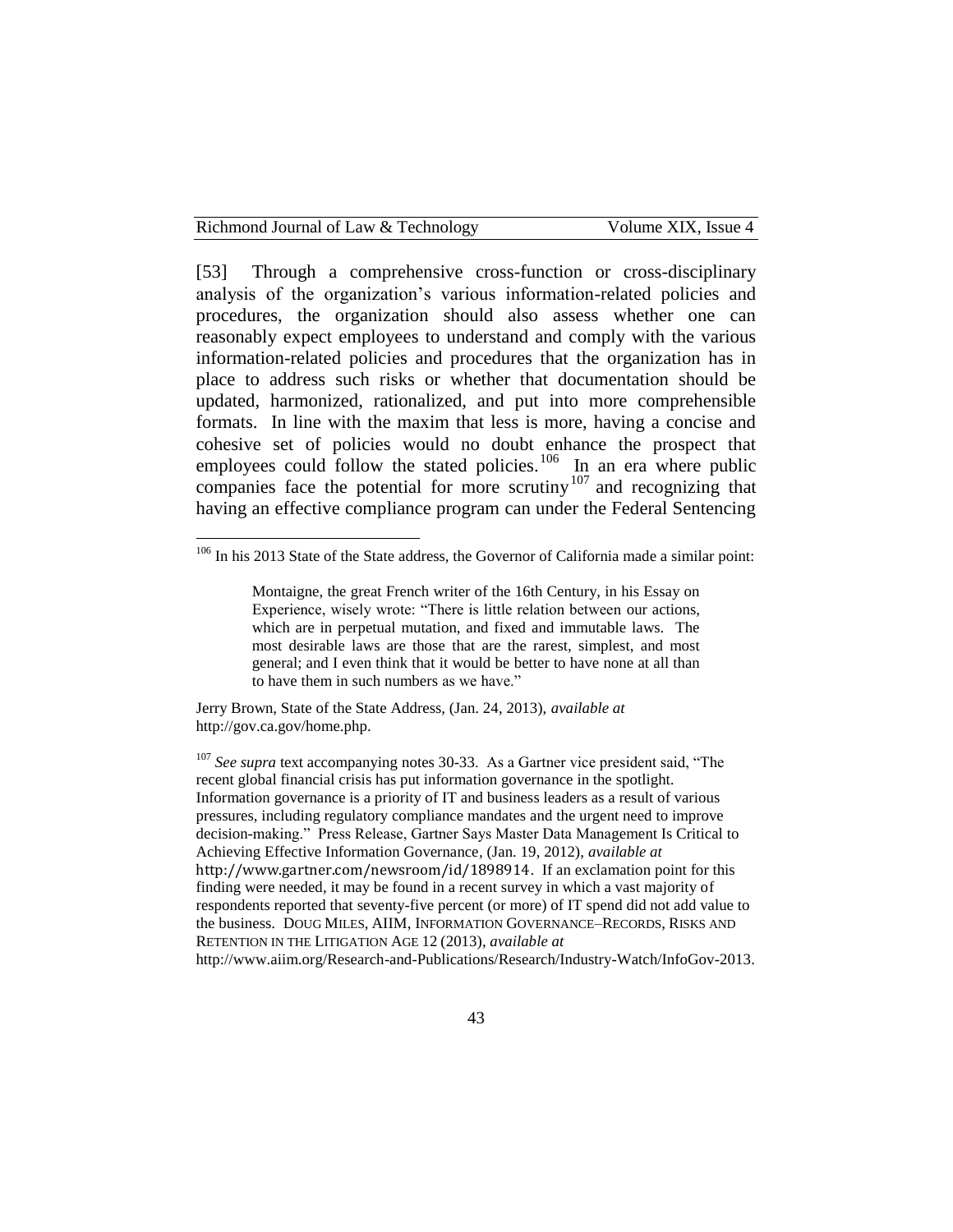[53] Through a comprehensive cross-function or cross-disciplinary analysis of the organization's various information-related policies and procedures, the organization should also assess whether one can reasonably expect employees to understand and comply with the various information-related policies and procedures that the organization has in place to address such risks or whether that documentation should be updated, harmonized, rationalized, and put into more comprehensible formats. In line with the maxim that less is more, having a concise and cohesive set of policies would no doubt enhance the prospect that employees could follow the stated policies.<sup>106</sup> In an era where public companies face the potential for more scrutiny<sup>107</sup> and recognizing that having an effective compliance program can under the Federal Sentencing

Jerry Brown, State of the State Address, (Jan. 24, 2013), *available at*  http://gov.ca.gov/home.php.

<sup>&</sup>lt;sup>106</sup> In his 2013 State of the State address, the Governor of California made a similar point:

Montaigne, the great French writer of the 16th Century, in his Essay on Experience, wisely wrote: "There is little relation between our actions, which are in perpetual mutation, and fixed and immutable laws. The most desirable laws are those that are the rarest, simplest, and most general; and I even think that it would be better to have none at all than to have them in such numbers as we have."

<sup>&</sup>lt;sup>107</sup> See supra text accompanying notes 30-33. As a Gartner vice president said, "The recent global financial crisis has put information governance in the spotlight. Information governance is a priority of IT and business leaders as a result of various pressures, including regulatory compliance mandates and the urgent need to improve decision-making." Press Release, Gartner Says Master Data Management Is Critical to Achieving Effective Information Governance*,* (Jan. 19, 2012), *available at*  http://www.gartner.com/newsroom/id/1898914. If an exclamation point for this finding were needed, it may be found in a recent survey in which a vast majority of respondents reported that seventy-five percent (or more) of IT spend did not add value to the business. DOUG MILES, AIIM, INFORMATION GOVERNANCE–RECORDS, RISKS AND RETENTION IN THE LITIGATION AGE 12 (2013), *available at* [http://www.aiim.org/Research-and-Publications/Research/Industry-Watch/InfoGov-2013.](http://www.aiim.org/Research-and-Publications/Research/Industry-Watch/InfoGov-2013)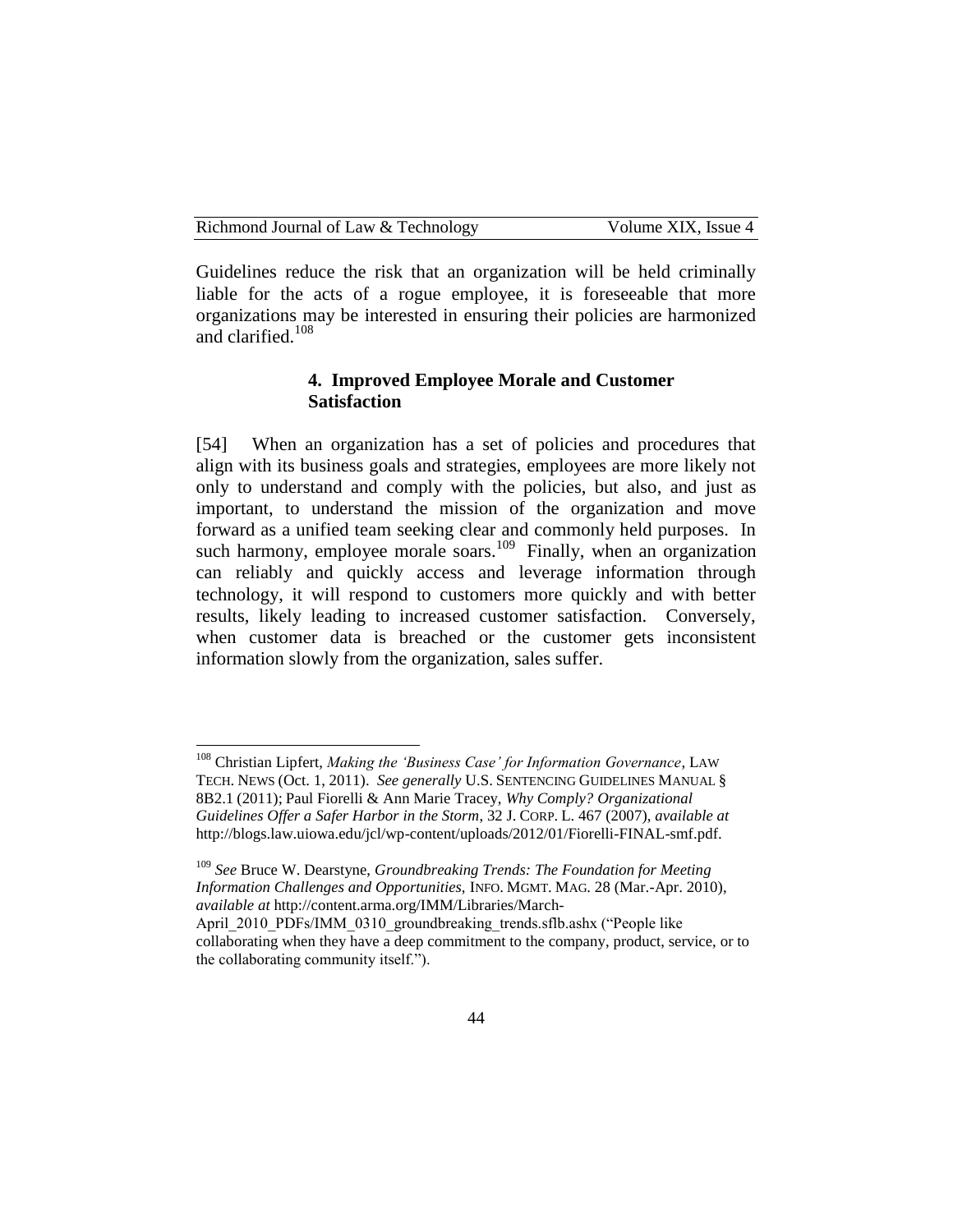| Richmond Journal of Law & Technology | Volume XIX, Issue 4 |
|--------------------------------------|---------------------|
|--------------------------------------|---------------------|

Guidelines reduce the risk that an organization will be held criminally liable for the acts of a rogue employee, it is foreseeable that more organizations may be interested in ensuring their policies are harmonized and clarified.<sup>108</sup>

### **4. Improved Employee Morale and Customer Satisfaction**

[54] When an organization has a set of policies and procedures that align with its business goals and strategies, employees are more likely not only to understand and comply with the policies, but also, and just as important, to understand the mission of the organization and move forward as a unified team seeking clear and commonly held purposes. In such harmony, employee morale soars.<sup>109</sup> Finally, when an organization can reliably and quickly access and leverage information through technology, it will respond to customers more quickly and with better results, likely leading to increased customer satisfaction. Conversely, when customer data is breached or the customer gets inconsistent information slowly from the organization, sales suffer.

<sup>108</sup> Christian Lipfert, *Making the 'Business Case' for Information Governance*, LAW TECH. NEWS (Oct. 1, 2011). *See generally* U.S. SENTENCING GUIDELINES MANUAL § 8B2.1 (2011); Paul Fiorelli & Ann Marie Tracey, *Why Comply? Organizational Guidelines Offer a Safer Harbor in the Storm*, 32 J. CORP. L. 467 (2007), *available at*  http://blogs.law.uiowa.edu/jcl/wp-content/uploads/2012/01/Fiorelli-FINAL-smf.pdf.

<sup>109</sup> *See* Bruce W. Dearstyne, *Groundbreaking Trends: The Foundation for Meeting Information Challenges and Opportunities,* INFO. MGMT. MAG. 28 (Mar.-Apr. 2010), *available at* http://content.arma.org/IMM/Libraries/March-

April 2010 PDFs/IMM 0310 groundbreaking trends.sflb.ashx ("People like collaborating when they have a deep commitment to the company, product, service, or to the collaborating community itself.").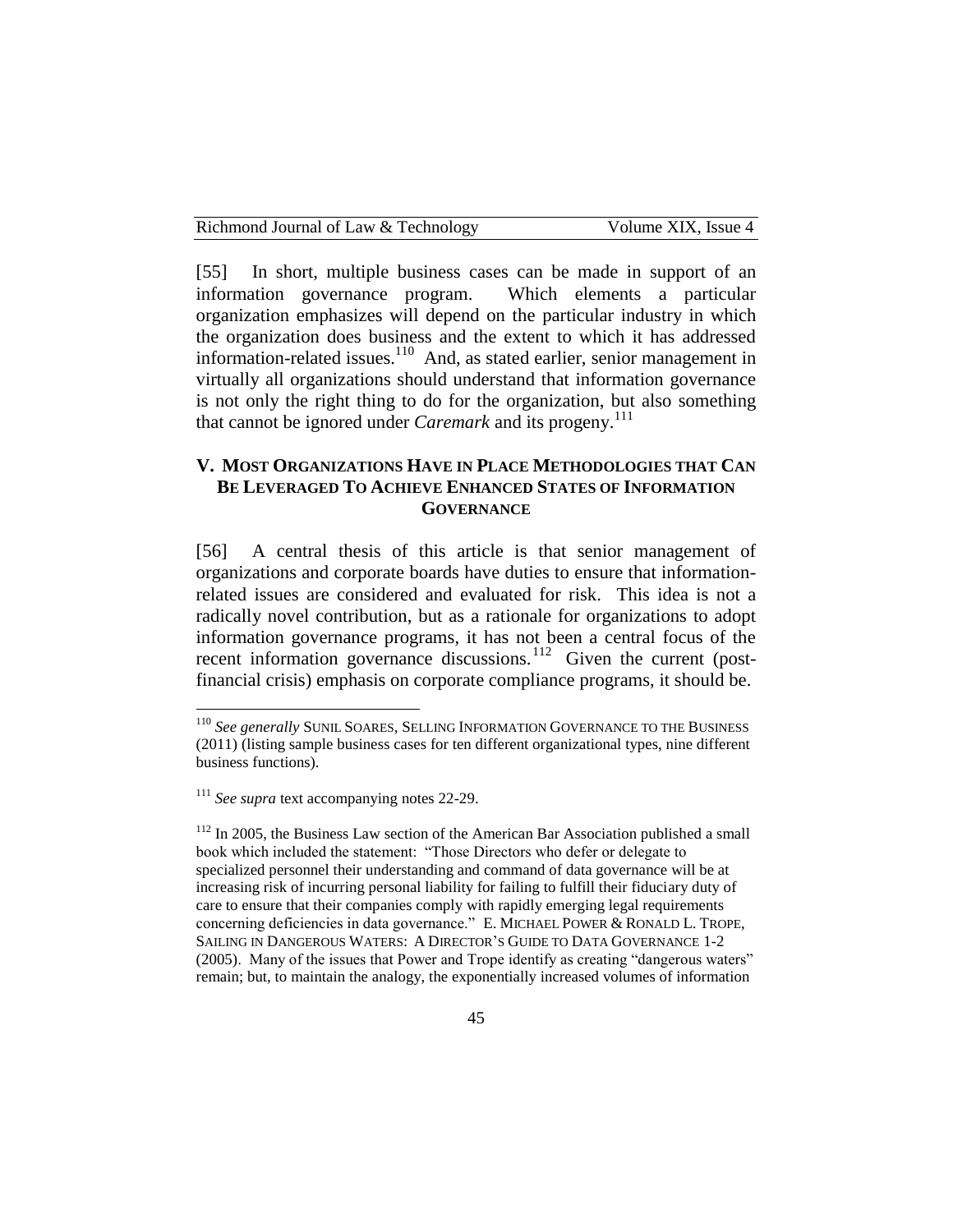| Richmond Journal of Law & Technology | Volume XIX. Issue 4 |  |
|--------------------------------------|---------------------|--|
|--------------------------------------|---------------------|--|

[55] In short, multiple business cases can be made in support of an information governance program. Which elements a particular organization emphasizes will depend on the particular industry in which the organization does business and the extent to which it has addressed information-related issues.<sup>110</sup> And, as stated earlier, senior management in virtually all organizations should understand that information governance is not only the right thing to do for the organization, but also something that cannot be ignored under *Caremark* and its progeny.<sup>111</sup>

### **V. MOST ORGANIZATIONS HAVE IN PLACE METHODOLOGIES THAT CAN BE LEVERAGED TO ACHIEVE ENHANCED STATES OF INFORMATION GOVERNANCE**

[56] A central thesis of this article is that senior management of organizations and corporate boards have duties to ensure that informationrelated issues are considered and evaluated for risk. This idea is not a radically novel contribution, but as a rationale for organizations to adopt information governance programs, it has not been a central focus of the recent information governance discussions.<sup>112</sup> Given the current (postfinancial crisis) emphasis on corporate compliance programs, it should be.

<sup>110</sup> *See generally* SUNIL SOARES, SELLING INFORMATION GOVERNANCE TO THE BUSINESS (2011) (listing sample business cases for ten different organizational types, nine different business functions).

<sup>111</sup> *See supra* text accompanying notes 22-29.

 $112$  In 2005, the Business Law section of the American Bar Association published a small book which included the statement: "Those Directors who defer or delegate to specialized personnel their understanding and command of data governance will be at increasing risk of incurring personal liability for failing to fulfill their fiduciary duty of care to ensure that their companies comply with rapidly emerging legal requirements concerning deficiencies in data governance." E. MICHAEL POWER & RONALD L. TROPE, SAILING IN DANGEROUS WATERS: A DIRECTOR'S GUIDE TO DATA GOVERNANCE 1-2 (2005). Many of the issues that Power and Trope identify as creating "dangerous waters" remain; but, to maintain the analogy, the exponentially increased volumes of information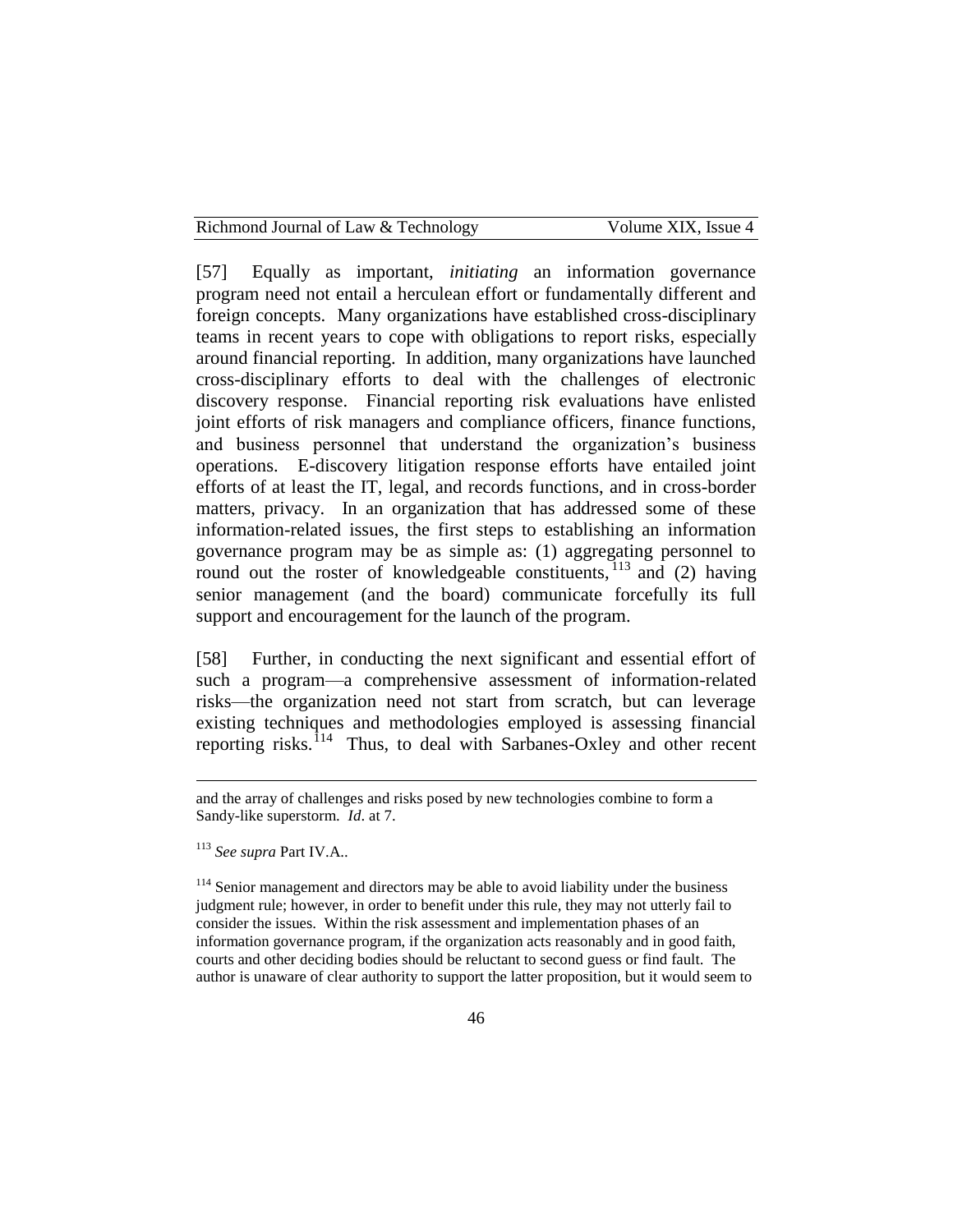| Richmond Journal of Law & Technology | Volume XIX, Issue 4 |
|--------------------------------------|---------------------|
|--------------------------------------|---------------------|

[57] Equally as important, *initiating* an information governance program need not entail a herculean effort or fundamentally different and foreign concepts. Many organizations have established cross-disciplinary teams in recent years to cope with obligations to report risks, especially around financial reporting. In addition, many organizations have launched cross-disciplinary efforts to deal with the challenges of electronic discovery response. Financial reporting risk evaluations have enlisted joint efforts of risk managers and compliance officers, finance functions, and business personnel that understand the organization's business operations. E-discovery litigation response efforts have entailed joint efforts of at least the IT, legal, and records functions, and in cross-border matters, privacy. In an organization that has addressed some of these information-related issues, the first steps to establishing an information governance program may be as simple as: (1) aggregating personnel to round out the roster of knowledgeable constituents,  $\frac{113}{113}$  and (2) having senior management (and the board) communicate forcefully its full support and encouragement for the launch of the program.

[58] Further, in conducting the next significant and essential effort of such a program—a comprehensive assessment of information-related risks—the organization need not start from scratch, but can leverage existing techniques and methodologies employed is assessing financial reporting risks.<sup>114</sup> Thus, to deal with Sarbanes-Oxley and other recent

and the array of challenges and risks posed by new technologies combine to form a Sandy-like superstorm. *Id*. at 7.

<sup>113</sup> *See supra* Part IV.A..

<sup>&</sup>lt;sup>114</sup> Senior management and directors may be able to avoid liability under the business judgment rule; however, in order to benefit under this rule, they may not utterly fail to consider the issues. Within the risk assessment and implementation phases of an information governance program, if the organization acts reasonably and in good faith, courts and other deciding bodies should be reluctant to second guess or find fault. The author is unaware of clear authority to support the latter proposition, but it would seem to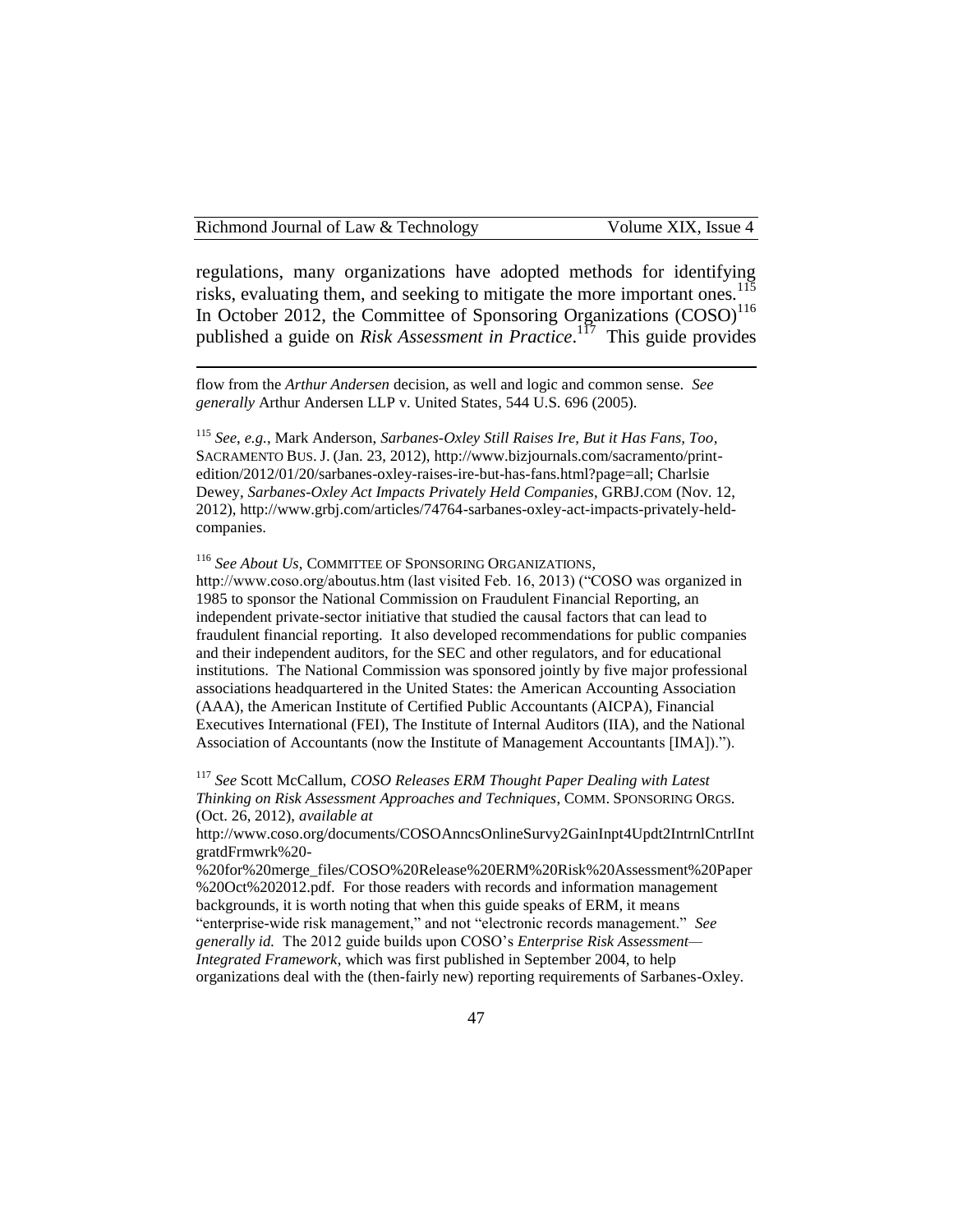#### Richmond Journal of Law & Technology Volume XIX, Issue 4

 $\overline{a}$ 

regulations, many organizations have adopted methods for identifying risks, evaluating them, and seeking to mitigate the more important ones.<sup>115</sup> In October 2012, the Committee of Sponsoring Organizations  $(COSO)^{116}$ published a guide on *Risk Assessment in Practice*.<sup>117</sup> This guide provides

flow from the *Arthur Andersen* decision, as well and logic and common sense. *See generally* Arthur Andersen LLP v. United States, 544 U.S. 696 (2005).

<sup>115</sup> *See*, *e.g.*, Mark Anderson, *Sarbanes-Oxley Still Raises Ire, But it Has Fans, Too*, SACRAMENTO BUS. J. (Jan. 23, 2012), http://www.bizjournals.com/sacramento/printedition/2012/01/20/sarbanes-oxley-raises-ire-but-has-fans.html?page=all; Charlsie Dewey, *Sarbanes-Oxley Act Impacts Privately Held Companies*, GRBJ.COM (Nov. 12, 2012), http://www.grbj.com/articles/74764-sarbanes-oxley-act-impacts-privately-heldcompanies.

<sup>116</sup> *See About Us*, COMMITTEE OF SPONSORING ORGANIZATIONS,

http://www.coso.org/aboutus.htm (last visited Feb. 16, 2013) ("COSO was organized in 1985 to sponsor the National Commission on Fraudulent Financial Reporting, an independent private-sector initiative that studied the causal factors that can lead to fraudulent financial reporting. It also developed recommendations for public companies and their independent auditors, for the SEC and other regulators, and for educational institutions. The National Commission was sponsored jointly by five major professional associations headquartered in the United States: the American Accounting Association (AAA), the American Institute of Certified Public Accountants (AICPA), Financial Executives International (FEI), The Institute of Internal Auditors (IIA), and the National Association of Accountants (now the Institute of Management Accountants [IMA]).").

<sup>117</sup> *See* Scott McCallum, *COSO Releases ERM Thought Paper Dealing with Latest Thinking on Risk Assessment Approaches and Techniques*, COMM. SPONSORING ORGS. (Oct. 26, 2012), *available at*

http://www.coso.org/documents/COSOAnncsOnlineSurvy2GainInpt4Updt2IntrnlCntrlInt gratdFrmwrk%20-

%20for%20merge\_files/COSO%20Release%20ERM%20Risk%20Assessment%20Paper %20Oct%202012.pdf. For those readers with records and information management backgrounds, it is worth noting that when this guide speaks of ERM, it means "enterprise-wide risk management," and not "electronic records management." *See generally id.* The 2012 guide builds upon COSO's *Enterprise Risk Assessment— Integrated Framework*, which was first published in September 2004, to help organizations deal with the (then-fairly new) reporting requirements of Sarbanes-Oxley.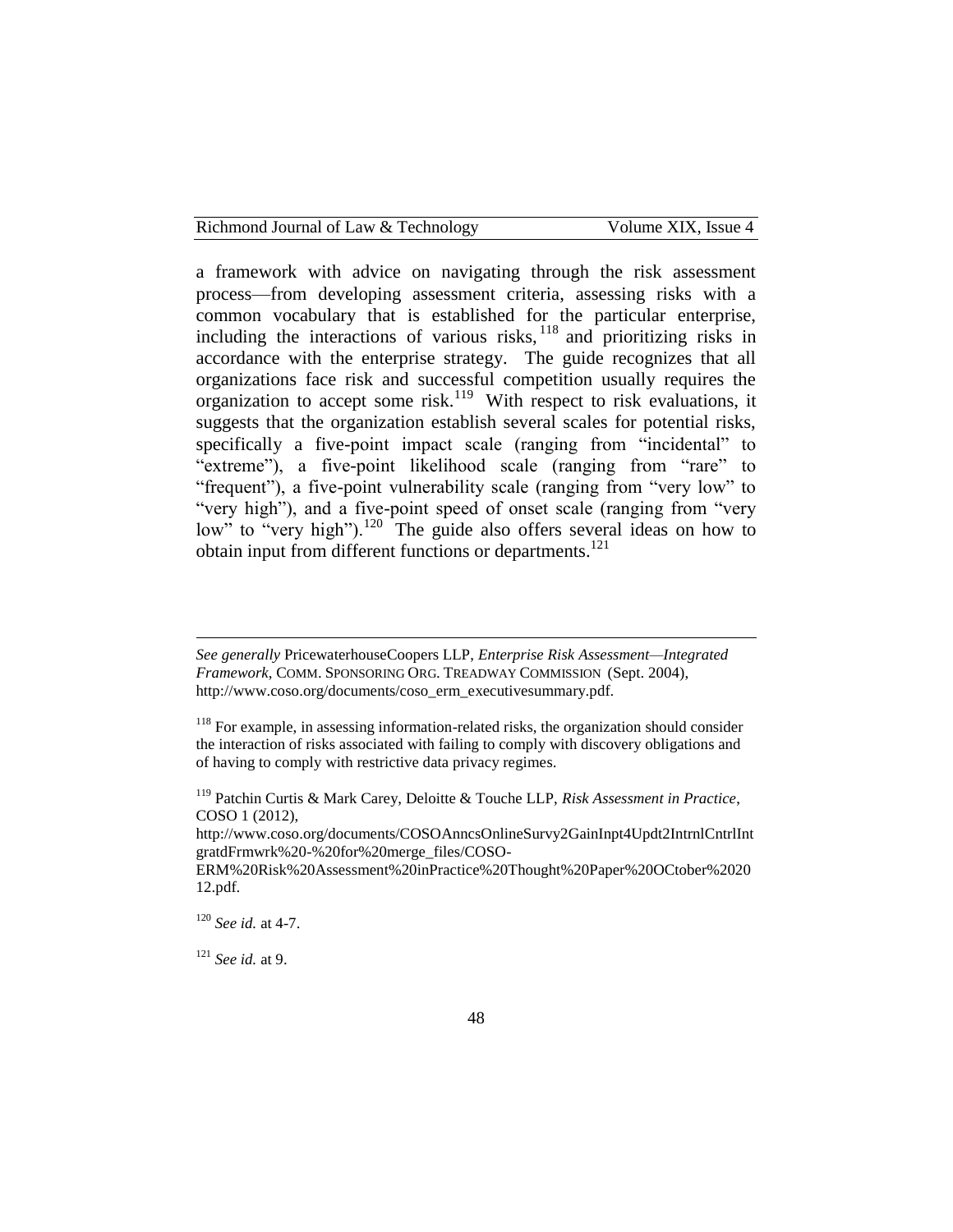| Richmond Journal of Law & Technology | Volume XIX, Issue 4 |
|--------------------------------------|---------------------|
|--------------------------------------|---------------------|

a framework with advice on navigating through the risk assessment process—from developing assessment criteria, assessing risks with a common vocabulary that is established for the particular enterprise, including the interactions of various risks,  $^{118}$  and prioritizing risks in accordance with the enterprise strategy. The guide recognizes that all organizations face risk and successful competition usually requires the organization to accept some risk.<sup>119</sup> With respect to risk evaluations, it suggests that the organization establish several scales for potential risks, specifically a five-point impact scale (ranging from "incidental" to "extreme"), a five-point likelihood scale (ranging from "rare" to "frequent"), a five-point vulnerability scale (ranging from "very low" to "very high"), and a five-point speed of onset scale (ranging from "very low" to "very high").<sup>120</sup> The guide also offers several ideas on how to obtain input from different functions or departments.<sup>121</sup>

*See generally* PricewaterhouseCoopers LLP, *Enterprise Risk Assessment—Integrated Framework*, COMM. SPONSORING ORG. TREADWAY COMMISSION (Sept. 2004), http://www.coso.org/documents/coso\_erm\_executivesummary.pdf.

http://www.coso.org/documents/COSOAnncsOnlineSurvy2GainInpt4Updt2IntrnlCntrlInt gratdFrmwrk%20-%20for%20merge\_files/COSO-

<sup>120</sup> *See id.* at 4-7.

 $\overline{a}$ 

<sup>121</sup> *See id.* at 9.

 $118$  For example, in assessing information-related risks, the organization should consider the interaction of risks associated with failing to comply with discovery obligations and of having to comply with restrictive data privacy regimes.

<sup>119</sup> Patchin Curtis & Mark Carey, Deloitte & Touche LLP, *Risk Assessment in Practice*, COSO 1 (2012),

ERM%20Risk%20Assessment%20inPractice%20Thought%20Paper%20OCtober%2020 12.pdf.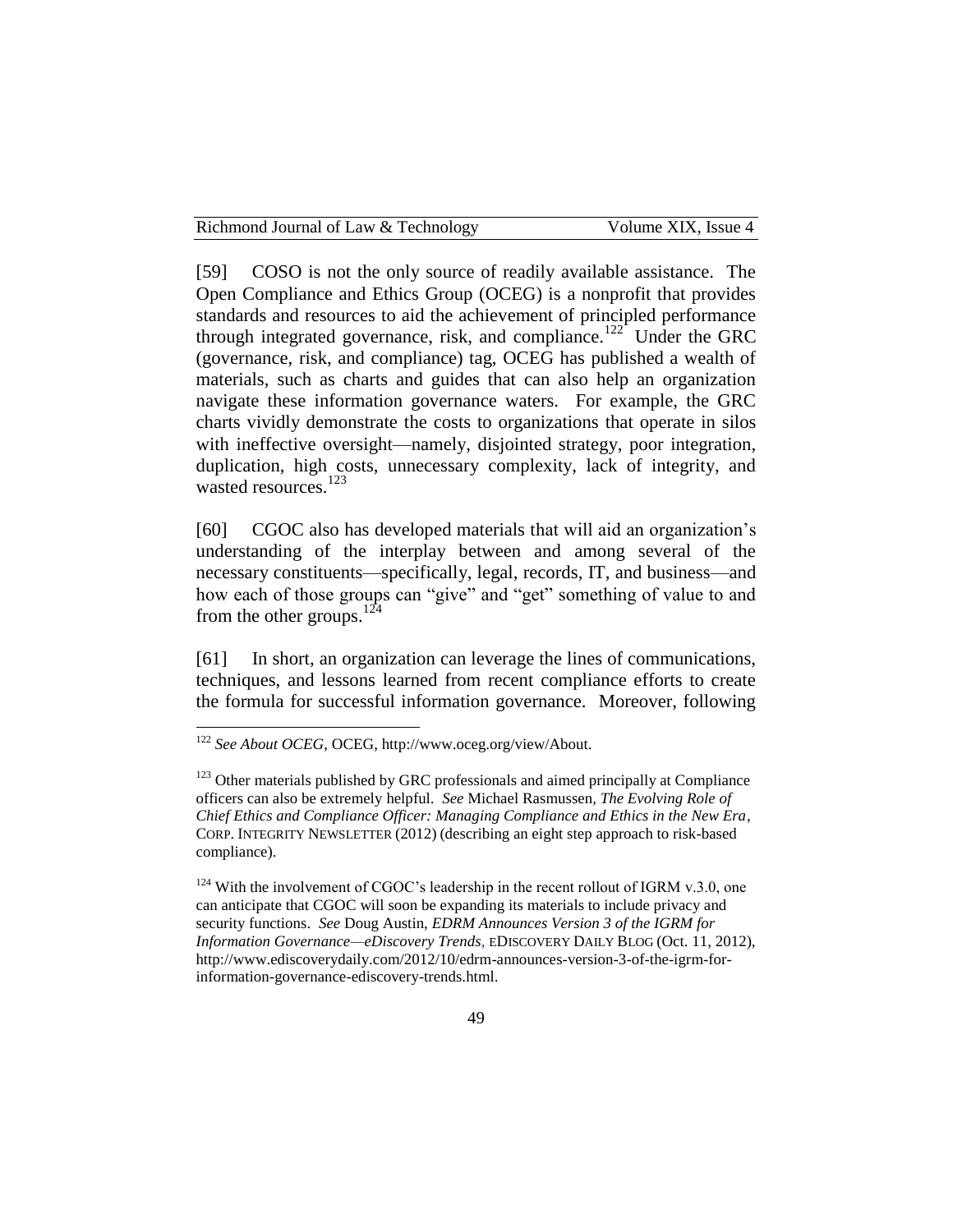[59] COSO is not the only source of readily available assistance. The Open Compliance and Ethics Group (OCEG) is a nonprofit that provides standards and resources to aid the achievement of principled performance through integrated governance, risk, and compliance.<sup>122</sup> Under the GRC (governance, risk, and compliance) tag, OCEG has published a wealth of materials, such as charts and guides that can also help an organization navigate these information governance waters. For example, the GRC charts vividly demonstrate the costs to organizations that operate in silos with ineffective oversight—namely, disjointed strategy, poor integration, duplication, high costs, unnecessary complexity, lack of integrity, and wasted resources.<sup>123</sup>

[60] CGOC also has developed materials that will aid an organization's understanding of the interplay between and among several of the necessary constituents—specifically, legal, records, IT, and business—and how each of those groups can "give" and "get" something of value to and from the other groups. $^{124}$ 

[61] In short, an organization can leverage the lines of communications, techniques, and lessons learned from recent compliance efforts to create the formula for successful information governance. Moreover, following

 $\overline{a}$ 

 $124$  With the involvement of CGOC's leadership in the recent rollout of IGRM v.3.0, one can anticipate that CGOC will soon be expanding its materials to include privacy and security functions. *See* Doug Austin, *EDRM Announces Version 3 of the IGRM for Information Governance—eDiscovery Trends*, EDISCOVERY DAILY BLOG (Oct. 11, 2012), http://www.ediscoverydaily.com/2012/10/edrm-announces-version-3-of-the-igrm-forinformation-governance-ediscovery-trends.html.

<sup>122</sup> *See About OCEG*, OCEG, http://www.oceg.org/view/About.

<sup>&</sup>lt;sup>123</sup> Other materials published by GRC professionals and aimed principally at Compliance officers can also be extremely helpful. *See* Michael Rasmussen*, The Evolving Role of Chief Ethics and Compliance Officer: Managing Compliance and Ethics in the New Era*, CORP. INTEGRITY NEWSLETTER (2012) (describing an eight step approach to risk-based compliance).